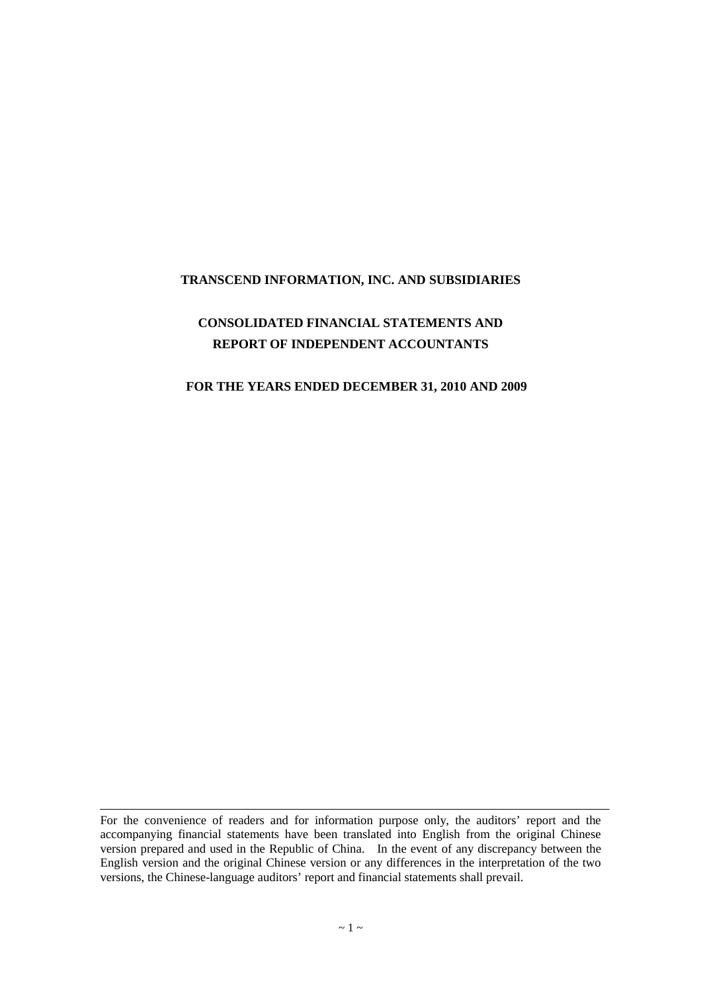#### **TRANSCEND INFORMATION, INC. AND SUBSIDIARIES**

# **CONSOLIDATED FINANCIAL STATEMENTS AND REPORT OF INDEPENDENT ACCOUNTANTS**

#### **FOR THE YEARS ENDED DECEMBER 31, 2010 AND 2009**

For the convenience of readers and for information purpose only, the auditors' report and the accompanying financial statements have been translated into English from the original Chinese version prepared and used in the Republic of China. In the event of any discrepancy between the English version and the original Chinese version or any differences in the interpretation of the two versions, the Chinese-language auditors'report and financial statements shall prevail.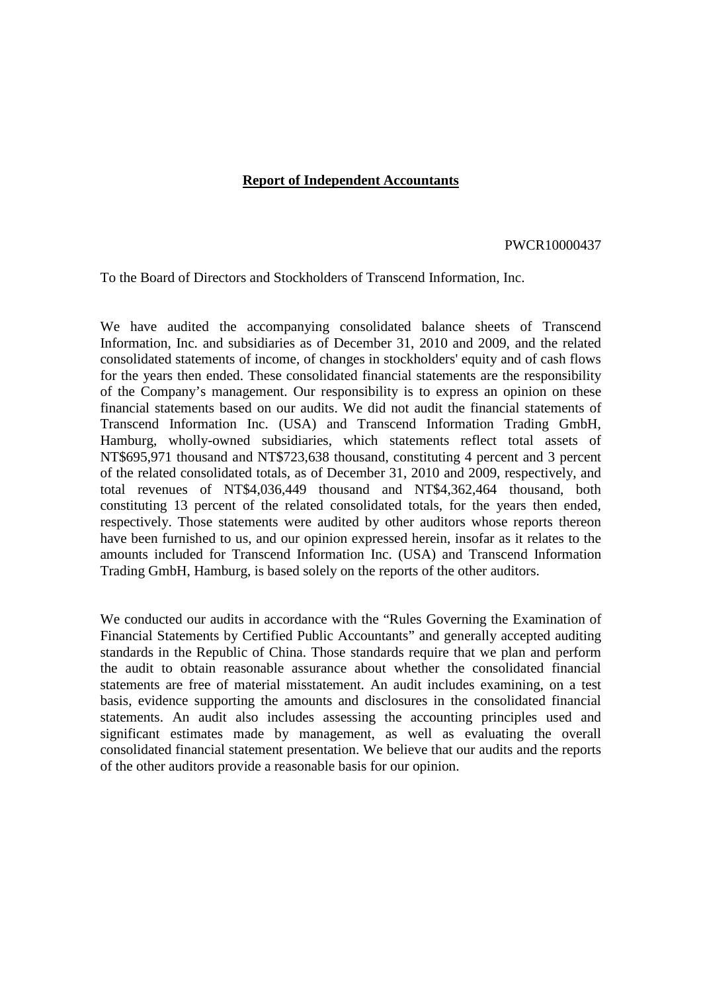#### **Report of Independent Accountants**

#### PWCR10000437

To the Board of Directors and Stockholders of Transcend Information, Inc.

We have audited the accompanying consolidated balance sheets of Transcend Information, Inc. and subsidiaries as of December 31, 2010 and 2009, and the related consolidated statements of income, of changes in stockholders' equity and of cash flows for the years then ended. These consolidated financial statements are the responsibility of the Company's management. Our responsibility is to express an opinion on these financial statements based on our audits. We did not audit the financial statements of Transcend Information Inc. (USA) and Transcend Information Trading GmbH, Hamburg, wholly-owned subsidiaries, which statements reflect total assets of NT\$695,971 thousand and NT\$723,638 thousand, constituting 4 percent and 3 percent of the related consolidated totals, as of December 31, 2010 and 2009, respectively, and total revenues of NT\$4,036,449 thousand and NT\$4,362,464 thousand, both constituting 13 percent of the related consolidated totals, for the years then ended, respectively. Those statements were audited by other auditors whose reports thereon have been furnished to us, and our opinion expressed herein, insofar as it relates to the amounts included for Transcend Information Inc. (USA) and Transcend Information Trading GmbH, Hamburg, is based solely on the reports of the other auditors.

We conducted our audits in accordance with the "Rules Governing the Examination of Financial Statements by Certified Public Accountants" and generally accepted auditing standards in the Republic of China. Those standards require that we plan and perform the audit to obtain reasonable assurance about whether the consolidated financial statements are free of material misstatement. An audit includes examining, on a test basis, evidence supporting the amounts and disclosures in the consolidated financial statements. An audit also includes assessing the accounting principles used and significant estimates made by management, as well as evaluating the overall consolidated financial statement presentation. We believe that our audits and the reports of the other auditors provide a reasonable basis for our opinion.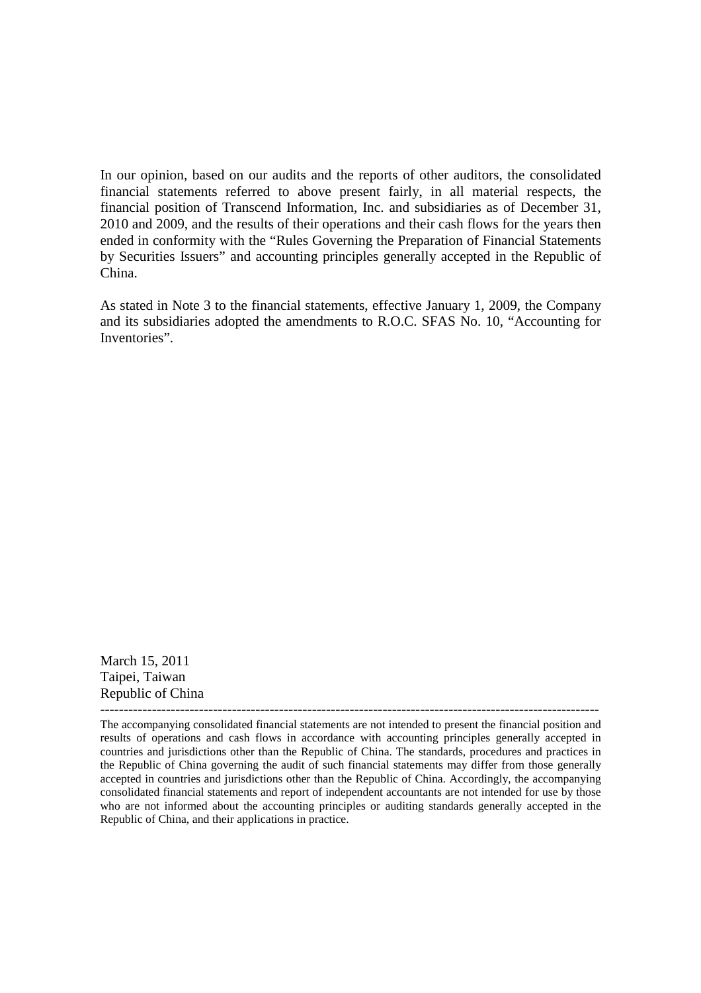In our opinion, based on our audits and the reports of other auditors, the consolidated financial statements referred to above present fairly, in all material respects, the financial position of Transcend Information, Inc. and subsidiaries as of December 31, 2010 and 2009, and the results of their operations and their cash flows for the years then ended in conformity with the "Rules Governing the Preparation of Financial Statements by Securities Issuers" and accounting principles generally accepted in the Republic of China.

As stated in Note 3 to the financial statements, effective January 1, 2009, the Company and its subsidiaries adopted the amendments to R.O.C. SFAS No. 10, "Accounting for Inventories".

March 15, 2011 Taipei, Taiwan Republic of China

The accompanying consolidated financial statements are not intended to present the financial position and results of operations and cash flows in accordance with accounting principles generally accepted in countries and jurisdictions other than the Republic of China. The standards, procedures and practices in the Republic of China governing the audit of such financial statements may differ from those generally accepted in countries and jurisdictions other than the Republic of China. Accordingly, the accompanying consolidated financial statements and report of independent accountants are not intended for use by those who are not informed about the accounting principles or auditing standards generally accepted in the Republic of China, and their applications in practice.

----------------------------------------------------------------------------------------------------------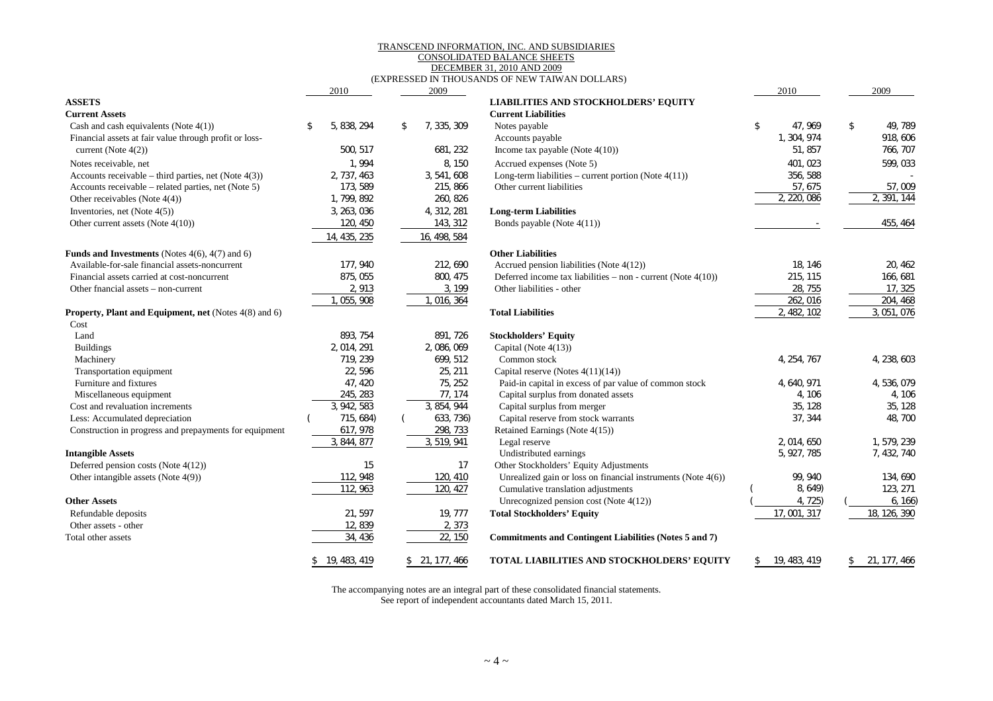#### TRANSCEND INFORMATION, INC. AND SUBSIDIARIES

#### CONSOLIDATED BALANCE SHEETS DECEMBER 31, 2010 AND 2009

#### (EXPRESSED IN THOUSANDS OF NEW TAIWAN DOLLARS)

|                                                              | 2010              | 2009              |                                                                 | 2010               | 2009               |
|--------------------------------------------------------------|-------------------|-------------------|-----------------------------------------------------------------|--------------------|--------------------|
| <b>ASSETS</b>                                                |                   |                   | <b>LIABILITIES AND STOCKHOLDERS' EQUITY</b>                     |                    |                    |
| <b>Current Assets</b>                                        |                   |                   | <b>Current Liabilities</b>                                      |                    |                    |
| Cash and cash equivalents (Note 4(1))                        | 5, 838, 294<br>\$ | 7, 335, 309<br>\$ | Notes payable                                                   | \$<br>47, 969      | 49, 789<br>\$      |
| Financial assets at fair value through profit or loss-       |                   |                   | Accounts payable                                                | 1, 304, 974        | 918, 606           |
| current (Note $4(2)$ )                                       | 500, 517          | 681, 232          | Income tax payable (Note $4(10)$ )                              | 51, 857            | 766, 707           |
| Notes receivable, net                                        | 1,994             | 8, 150            | Accrued expenses (Note 5)                                       | 401, 023           | 599, 033           |
| Accounts receivable – third parties, net (Note $4(3)$ )      | 2, 737, 463       | 3, 541, 608       | Long-term liabilities – current portion (Note $4(11)$ )         | 356, 588           |                    |
| Accounts receivable – related parties, net (Note 5)          | 173, 589          | 215, 866          | Other current liabilities                                       | 57, 675            | 57,009             |
| Other receivables (Note $4(4)$ )                             | 1, 799, 892       | 260, 826          |                                                                 | 2, 220, 086        | 2, 391, 144        |
| Inventories, net (Note $4(5)$ )                              | 3, 263, 036       | 4, 312, 281       | <b>Long-term Liabilities</b>                                    |                    |                    |
| Other current assets (Note 4(10))                            | 120, 450          | 143, 312          | Bonds payable (Note 4(11))                                      |                    | 455, 464           |
|                                                              | 14, 435, 235      | 16, 498, 584      |                                                                 |                    |                    |
| <b>Funds and Investments</b> (Notes $4(6)$ , $4(7)$ and 6)   |                   |                   | <b>Other Liabilities</b>                                        |                    |                    |
| Available-for-sale financial assets-noncurrent               | 177, 940          | 212, 690          | Accrued pension liabilities (Note 4(12))                        | 18.146             | 20, 462            |
| Financial assets carried at cost-noncurrent                  | 875, 055          | 800, 475          | Deferred income tax liabilities – non - current (Note $4(10)$ ) | 215, 115           | 166, 681           |
| Other fnancial assets – non-current                          | 2,913             | 3, 199            | Other liabilities - other                                       | 28, 755            | 17, 325            |
|                                                              | 1, 055, 908       | 1, 016, 364       |                                                                 | 262, 016           | 204, 468           |
| <b>Property, Plant and Equipment, net (Notes 4(8) and 6)</b> |                   |                   | <b>Total Liabilities</b>                                        | 2, 482, 102        | 3, 051, 076        |
| Cost                                                         |                   |                   |                                                                 |                    |                    |
| Land                                                         | 893, 754          | 891, 726          | <b>Stockholders' Equity</b>                                     |                    |                    |
| <b>Buildings</b>                                             | 2 014 291         | 2,086,069         | Capital (Note $4(13)$ )                                         |                    |                    |
| Machinery                                                    | 719, 239          | 699, 512          | Common stock                                                    | 4, 254, 767        | 4, 238, 603        |
| Transportation equipment                                     | 22, 596           | 25, 211           | Capital reserve (Notes $4(11)(14)$ )                            |                    |                    |
| Furniture and fixtures                                       | 47, 420           | 75, 252           | Paid-in capital in excess of par value of common stock          | 4, 640, 971        | 4, 536, 079        |
| Miscellaneous equipment                                      | 245, 283          | 77, 174           | Capital surplus from donated assets                             | 4, 106             | 4, 106             |
| Cost and revaluation increments                              | 3, 942, 583       | 3, 854, 944       | Capital surplus from merger                                     | 35, 128            | 35, 128            |
| Less: Accumulated depreciation                               | 715, 684)         | 633, 736)         | Capital reserve from stock warrants                             | 37, 344            | 48, 700            |
| Construction in progress and prepayments for equipment       | 617, 978          | 298, 733          | Retained Earnings (Note 4(15))                                  |                    |                    |
|                                                              | 3, 844, 877       | 3, 519, 941       | Legal reserve                                                   | 2, 014, 650        | 1, 579, 239        |
| <b>Intangible Assets</b>                                     |                   |                   | Undistributed earnings                                          | 5, 927, 785        | 7, 432, 740        |
| Deferred pension costs (Note $4(12)$ )                       | 15                | 17                | Other Stockholders' Equity Adjustments                          |                    |                    |
| Other intangible assets (Note 4(9))                          | 112, 948          | 120, 410          | Unrealized gain or loss on financial instruments (Note $4(6)$ ) | 99, 940            | 134, 690           |
|                                                              | 112, 963          | 120, 427          | Cumulative translation adjustments                              | 8, 649)            | 123, 271           |
| <b>Other Assets</b>                                          |                   |                   | Unrecognized pension cost (Note $4(12)$ )                       | 4, 725)            | 6, 166             |
| Refundable deposits                                          | 21, 597           | 19, 777           | <b>Total Stockholders' Equity</b>                               | 17, 001, 317       | 18, 126, 390       |
| Other assets - other                                         | 12, 839           | 2,373             |                                                                 |                    |                    |
| Total other assets                                           | 34, 436           | 22, 150           | Commitments and Contingent Liabilities (Notes 5 and 7)          |                    |                    |
|                                                              | \$19, 483, 419    | \$21, 177, 466    | TOTAL LIABILITIES AND STOCKHOLDERS' EQUITY                      | 19, 483, 419<br>\$ | 21, 177, 466<br>\$ |

The accompanying notes are an integral part of these consolidated financial statements.

See report of independent accountants dated March 15, 2011.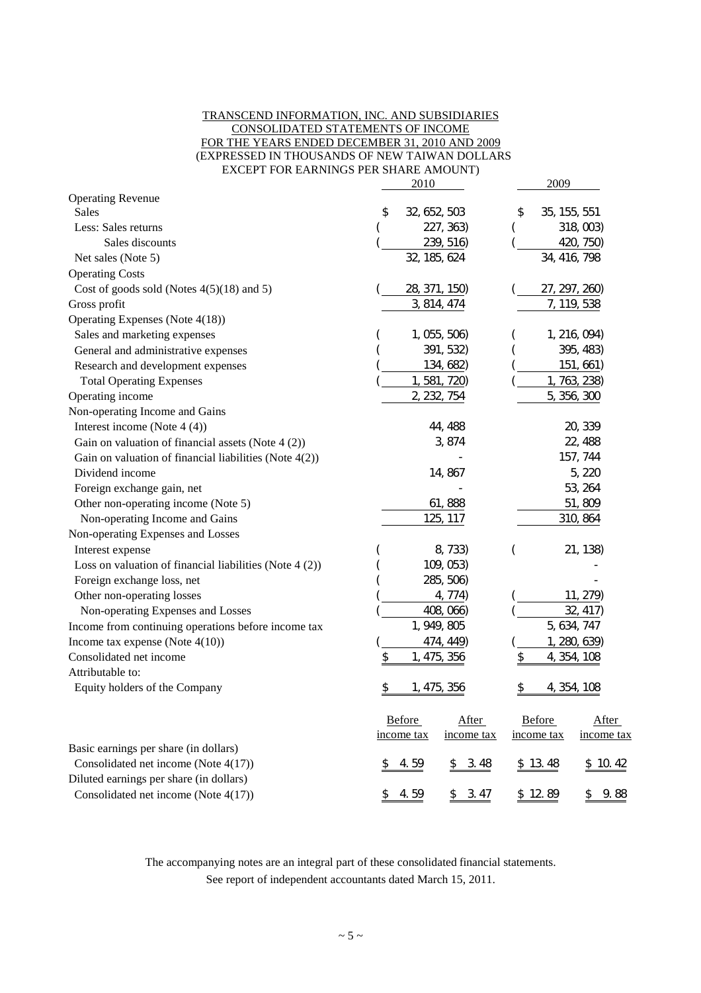#### TRANSCEND INFORMATION, INC. AND SUBSIDIARIES CONSOLIDATED STATEMENTS OF INCOME FOR THE YEARS ENDED DECEMBER 31, 2010 AND 2009 (EXPRESSED IN THOUSANDS OF NEW TAIWAN DOLLARS EXCEPT FOR EARNINGS PER SHARE AMOUNT)

|                                                         | 2010                     | 2009                     |
|---------------------------------------------------------|--------------------------|--------------------------|
| <b>Operating Revenue</b>                                |                          |                          |
| <b>Sales</b>                                            | 32, 652, 503<br>\$       | 35, 155, 551<br>\$       |
| Less: Sales returns                                     | 227, 363)                | 318, 003)                |
| Sales discounts                                         | 239, 516)                | 420, 750)                |
| Net sales (Note 5)                                      | 32, 185, 624             | 34, 416, 798             |
| <b>Operating Costs</b>                                  |                          |                          |
| Cost of goods sold (Notes $4(5)(18)$ and 5)             | 28, 371, 150)            | 27, 297, 260)            |
| Gross profit                                            | 3, 814, 474              | 7, 119, 538              |
| Operating Expenses (Note 4(18))                         |                          |                          |
| Sales and marketing expenses                            | 1, 055, 506)             | 1, 216, 094)             |
| General and administrative expenses                     | 391, 532)                | 395, 483)                |
| Research and development expenses                       | 134, 682)                | 151, 661)                |
| <b>Total Operating Expenses</b>                         | 1, 581, 720)             | 1, 763, 238)             |
| Operating income                                        | 2, 232, 754              | 5, 356, 300              |
| Non-operating Income and Gains                          |                          |                          |
| Interest income (Note 4 (4))                            | 44, 488                  | 20, 339                  |
| Gain on valuation of financial assets (Note $4(2)$ )    | 3,874                    | 22, 488                  |
| Gain on valuation of financial liabilities (Note 4(2))  |                          | 157, 744                 |
| Dividend income                                         | 14,867                   | 5, 220                   |
| Foreign exchange gain, net                              |                          | 53, 264                  |
| Other non-operating income (Note 5)                     | 61,888                   | 51,809                   |
| Non-operating Income and Gains                          | 125, 117                 | 310, 864                 |
| Non-operating Expenses and Losses                       |                          |                          |
| Interest expense                                        | 8, 733)                  | 21, 138)                 |
| Loss on valuation of financial liabilities (Note 4 (2)) | 109, 053)                |                          |
| Foreign exchange loss, net                              | 285, 506)                |                          |
| Other non-operating losses                              | 4, 774)                  | 11, 279)                 |
| Non-operating Expenses and Losses                       | 408, 066)                | 32, 417)                 |
| Income from continuing operations before income tax     | 1, 949, 805              | 5, 634, 747              |
| Income tax expense (Note $4(10)$ )                      | 474, 449)                | 1, 280, 639)             |
| Consolidated net income                                 | 1, 475, 356<br>\$        | 4, 354, 108<br>\$        |
| Attributable to:                                        |                          |                          |
| Equity holders of the Company                           | 1, 475, 356              | 4, 354, 108              |
|                                                         | Before<br>After          | Before<br>After          |
|                                                         | income tax<br>income tax | income tax<br>income tax |
| Basic earnings per share (in dollars)                   |                          |                          |
| Consolidated net income (Note 4(17))                    | 4.59<br>3.48<br>\$       | \$13.48<br>\$10.42       |
| Diluted earnings per share (in dollars)                 |                          |                          |
| Consolidated net income (Note 4(17))                    | 3.47<br>4.59<br>\$<br>\$ | \$12.89<br>9.88<br>\$    |

The accompanying notes are an integral part of these consolidated financial statements. See report of independent accountants dated March 15, 2011.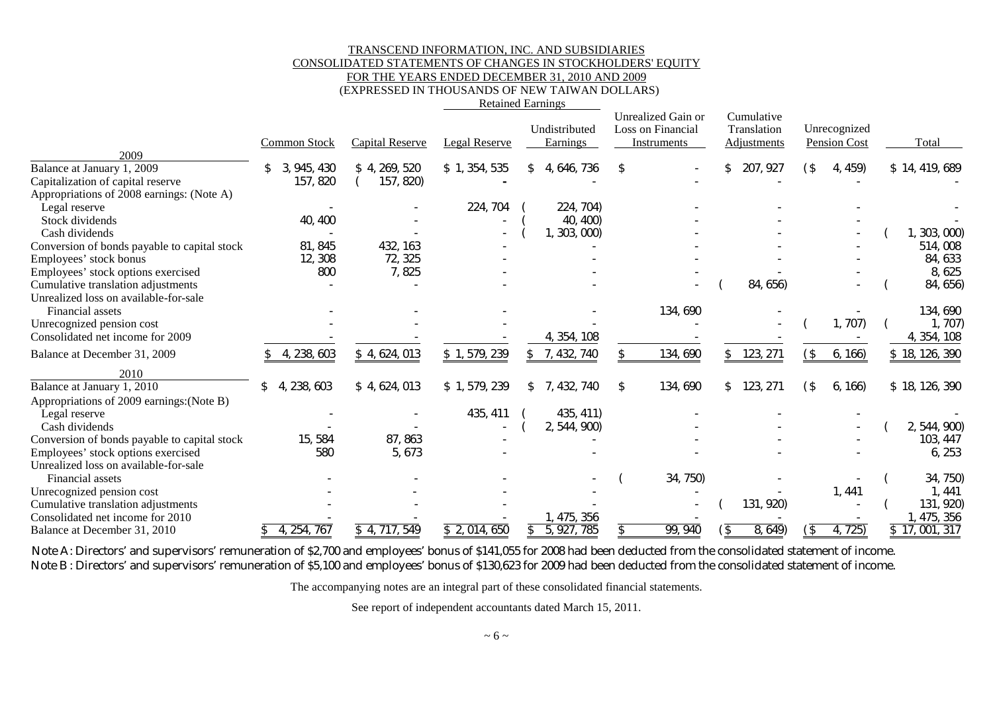#### TRANSCEND INFORMATION, INC. AND SUBSIDIARIES CONSOLIDATED STATEMENTS OF CHANGES IN STOCKHOLDERS' EQUITY FOR THE YEARS ENDED DECEMBER 31, 2010 AND 2009

(EXPRESSED IN THOUSANDS OF NEW TAIWAN DOLLARS)

| <b>Retained Earnings</b> |  |
|--------------------------|--|
|                          |  |

|                                              | <b>Common Stock</b>  | <b>Capital Reserve</b> | Legal Reserve | Undistributed<br><b>Earnings</b> | Unrealized Gain or<br>Loss on Financial<br>Instruments | Cumulative<br>Translation<br>Adjustments | Unrecognized<br>Pension Cost | Total          |
|----------------------------------------------|----------------------|------------------------|---------------|----------------------------------|--------------------------------------------------------|------------------------------------------|------------------------------|----------------|
| 2009<br>Balance at January 1, 2009           | 945, 430<br>\$<br>З. | \$4, 269, 520          | \$1,354,535   | 4, 646, 736                      | \$                                                     | 207, 927                                 | 4, 459)<br>$($ \$            | \$14, 419, 689 |
| Capitalization of capital reserve            | 157, 820             | 157, 820)              |               |                                  |                                                        |                                          |                              |                |
| Appropriations of 2008 earnings: (Note A)    |                      |                        |               |                                  |                                                        |                                          |                              |                |
| Legal reserve                                |                      |                        | 224, 704      | 224, 704)                        |                                                        |                                          |                              |                |
| Stock dividends                              | 40, 400              |                        |               | 40, 400                          |                                                        |                                          |                              |                |
| Cash dividends                               |                      |                        |               | 1, 303, 000                      |                                                        |                                          |                              | 303,000        |
|                                              | 81, 845              | 432, 163               |               |                                  |                                                        |                                          |                              | 514,008        |
| Conversion of bonds payable to capital stock |                      | 72, 325                |               |                                  |                                                        |                                          |                              | 84, 633        |
| Employees' stock bonus                       | 12, 308<br>800       |                        |               |                                  |                                                        |                                          |                              |                |
| Employees' stock options exercised           |                      | 7,825                  |               |                                  |                                                        |                                          |                              | 8, 625         |
| Cumulative translation adjustments           |                      |                        |               |                                  |                                                        | 84, 656)                                 |                              | 84, 656)       |
| Unrealized loss on available-for-sale        |                      |                        |               |                                  |                                                        |                                          |                              |                |
| Financial assets                             |                      |                        |               |                                  | 134, 690                                               |                                          | 1, 707)                      | 134, 690       |
| Unrecognized pension cost                    |                      |                        |               |                                  |                                                        |                                          |                              | 1, 707         |
| Consolidated net income for 2009             |                      |                        |               | 4, 354, 108                      |                                                        |                                          |                              | 4, 354, 108    |
| Balance at December 31, 2009                 | 4, 238, 603          | \$4, 624, 013          | \$1,579,239   | 7, 432, 740                      | 134, 690                                               | 123, 271<br>\$.                          | $($ \$<br>6, 166             | \$18, 126, 390 |
| 2010                                         |                      |                        |               |                                  |                                                        |                                          |                              |                |
| Balance at January 1, 2010                   | 238, 603<br>\$<br>4. | \$4, 624, 013          | \$1,579,239   | 7, 432, 740<br>\$.               | 134, 690<br>\$                                         | 123, 271<br>\$                           | $($ \$<br>6, 166             | \$18, 126, 390 |
| Appropriations of 2009 earnings: (Note B)    |                      |                        |               |                                  |                                                        |                                          |                              |                |
| Legal reserve                                |                      |                        | 435, 411      | 435, 411)                        |                                                        |                                          |                              |                |
| Cash dividends                               |                      |                        |               | 2, 544, 900)                     |                                                        |                                          |                              | 2, 544, 900)   |
| Conversion of bonds payable to capital stock | 15, 584              | 87, 863                |               |                                  |                                                        |                                          |                              | 103, 447       |
| Employees' stock options exercised           | 580                  | 5, 673                 |               |                                  |                                                        |                                          |                              | 6, 253         |
| Unrealized loss on available-for-sale        |                      |                        |               |                                  |                                                        |                                          |                              |                |
| Financial assets                             |                      |                        |               |                                  | 34, 750)                                               |                                          |                              | 34, 750)       |
| Unrecognized pension cost                    |                      |                        |               |                                  |                                                        |                                          | 1, 441                       | 1, 441         |
| Cumulative translation adjustments           |                      |                        |               |                                  |                                                        | 131, 920)                                |                              | 131, 920)      |
| Consolidated net income for 2010             |                      |                        |               | 1, 475, 356                      |                                                        |                                          |                              | 1, 475, 356    |
| Balance at December 31, 2010                 | 4, 254, 767          | \$4, 717, 549          | \$2,014,650   | 5, 927, 785                      | 99, 940                                                | 8, 649)<br>΄\$                           | 4, 725)<br>(\$               | \$17,001,317   |

Note A: Directors' and supervisors' remuneration of \$2,700 and employees' bonus of \$141,055 for 2008 had been deducted from the consolidated statement of income. Note B: Directors' and supervisors' remuneration of \$5,100 and employees' bonus of \$130,623 for 2009 had been deducted from the consolidated statement of income.

The accompanying notes are an integral part of these consolidated financial statements.

See report of independent accountants dated March 15, 2011.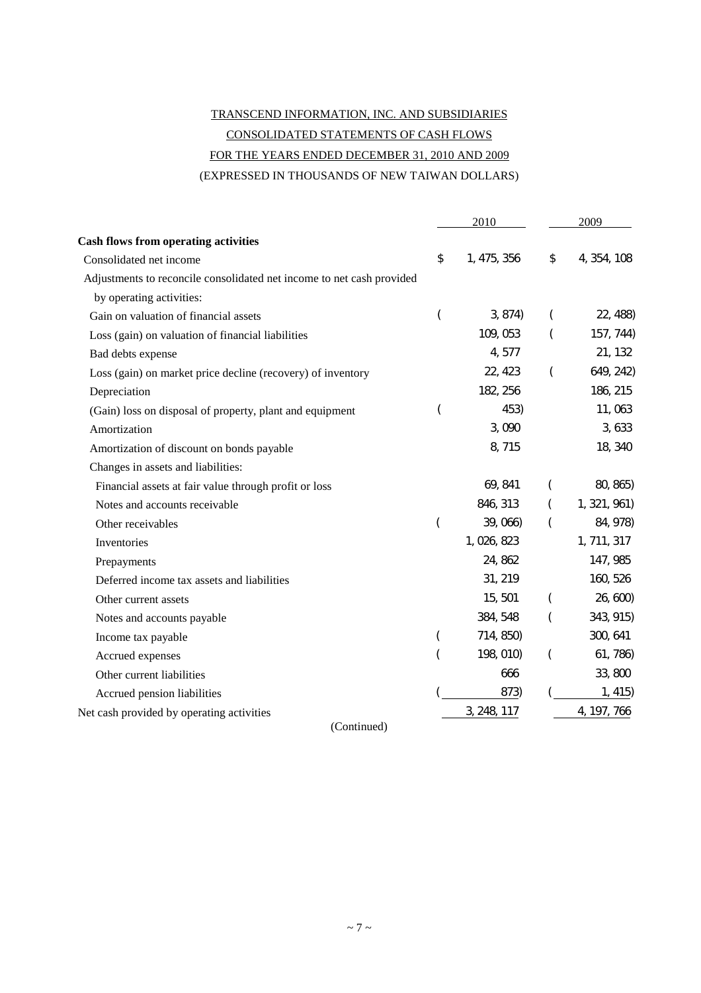# TRANSCEND INFORMATION, INC. AND SUBSIDIARIES CONSOLIDATED STATEMENTS OF CASH FLOWS FOR THE YEARS ENDED DECEMBER 31, 2010 AND 2009 (EXPRESSED IN THOUSANDS OF NEW TAIWAN DOLLARS)

|                                                                       |    | 2010        | 2009     |              |
|-----------------------------------------------------------------------|----|-------------|----------|--------------|
| <b>Cash flows from operating activities</b>                           |    |             |          |              |
| Consolidated net income                                               | \$ | 1, 475, 356 | \$       | 4, 354, 108  |
| Adjustments to reconcile consolidated net income to net cash provided |    |             |          |              |
| by operating activities:                                              |    |             |          |              |
| Gain on valuation of financial assets                                 | (  | 3, 874)     |          | 22, 488)     |
| Loss (gain) on valuation of financial liabilities                     |    | 109, 053    |          | 157, 744)    |
| Bad debts expense                                                     |    | 4,577       |          | 21, 132      |
| Loss (gain) on market price decline (recovery) of inventory           |    | 22, 423     | $\left($ | 649, 242)    |
| Depreciation                                                          |    | 182, 256    |          | 186, 215     |
| (Gain) loss on disposal of property, plant and equipment              | (  | 453)        |          | 11,063       |
| Amortization                                                          |    | 3,090       |          | 3, 633       |
| Amortization of discount on bonds payable                             |    | 8,715       |          | 18, 340      |
| Changes in assets and liabilities:                                    |    |             |          |              |
| Financial assets at fair value through profit or loss                 |    | 69, 841     |          | 80, 865)     |
| Notes and accounts receivable                                         |    | 846, 313    |          | 1, 321, 961) |
| Other receivables                                                     |    | 39, 066)    |          | 84, 978)     |
| Inventories                                                           |    | 1, 026, 823 |          | 1, 711, 317  |
| Prepayments                                                           |    | 24, 862     |          | 147, 985     |
| Deferred income tax assets and liabilities                            |    | 31, 219     |          | 160, 526     |
| Other current assets                                                  |    | 15,501      |          | 26, 600)     |
| Notes and accounts payable                                            |    | 384, 548    |          | 343, 915)    |
| Income tax payable                                                    | (  | 714, 850)   |          | 300, 641     |
| Accrued expenses                                                      |    | 198, 010)   |          | 61, 786)     |
| Other current liabilities                                             |    | 666         |          | 33,800       |
| Accrued pension liabilities                                           |    | 873)        |          | 1, 415)      |
| Net cash provided by operating activities                             |    | 3, 248, 117 |          | 4, 197, 766  |

(Continued)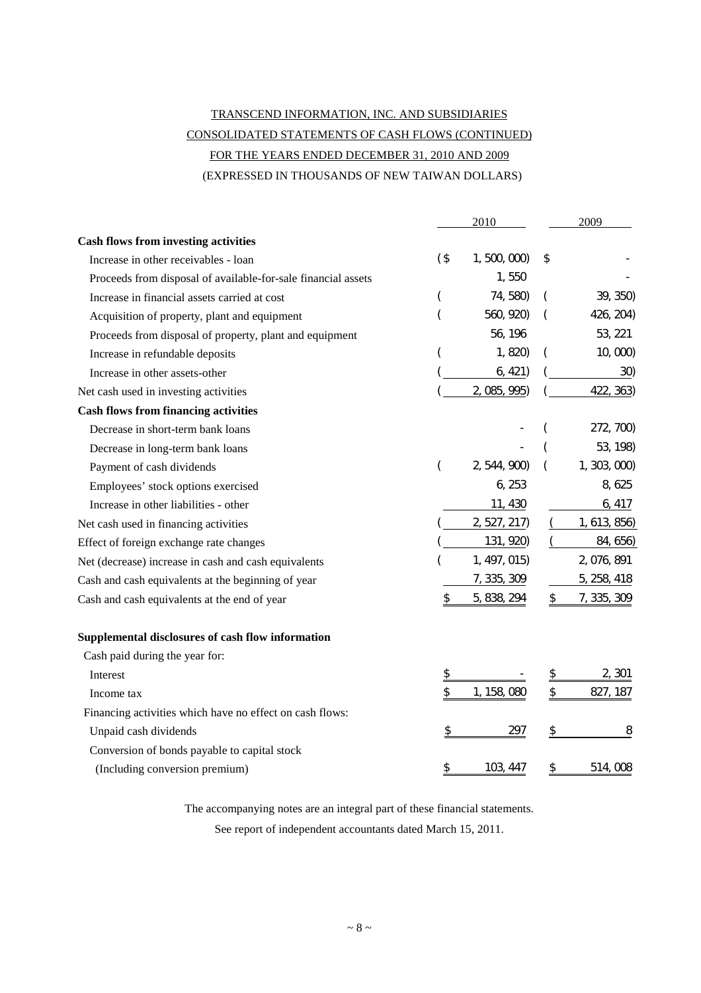# TRANSCEND INFORMATION, INC. AND SUBSIDIARIES CONSOLIDATED STATEMENTS OF CASH FLOWS (CONTINUED) FOR THE YEARS ENDED DECEMBER 31, 2010 AND 2009 (EXPRESSED IN THOUSANDS OF NEW TAIWAN DOLLARS)

|                                                               |          | 2010         |          |              |
|---------------------------------------------------------------|----------|--------------|----------|--------------|
| <b>Cash flows from investing activities</b>                   |          |              |          |              |
| Increase in other receivables - loan                          | $($ \$   | 1, 500, 000  | \$       |              |
| Proceeds from disposal of available-for-sale financial assets |          | 1,550        |          |              |
| Increase in financial assets carried at cost                  | $\left($ | 74, 580)     | $\left($ | 39, 350)     |
| Acquisition of property, plant and equipment                  |          | 560, 920)    |          | 426, 204)    |
| Proceeds from disposal of property, plant and equipment       |          | 56, 196      |          | 53, 221      |
| Increase in refundable deposits                               |          | 1,820)       |          | 10, 000      |
| Increase in other assets-other                                |          | 6, 421)      |          | 30)          |
| Net cash used in investing activities                         |          | 2, 085, 995) |          | 422, 363)    |
| <b>Cash flows from financing activities</b>                   |          |              |          |              |
| Decrease in short-term bank loans                             |          |              |          | 272, 700)    |
| Decrease in long-term bank loans                              |          |              |          | 53, 198)     |
| Payment of cash dividends                                     | $\left($ | 2, 544, 900) |          | 1, 303, 000  |
| Employees' stock options exercised                            |          | 6, 253       |          | 8, 625       |
| Increase in other liabilities - other                         |          | 11, 430      |          | 6, 417       |
| Net cash used in financing activities                         |          | 2, 527, 217) |          | 1, 613, 856) |
| Effect of foreign exchange rate changes                       |          | 131, 920)    |          | 84, 656)     |
| Net (decrease) increase in cash and cash equivalents          |          | 1, 497, 015) |          | 2, 076, 891  |
| Cash and cash equivalents at the beginning of year            |          | 7, 335, 309  |          | 5, 258, 418  |
| Cash and cash equivalents at the end of year                  | \$       | 5, 838, 294  | \$       | 7, 335, 309  |
| Supplemental disclosures of cash flow information             |          |              |          |              |
| Cash paid during the year for:                                |          |              |          |              |
| Interest                                                      | \$       |              | \$       | 2, 301       |
| Income tax                                                    | \$       | 1, 158, 080  | \$       | 827, 187     |
| Financing activities which have no effect on cash flows:      |          |              |          |              |
| Unpaid cash dividends                                         | \$       | 297          | \$       | 8            |
| Conversion of bonds payable to capital stock                  |          |              |          |              |
| (Including conversion premium)                                | \$       | 103, 447     | \$       | 514,008      |

The accompanying notes are an integral part of these financial statements.

See report of independent accountants dated March 15, 2011.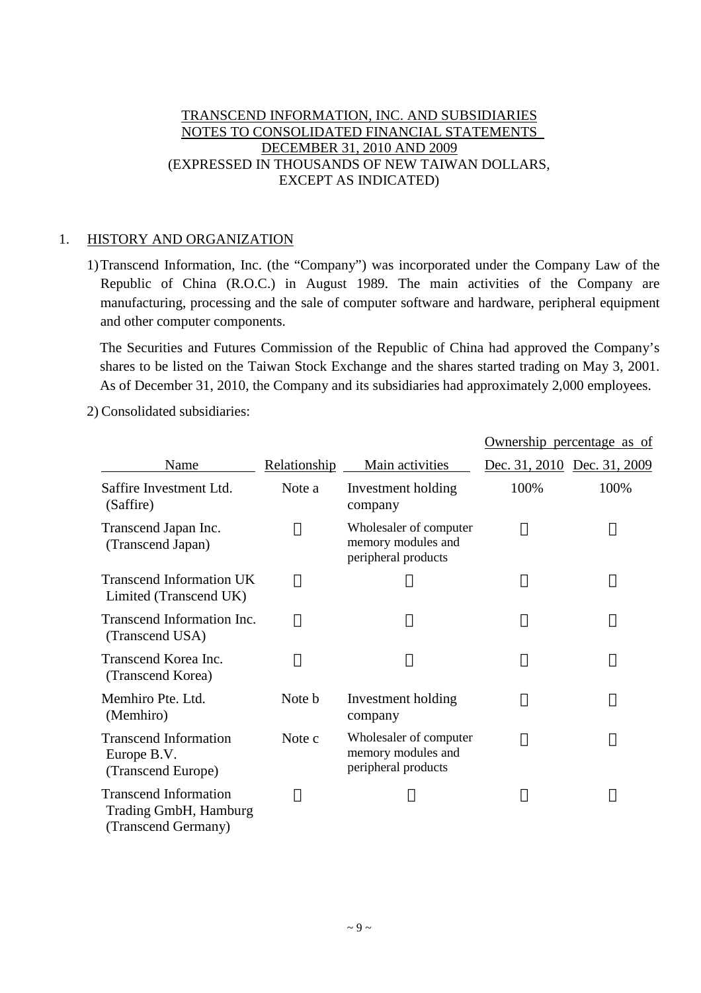## TRANSCEND INFORMATION, INC. AND SUBSIDIARIES NOTES TO CONSOLIDATED FINANCIAL STATEMENTS DECEMBER 31, 2010 AND 2009 (EXPRESSED IN THOUSANDS OF NEW TAIWAN DOLLARS, EXCEPT AS INDICATED)

#### 1. HISTORY AND ORGANIZATION

1)Transcend Information, Inc. (the "Company") was incorporated under the Company Law of the Republic of China (R.O.C.) in August 1989. The main activities of the Company are manufacturing, processing and the sale of computer software and hardware, peripheral equipment and other computer components.

The Securities and Futures Commission of the Republic of China had approved the Company's shares to be listed on the Taiwan Stock Exchange and the shares started trading on May 3, 2001. As of December 31, 2010, the Company and its subsidiaries had approximately 2,000 employees.

2) Consolidated subsidiaries:

|                                                                              |              |                                                                     |      | Ownership percentage as of  |
|------------------------------------------------------------------------------|--------------|---------------------------------------------------------------------|------|-----------------------------|
| Name                                                                         | Relationship | Main activities                                                     |      | Dec. 31, 2010 Dec. 31, 2009 |
| Saffire Investment Ltd.<br>(Saffire)                                         | Note a       | Investment holding<br>company                                       | 100% | 100%                        |
| Transcend Japan Inc.<br>(Transcend Japan)                                    |              | Wholesaler of computer<br>memory modules and<br>peripheral products |      |                             |
| <b>Transcend Information UK</b><br>Limited (Transcend UK)                    |              |                                                                     |      |                             |
| Transcend Information Inc.<br>(Transcend USA)                                |              |                                                                     |      |                             |
| Transcend Korea Inc.<br>(Transcend Korea)                                    |              |                                                                     |      |                             |
| Memhiro Pte. Ltd.<br>(Memhiro)                                               | Note b       | Investment holding<br>company                                       |      |                             |
| <b>Transcend Information</b><br>Europe B.V.<br>(Transcend Europe)            | Note c       | Wholesaler of computer<br>memory modules and<br>peripheral products |      |                             |
| <b>Transcend Information</b><br>Trading GmbH, Hamburg<br>(Transcend Germany) |              |                                                                     |      |                             |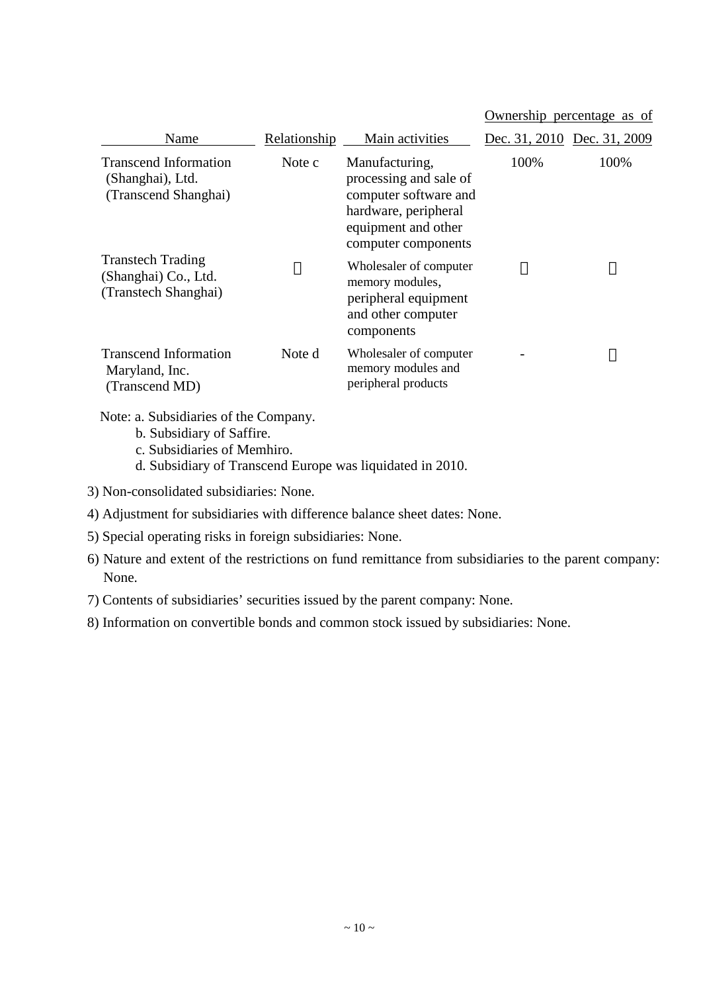#### Ownership percentage as of

| Name                                                                     | Relationship | Main activities                                                                                                                         | Dec. 31, 2010 Dec. 31, 2009 |      |
|--------------------------------------------------------------------------|--------------|-----------------------------------------------------------------------------------------------------------------------------------------|-----------------------------|------|
| <b>Transcend Information</b><br>(Shanghai), Ltd.<br>(Transcend Shanghai) | Note c       | Manufacturing,<br>processing and sale of<br>computer software and<br>hardware, peripheral<br>equipment and other<br>computer components | 100%                        | 100% |
| <b>Transtech Trading</b><br>(Shanghai) Co., Ltd.<br>(Transtech Shanghai) |              | Wholesaler of computer<br>memory modules,<br>peripheral equipment<br>and other computer<br>components                                   |                             |      |
| <b>Transcend Information</b><br>Maryland, Inc.<br>(Transcend MD)         | Note d       | Wholesaler of computer<br>memory modules and<br>peripheral products                                                                     |                             |      |

Note: a. Subsidiaries of the Company.

- b. Subsidiary of Saffire.
- c. Subsidiaries of Memhiro.
- d. Subsidiary of Transcend Europe was liquidated in 2010.
- 3) Non-consolidated subsidiaries: None.
- 4) Adjustment for subsidiaries with difference balance sheet dates: None.
- 5) Special operating risks in foreign subsidiaries: None.
- 6) Nature and extent of the restrictions on fund remittance from subsidiaries to the parent company: None.
- 7) Contents of subsidiaries'securities issued by the parent company: None.
- 8) Information on convertible bonds and common stock issued by subsidiaries: None.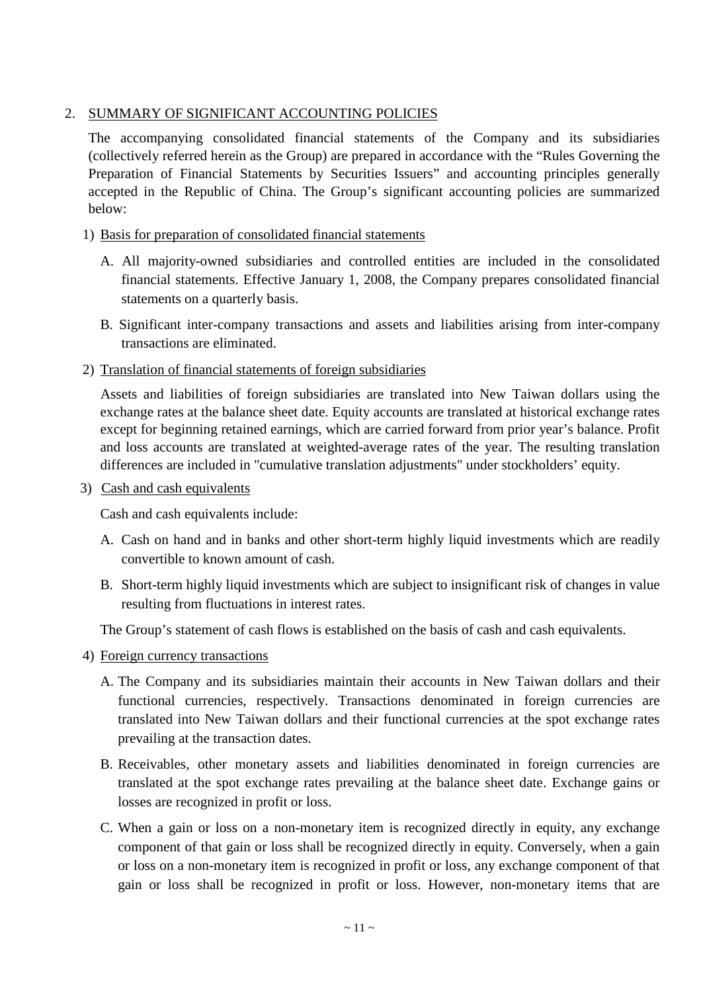## 2. SUMMARY OF SIGNIFICANT ACCOUNTING POLICIES

The accompanying consolidated financial statements of the Company and its subsidiaries (collectively referred herein as the Group) are prepared in accordance with the "Rules Governing the Preparation of Financial Statements by Securities Issuers" and accounting principles generally accepted in the Republic of China. The Group's significant accounting policies are summarized below:

## 1) Basis for preparation of consolidated financial statements

- A. All majority-owned subsidiaries and controlled entities are included in the consolidated financial statements. Effective January 1, 2008, the Company prepares consolidated financial statements on a quarterly basis.
- B. Significant inter-company transactions and assets and liabilities arising from inter-company transactions are eliminated.

#### 2) Translation of financial statements of foreign subsidiaries

Assets and liabilities of foreign subsidiaries are translated into New Taiwan dollars using the exchange rates at the balance sheet date. Equity accounts are translated at historical exchange rates except for beginning retained earnings, which are carried forward from prior year's balance. Profit and loss accounts are translated at weighted-average rates of the year. The resulting translation differences are included in "cumulative translation adjustments" under stockholders'equity.

#### 3) Cash and cash equivalents

Cash and cash equivalents include:

- A. Cash on hand and in banks and other short-term highly liquid investments which are readily convertible to known amount of cash.
- B. Short-term highly liquid investments which are subject to insignificant risk of changes in value resulting from fluctuations in interest rates.

The Group's statement of cash flows is established on the basis of cash and cash equivalents.

- 4) Foreign currency transactions
	- A. The Company and its subsidiaries maintain their accounts in New Taiwan dollars and their functional currencies, respectively. Transactions denominated in foreign currencies are translated into New Taiwan dollars and their functional currencies at the spot exchange rates prevailing at the transaction dates.
	- B. Receivables, other monetary assets and liabilities denominated in foreign currencies are translated at the spot exchange rates prevailing at the balance sheet date. Exchange gains or losses are recognized in profit or loss.
	- C. When a gain or loss on a non-monetary item is recognized directly in equity, any exchange component of that gain or loss shall be recognized directly in equity. Conversely, when a gain or loss on a non-monetary item is recognized in profit or loss, any exchange component of that gain or loss shall be recognized in profit or loss. However, non-monetary items that are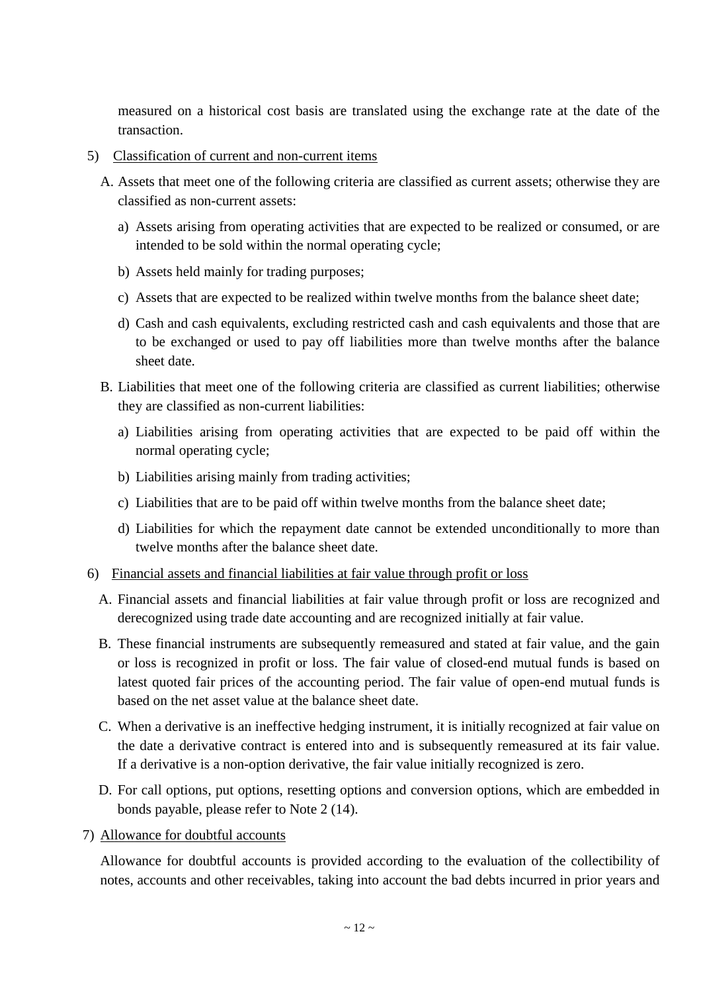measured on a historical cost basis are translated using the exchange rate at the date of the transaction.

- 5) Classification of current and non-current items
	- A. Assets that meet one of the following criteria are classified as current assets; otherwise they are classified as non-current assets:
		- a) Assets arising from operating activities that are expected to be realized or consumed, or are intended to be sold within the normal operating cycle;
		- b) Assets held mainly for trading purposes;
		- c) Assets that are expected to be realized within twelve months from the balance sheet date;
		- d) Cash and cash equivalents, excluding restricted cash and cash equivalents and those that are to be exchanged or used to pay off liabilities more than twelve months after the balance sheet date.
	- B. Liabilities that meet one of the following criteria are classified as current liabilities; otherwise they are classified as non-current liabilities:
		- a) Liabilities arising from operating activities that are expected to be paid off within the normal operating cycle;
		- b) Liabilities arising mainly from trading activities;
		- c) Liabilities that are to be paid off within twelve months from the balance sheet date;
		- d) Liabilities for which the repayment date cannot be extended unconditionally to more than twelve months after the balance sheet date.
- 6) Financial assets and financial liabilities at fair value through profit or loss
	- A. Financial assets and financial liabilities at fair value through profit or loss are recognized and derecognized using trade date accounting and are recognized initially at fair value.
	- B. These financial instruments are subsequently remeasured and stated at fair value, and the gain or loss is recognized in profit or loss. The fair value of closed-end mutual funds is based on latest quoted fair prices of the accounting period. The fair value of open-end mutual funds is based on the net asset value at the balance sheet date.
	- C. When a derivative is an ineffective hedging instrument, it is initially recognized at fair value on the date a derivative contract is entered into and is subsequently remeasured at its fair value. If a derivative is a non-option derivative, the fair value initially recognized is zero.
	- D. For call options, put options, resetting options and conversion options, which are embedded in bonds payable, please refer to Note 2 (14).
- 7) Allowance for doubtful accounts

Allowance for doubtful accounts is provided according to the evaluation of the collectibility of notes, accounts and other receivables, taking into account the bad debts incurred in prior years and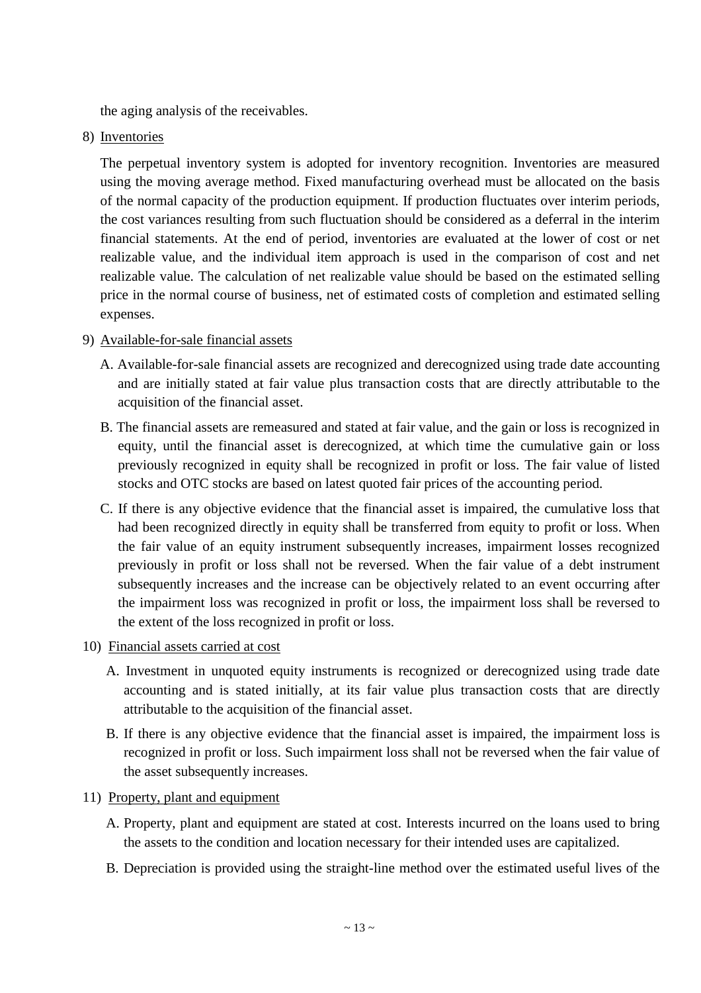the aging analysis of the receivables.

8) Inventories

The perpetual inventory system is adopted for inventory recognition. Inventories are measured using the moving average method. Fixed manufacturing overhead must be allocated on the basis of the normal capacity of the production equipment. If production fluctuates over interim periods, the cost variances resulting from such fluctuation should be considered as a deferral in the interim financial statements. At the end of period, inventories are evaluated at the lower of cost or net realizable value, and the individual item approach is used in the comparison of cost and net realizable value. The calculation of net realizable value should be based on the estimated selling price in the normal course of business, net of estimated costs of completion and estimated selling expenses.

## 9) Available-for-sale financial assets

- A. Available-for-sale financial assets are recognized and derecognized using trade date accounting and are initially stated at fair value plus transaction costs that are directly attributable to the acquisition of the financial asset.
- B. The financial assets are remeasured and stated at fair value, and the gain or loss is recognized in equity, until the financial asset is derecognized, at which time the cumulative gain or loss previously recognized in equity shall be recognized in profit or loss. The fair value of listed stocks and OTC stocks are based on latest quoted fair prices of the accounting period.
- C. If there is any objective evidence that the financial asset is impaired, the cumulative loss that had been recognized directly in equity shall be transferred from equity to profit or loss. When the fair value of an equity instrument subsequently increases, impairment losses recognized previously in profit or loss shall not be reversed. When the fair value of a debt instrument subsequently increases and the increase can be objectively related to an event occurring after the impairment loss was recognized in profit or loss, the impairment loss shall be reversed to the extent of the loss recognized in profit or loss.
- 10) Financial assets carried at cost
	- A. Investment in unquoted equity instruments is recognized or derecognized using trade date accounting and is stated initially, at its fair value plus transaction costs that are directly attributable to the acquisition of the financial asset.
	- B. If there is any objective evidence that the financial asset is impaired, the impairment loss is recognized in profit or loss. Such impairment loss shall not be reversed when the fair value of the asset subsequently increases.
- 11) Property, plant and equipment
	- A. Property, plant and equipment are stated at cost. Interests incurred on the loans used to bring the assets to the condition and location necessary for their intended uses are capitalized.
	- B. Depreciation is provided using the straight-line method over the estimated useful lives of the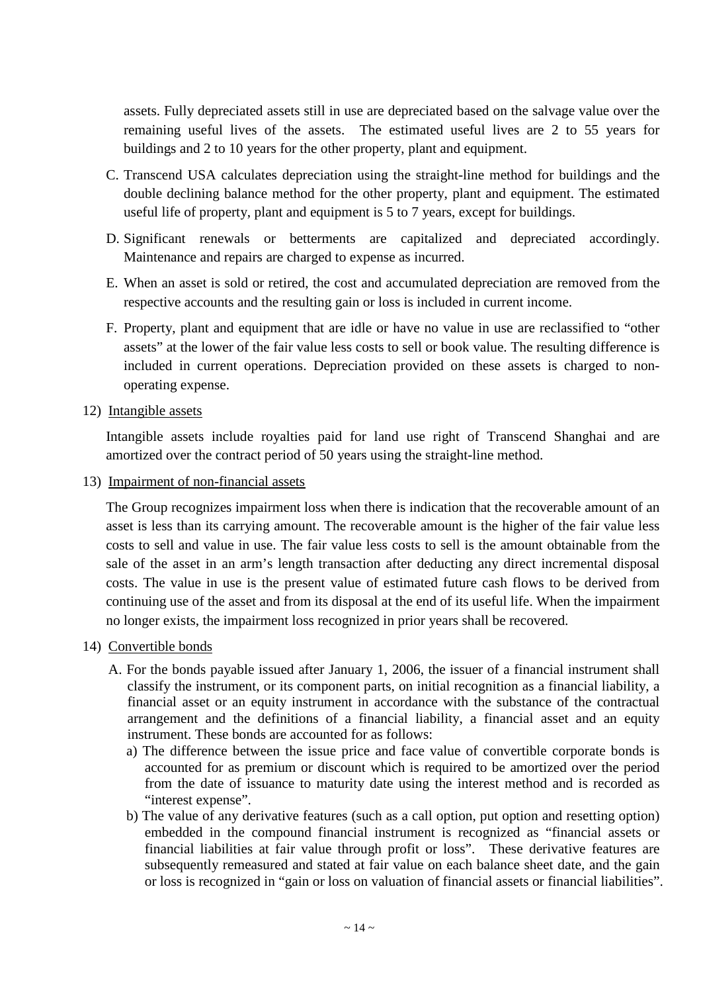assets. Fully depreciated assets still in use are depreciated based on the salvage value over the remaining useful lives of the assets. The estimated useful lives are 2 to 55 years for buildings and 2 to 10 years for the other property, plant and equipment.

- C. Transcend USA calculates depreciation using the straight-line method for buildings and the double declining balance method for the other property, plant and equipment. The estimated useful life of property, plant and equipment is 5 to 7 years, except for buildings.
- D. Significant renewals or betterments are capitalized and depreciated accordingly. Maintenance and repairs are charged to expense as incurred.
- E. When an asset is sold or retired, the cost and accumulated depreciation are removed from the respective accounts and the resulting gain or loss is included in current income.
- F. Property, plant and equipment that are idle or have no value in use are reclassified to "other assets" at the lower of the fair value less costs to sell or book value. The resulting difference is included in current operations. Depreciation provided on these assets is charged to nonoperating expense.
- 12) Intangible assets

Intangible assets include royalties paid for land use right of Transcend Shanghai and are amortized over the contract period of 50 years using the straight-line method.

13) Impairment of non-financial assets

The Group recognizes impairment loss when there is indication that the recoverable amount of an asset is less than its carrying amount. The recoverable amount is the higher of the fair value less costs to sell and value in use. The fair value less costs to sell is the amount obtainable from the sale of the asset in an arm's length transaction after deducting any direct incremental disposal costs. The value in use is the present value of estimated future cash flows to be derived from continuing use of the asset and from its disposal at the end of its useful life. When the impairment no longer exists, the impairment loss recognized in prior years shall be recovered.

- 14) Convertible bonds
	- A. For the bonds payable issued after January 1, 2006, the issuer of a financial instrument shall classify the instrument, or its component parts, on initial recognition as a financial liability, a financial asset or an equity instrument in accordance with the substance of the contractual arrangement and the definitions of a financial liability, a financial asset and an equity instrument. These bonds are accounted for as follows:
		- a) The difference between the issue price and face value of convertible corporate bonds is accounted for as premium or discount which is required to be amortized over the period from the date of issuance to maturity date using the interest method and is recorded as "interest expense".
		- b) The value of any derivative features (such as a call option, put option and resetting option) embedded in the compound financial instrument is recognized as "financial assets or financial liabilities at fair value through profit or loss". These derivative features are subsequently remeasured and stated at fair value on each balance sheet date, and the gain or loss is recognized in "gain or loss on valuation of financial assets or financial liabilities".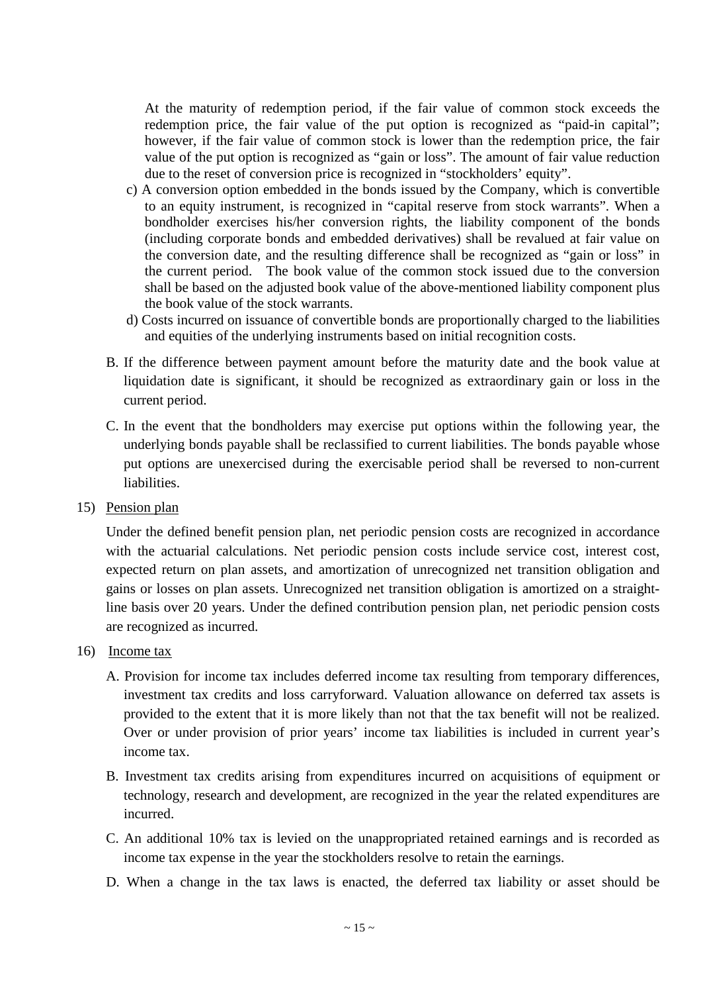At the maturity of redemption period, if the fair value of common stock exceeds the redemption price, the fair value of the put option is recognized as "paid-in capital"; however, if the fair value of common stock is lower than the redemption price, the fair value of the put option is recognized as "gain or loss". The amount of fair value reduction due to the reset of conversion price is recognized in "stockholders'equity".

- c) A conversion option embedded in the bonds issued by the Company, which is convertible to an equity instrument, is recognized in "capital reserve from stock warrants". When a bondholder exercises his/her conversion rights, the liability component of the bonds (including corporate bonds and embedded derivatives) shall be revalued at fair value on the conversion date, and the resulting difference shall be recognized as "gain or loss" in the current period. The book value of the common stock issued due to the conversion shall be based on the adjusted book value of the above-mentioned liability component plus the book value of the stock warrants.
- d) Costs incurred on issuance of convertible bonds are proportionally charged to the liabilities and equities of the underlying instruments based on initial recognition costs.
- B. If the difference between payment amount before the maturity date and the book value at liquidation date is significant, it should be recognized as extraordinary gain or loss in the current period.
- C. In the event that the bondholders may exercise put options within the following year, the underlying bonds payable shall be reclassified to current liabilities. The bonds payable whose put options are unexercised during the exercisable period shall be reversed to non-current liabilities.
- 15) Pension plan

Under the defined benefit pension plan, net periodic pension costs are recognized in accordance with the actuarial calculations. Net periodic pension costs include service cost, interest cost, expected return on plan assets, and amortization of unrecognized net transition obligation and gains or losses on plan assets. Unrecognized net transition obligation is amortized on a straightline basis over 20 years. Under the defined contribution pension plan, net periodic pension costs are recognized as incurred.

- 16) Income tax
	- A. Provision for income tax includes deferred income tax resulting from temporary differences, investment tax credits and loss carryforward. Valuation allowance on deferred tax assets is provided to the extent that it is more likely than not that the tax benefit will not be realized. Over or under provision of prior years' income tax liabilities is included in current year's income tax.
	- B. Investment tax credits arising from expenditures incurred on acquisitions of equipment or technology, research and development, are recognized in the year the related expenditures are incurred.
	- C. An additional 10% tax is levied on the unappropriated retained earnings and is recorded as income tax expense in the year the stockholders resolve to retain the earnings.
	- D. When a change in the tax laws is enacted, the deferred tax liability or asset should be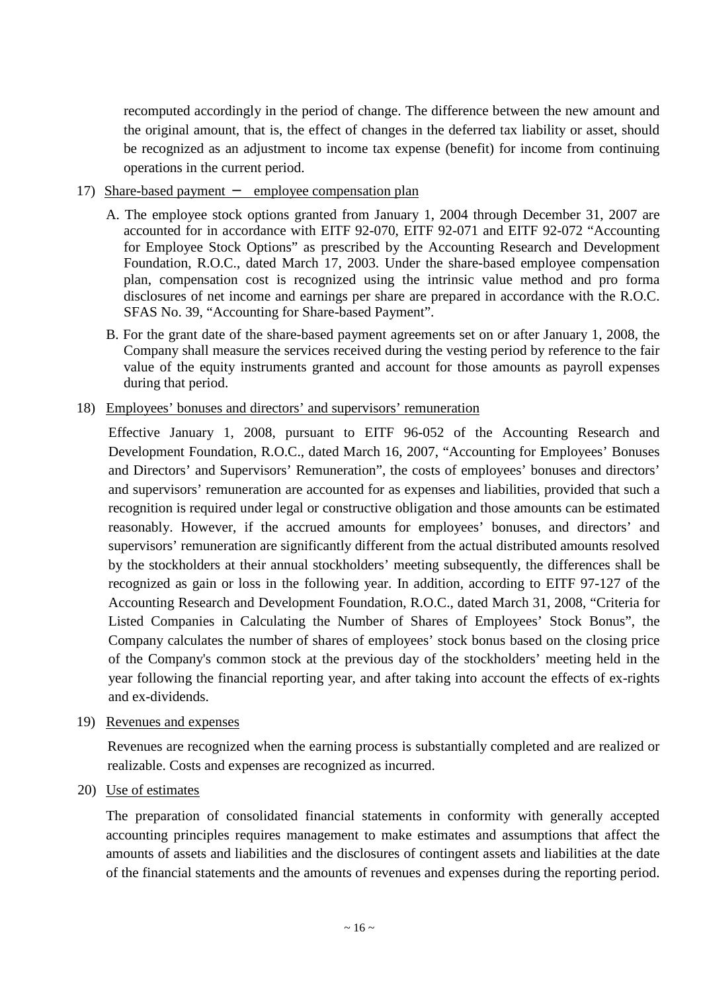recomputed accordingly in the period of change. The difference between the new amount and the original amount, that is, the effect of changes in the deferred tax liability or asset, should be recognized as an adjustment to income tax expense (benefit) for income from continuing operations in the current period.

#### 17) Share-based payment employee compensation plan

- A. The employee stock options granted from January 1, 2004 through December 31, 2007 are accounted for in accordance with EITF 92-070, EITF 92-071 and EITF 92-072 "Accounting for Employee Stock Options" as prescribed by the Accounting Research and Development Foundation, R.O.C., dated March 17, 2003. Under the share-based employee compensation plan, compensation cost is recognized using the intrinsic value method and pro forma disclosures of net income and earnings per share are prepared in accordance with the R.O.C. SFAS No. 39, "Accounting for Share-based Payment".
- B. For the grant date of the share-based payment agreements set on or after January 1, 2008, the Company shall measure the services received during the vesting period by reference to the fair value of the equity instruments granted and account for those amounts as payroll expenses during that period.

#### 18) Employees'bonuses and directors'and supervisors'remuneration

Effective January 1, 2008, pursuant to EITF 96-052 of the Accounting Research and Development Foundation, R.O.C., dated March 16, 2007, "Accounting for Employees' Bonuses and Directors' and Supervisors'Remuneration", the costs of employees' bonuses and directors' and supervisors'remuneration are accounted for as expenses and liabilities, provided that such a recognition is required under legal or constructive obligation and those amounts can be estimated reasonably. However, if the accrued amounts for employees' bonuses, and directors' and supervisors' remuneration are significantly different from the actual distributed amounts resolved by the stockholders at their annual stockholders' meeting subsequently, the differences shall be recognized as gain or loss in the following year. In addition, according to EITF 97-127 of the Accounting Research and Development Foundation, R.O.C., dated March 31, 2008, "Criteria for Listed Companies in Calculating the Number of Shares of Employees' Stock Bonus", the Company calculates the number of shares of employees' stock bonus based on the closing price of the Company's common stock at the previous day of the stockholders' meeting held in the year following the financial reporting year, and after taking into account the effects of ex-rights and ex-dividends.

19) Revenues and expenses

Revenues are recognized when the earning process is substantially completed and are realized or realizable. Costs and expenses are recognized as incurred.

20) Use of estimates

The preparation of consolidated financial statements in conformity with generally accepted accounting principles requires management to make estimates and assumptions that affect the amounts of assets and liabilities and the disclosures of contingent assets and liabilities at the date of the financial statements and the amounts of revenues and expenses during the reporting period.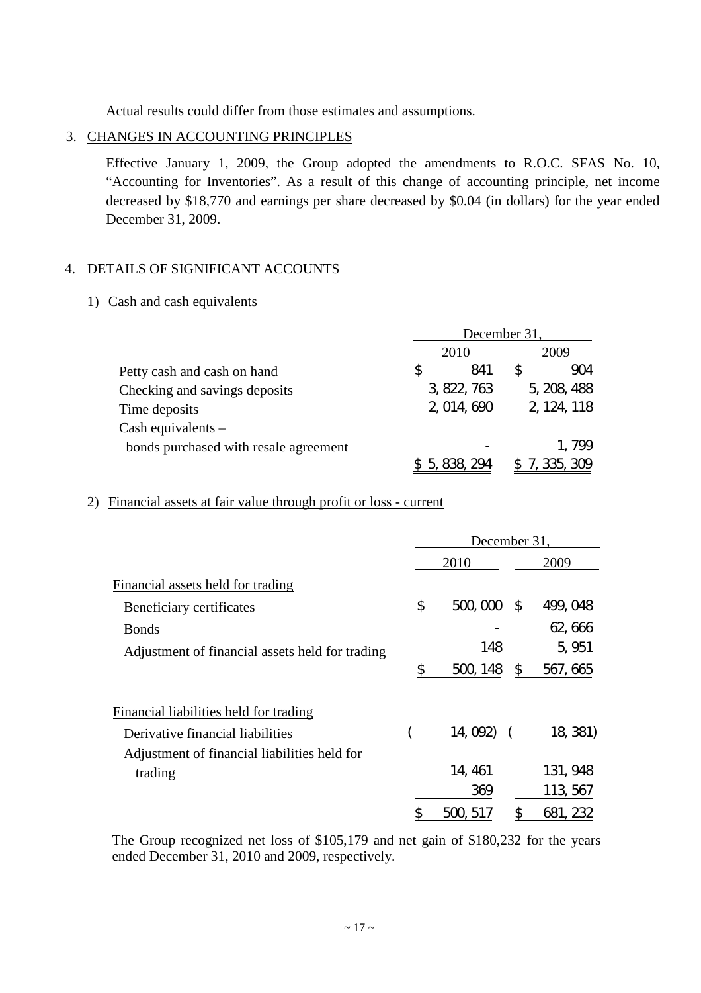Actual results could differ from those estimates and assumptions.

## 3. CHANGES IN ACCOUNTING PRINCIPLES

Effective January 1, 2009, the Group adopted the amendments to R.O.C. SFAS No. 10, "Accounting for Inventories". As a result of this change of accounting principle, net income decreased by \$18,770 and earnings per share decreased by \$0.04 (in dollars) for the year ended December 31, 2009.

## 4. DETAILS OF SIGNIFICANT ACCOUNTS

## 1) Cash and cash equivalents

|                                       | December 31, |             |  |             |
|---------------------------------------|--------------|-------------|--|-------------|
|                                       |              | 2010        |  | 2009        |
| Petty cash and cash on hand           |              | 841         |  | 904         |
| Checking and savings deposits         |              | 3, 822, 763 |  | 5, 208, 488 |
| Time deposits                         |              | 2, 014, 690 |  | 2, 124, 118 |
| Cash equivalents $-$                  |              |             |  |             |
| bonds purchased with resale agreement |              |             |  | 1.799       |
|                                       |              | 5, 838, 294 |  | 335, 309    |

## 2) Financial assets at fair value through profit or loss - current

|                                                 | December 31,         |          |  |  |
|-------------------------------------------------|----------------------|----------|--|--|
|                                                 | 2010                 | 2009     |  |  |
| Financial assets held for trading               |                      |          |  |  |
| Beneficiary certificates                        | \$<br>500,000<br>- S | 499, 048 |  |  |
| <b>Bonds</b>                                    |                      | 62,666   |  |  |
| Adjustment of financial assets held for trading | 148                  | 5, 951   |  |  |
|                                                 | \$<br>500, 148<br>\$ | 567, 665 |  |  |
| Financial liabilities held for trading          |                      |          |  |  |
| Derivative financial liabilities                | $14,092$ (           | 18, 381) |  |  |
| Adjustment of financial liabilities held for    |                      |          |  |  |
| trading                                         | 14, 461              | 131, 948 |  |  |
|                                                 | 369                  | 113, 567 |  |  |
|                                                 | \$<br>500, 517       | 681, 232 |  |  |

The Group recognized net loss of \$105,179 and net gain of \$180,232 for the years ended December 31, 2010 and 2009, respectively.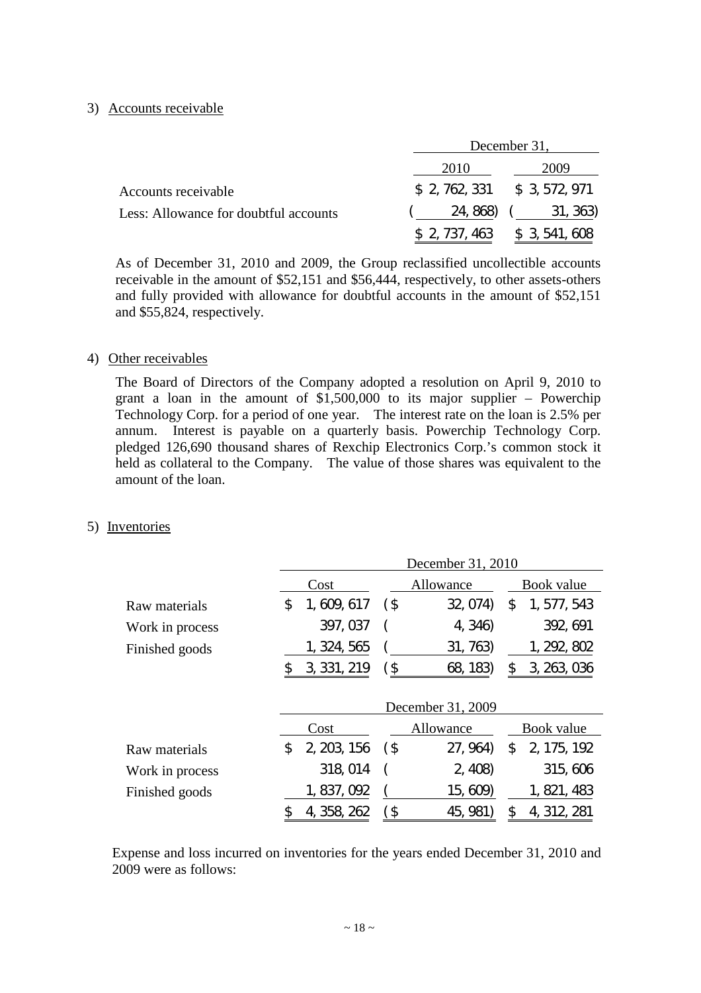#### 3) Accounts receivable

|                                       |                               | December 31,                  |
|---------------------------------------|-------------------------------|-------------------------------|
|                                       | 2010                          | 2009                          |
| Accounts receivable                   | $$2, 762, 331$ $$3, 572, 971$ |                               |
| Less: Allowance for doubtful accounts | 24, 868)                      | 31, 363)                      |
|                                       |                               | $$2, 737, 463$ $$3, 541, 608$ |

As of December 31, 2010 and 2009, the Group reclassified uncollectible accounts receivable in the amount of \$52,151 and \$56,444, respectively, to other assets-others and fully provided with allowance for doubtful accounts in the amount of \$52,151 and \$55,824, respectively.

#### 4) Other receivables

The Board of Directors of the Company adopted a resolution on April 9, 2010 to grant a loan in the amount of \$1,500,000 to its major supplier – Powerchip Technology Corp. for a period of one year. The interest rate on the loan is 2.5% per annum. Interest is payable on a quarterly basis. Powerchip Technology Corp. pledged 126,690 thousand shares of Rexchip Electronics Corp.'s common stock it held as collateral to the Company. The value of those shares was equivalent to the amount of the loan.

#### 5) Inventories

|                 | December 31, 2010 |             |        |                   |    |             |
|-----------------|-------------------|-------------|--------|-------------------|----|-------------|
|                 |                   | Cost        |        | Allowance         |    | Book value  |
| Raw materials   | \$                | 1, 609, 617 | $($ \$ | 32, 074)          | \$ | 1, 577, 543 |
| Work in process |                   | 397, 037    |        | 4, 346)           |    | 392, 691    |
| Finished goods  |                   | 1, 324, 565 |        | 31, 763)          |    | 1, 292, 802 |
|                 |                   | 3, 331, 219 | (\$    | 68, 183)          | \$ | 3, 263, 036 |
|                 |                   |             |        | December 31, 2009 |    |             |
|                 |                   | Cost        |        | Allowance         |    | Book value  |
| Raw materials   | \$                | 2, 203, 156 | (\$    | 27, 964)          | \$ | 2, 175, 192 |
| Work in process |                   | 318, 014    |        | 2,408             |    | 315, 606    |
| Finished goods  |                   | 1, 837, 092 |        | 15, 609)          |    | 1, 821, 483 |
|                 | \$                | 4, 358, 262 | `\$    | 45, 981           | \$ | 4, 312, 281 |

Expense and loss incurred on inventories for the years ended December 31, 2010 and 2009 were as follows: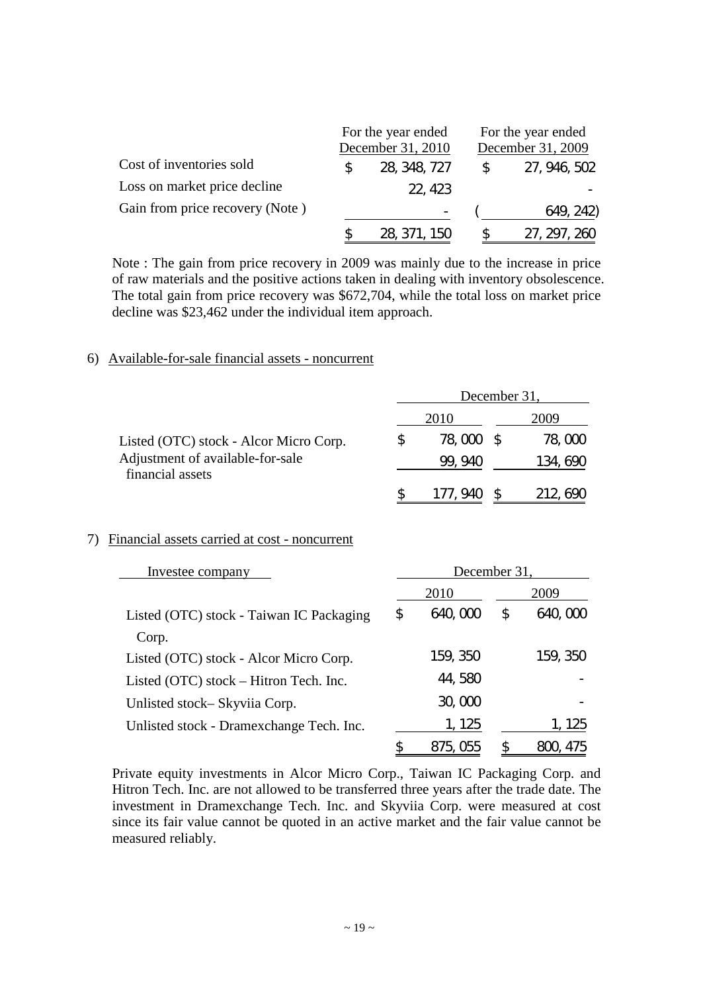|                                 | For the year ended<br>December 31, 2010 | For the year ended<br>December 31, 2009 |              |  |
|---------------------------------|-----------------------------------------|-----------------------------------------|--------------|--|
| Cost of inventories sold        | 28, 348, 727                            | $\mathbb{S}^-$                          | 27, 946, 502 |  |
| Loss on market price decline    | 22, 423                                 |                                         |              |  |
| Gain from price recovery (Note) |                                         |                                         | 649, 242)    |  |
|                                 | 28, 371, 150                            |                                         | 27, 297, 260 |  |

Note : The gain from price recovery in 2009 was mainly due to the increase in price of raw materials and the positive actions taken in dealing with inventory obsolescence. The total gain from price recovery was \$672,704, while the total loss on market price decline was \$23,462 under the individual item approach.

#### 6) Available-for-sale financial assets - noncurrent

|                                                      | December 31, |  |          |
|------------------------------------------------------|--------------|--|----------|
|                                                      | 2010         |  | 2009     |
| Listed (OTC) stock - Alcor Micro Corp.               | 78,000 \$    |  | 78, CCO  |
| Adjustment of available-for-sale<br>financial assets | 99.940       |  | 134, 690 |
|                                                      |              |  | 212, 690 |

#### 7) Financial assets carried at cost - noncurrent

| Investee company                         | December 31, |          |    |          |
|------------------------------------------|--------------|----------|----|----------|
|                                          |              | 2010     |    | 2009     |
| Listed (OTC) stock - Taiwan IC Packaging | \$           | 640,000  | \$ | 640,000  |
| Corp.                                    |              |          |    |          |
| Listed (OTC) stock - Alcor Micro Corp.   |              | 159, 350 |    | 159, 350 |
| Listed (OTC) stock – Hitron Tech. Inc.   |              | 44,580   |    |          |
| Unlisted stock-Skyviia Corp.             |              | 30,000   |    |          |
| Unlisted stock - Dramexchange Tech. Inc. |              | 1, 125   |    | 1, 125   |
|                                          |              | 875. Obb |    | 475      |

Private equity investments in Alcor Micro Corp., Taiwan IC Packaging Corp. and Hitron Tech. Inc. are not allowed to be transferred three years after the trade date. The investment in Dramexchange Tech. Inc. and Skyviia Corp. were measured at cost since its fair value cannot be quoted in an active market and the fair value cannot be measured reliably.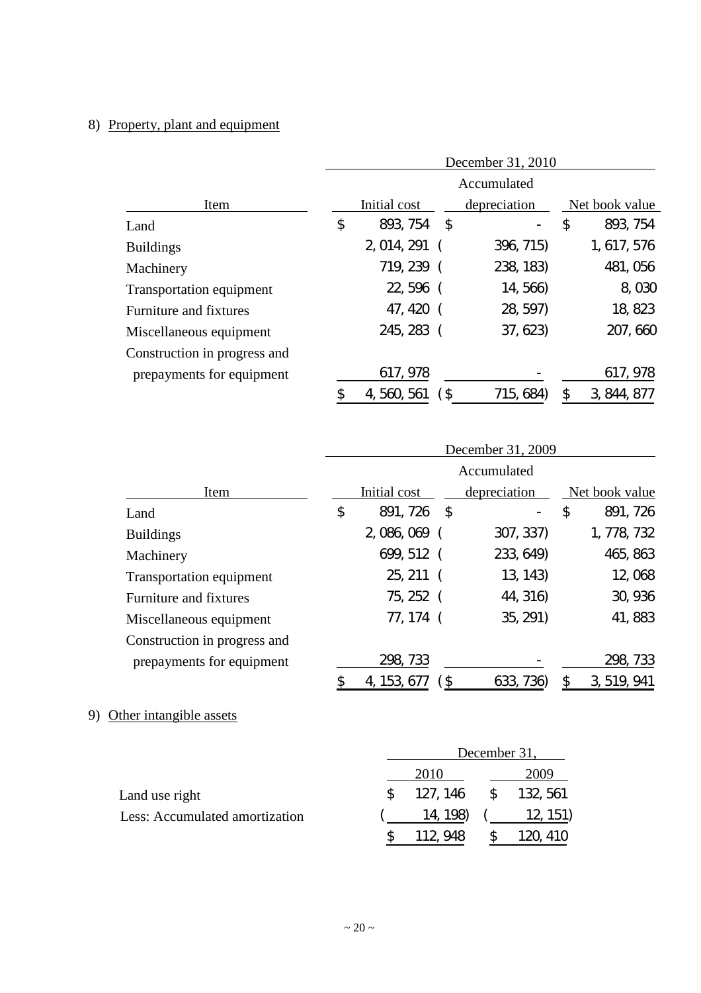# 8) Property, plant and equipment

|                              | December 31, 2010 |              |  |              |    |                |
|------------------------------|-------------------|--------------|--|--------------|----|----------------|
|                              | Accumulated       |              |  |              |    |                |
| Item                         |                   | Initial cost |  | depreciation |    | Net book value |
| Land                         | \$                | 893, 754 \$  |  |              | \$ | 893, 754       |
| <b>Buildings</b>             |                   | 2, 014, 291  |  | 396, 715)    |    | 1, 617, 576    |
| Machinery                    |                   | 719, 239 (   |  | 238, 183)    |    | 481, 056       |
| Transportation equipment     |                   | 22, 596 (    |  | 14, 566)     |    | 8,030          |
| Furniture and fixtures       |                   | 47, 420 (    |  | 28, 597)     |    | 18, 823        |
| Miscellaneous equipment      |                   | 245, 283 (   |  | 37, 623      |    | 207, 660       |
| Construction in progress and |                   |              |  |              |    |                |
| prepayments for equipment    |                   | 617, 978     |  |              |    | 617, 978       |
|                              |                   | 4, 560, 561  |  | 715, 684     |    | 3, 844, 877    |

|                              | December 31, 2009 |              |   |              |    |                |
|------------------------------|-------------------|--------------|---|--------------|----|----------------|
|                              | Accumulated       |              |   |              |    |                |
| Item                         |                   | Initial cost |   | depreciation |    | Net book value |
| Land                         | \$                | 891, 726 \$  |   |              | \$ | 891, 726       |
| <b>Buildings</b>             |                   | 2,086,069 (  |   | 307, 337)    |    | 1, 778, 732    |
| Machinery                    |                   | 699, 512 (   |   | 233, 649)    |    | 465, 863       |
| Transportation equipment     |                   | 25, 211 (    |   | 13, 143      |    | 12,068         |
| Furniture and fixtures       |                   | 75, 252 (    |   | 44, 316)     |    | 30, 936        |
| Miscellaneous equipment      |                   | 77, 174 (    |   | 35, 291)     |    | 41, 883        |
| Construction in progress and |                   |              |   |              |    |                |
| prepayments for equipment    |                   | 298, 733     |   |              |    | 298, 733       |
|                              | \$                | 4, 153, 677  | S | 633, 736)    | \$ | 3, 519, 941    |

# 9) Other intangible assets

|                                | December 31,         |  |          |
|--------------------------------|----------------------|--|----------|
|                                | 2010                 |  | 2009     |
| Land use right                 | 127, 146 \$ 132, 561 |  |          |
| Less: Accumulated amortization | 14, 198)             |  | 12, 151) |
|                                |                      |  |          |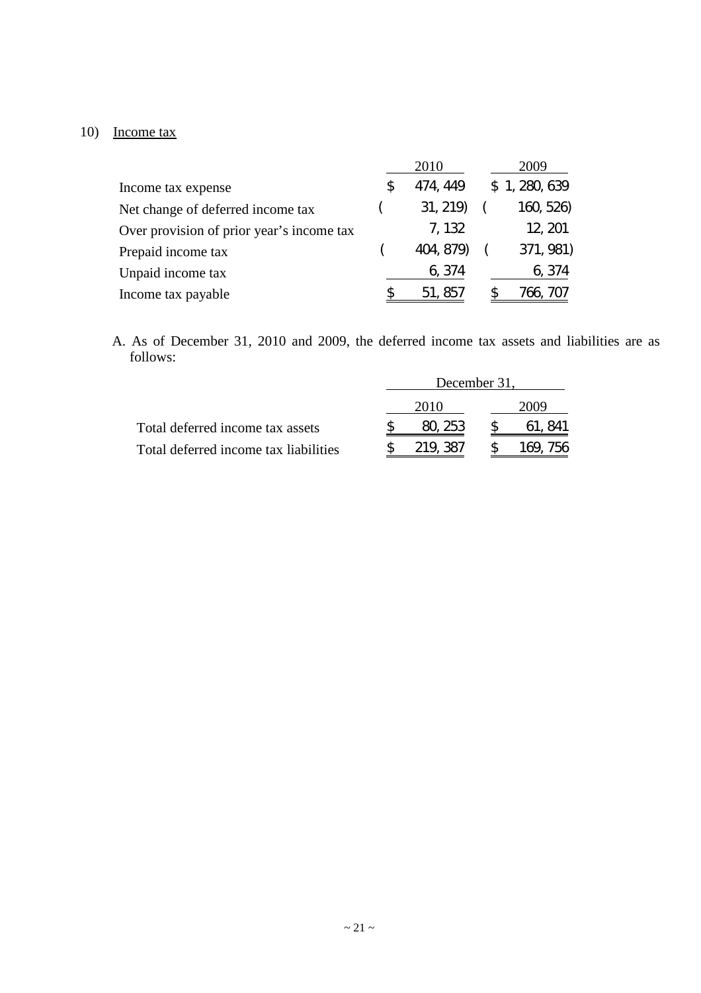# 10) Income tax

|                                           |    | 2010      | 2009          |
|-------------------------------------------|----|-----------|---------------|
| Income tax expense                        | S. | 474, 449  | \$1, 280, 639 |
| Net change of deferred income tax         |    | 31, 219   | 160, 526)     |
| Over provision of prior year's income tax |    | 7, 132    | 12, 201       |
| Prepaid income tax                        |    | 404, 879) | 371, 981)     |
| Unpaid income tax                         |    | 6, 374    | 6, 374        |
| Income tax payable                        |    | 51, 857   | /66.          |

A. As of December 31, 2010 and 2009, the deferred income tax assets and liabilities are as follows:

|                                       | December 31, |         |  |              |
|---------------------------------------|--------------|---------|--|--------------|
|                                       |              | 2010    |  | 2009         |
| Total deferred income tax assets      |              | 80, 253 |  | 61, 841      |
| Total deferred income tax liabilities |              | 219.387 |  | 756<br>169., |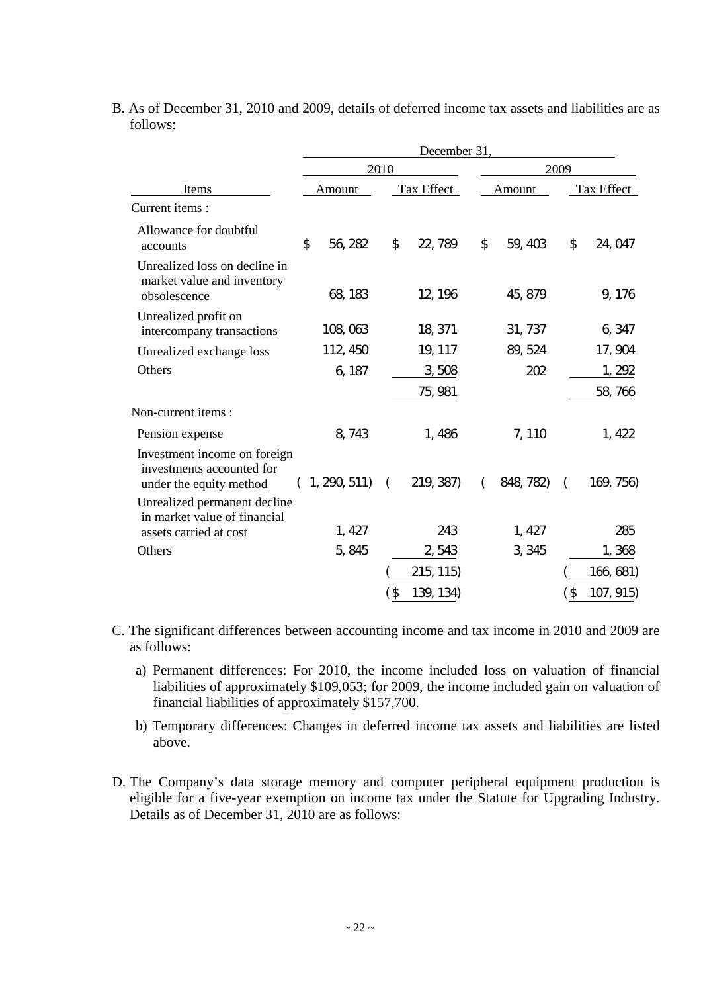|                                                                                      | December 31,  |                         |                           |                       |  |
|--------------------------------------------------------------------------------------|---------------|-------------------------|---------------------------|-----------------------|--|
|                                                                                      |               | 2010                    |                           | 2009                  |  |
| Items                                                                                | Amount        | Tax Effect              | Amount                    | Tax Effect            |  |
| Current items:                                                                       |               |                         |                           |                       |  |
| Allowance for doubtful<br>accounts                                                   | \$<br>56, 282 | 22, 789<br>\$           | $\mathfrak{D}$<br>59, 403 | \$<br>24, 047         |  |
| Unrealized loss on decline in<br>market value and inventory<br>obsolescence          | 68, 183       | 12, 196                 | 45, 879                   | 9, 176                |  |
| Unrealized profit on<br>intercompany transactions                                    | 108,063       | 18, 371                 | 31, 737                   | 6, 347                |  |
| Unrealized exchange loss                                                             | 112, 450      | 19, 117                 | 89, 524                   | 17, 904               |  |
| Others                                                                               | 6, 187        | 3,508                   | 202                       | 1, 292                |  |
|                                                                                      |               | 75, 981                 |                           | 58, 766               |  |
| Non-current items :                                                                  |               |                         |                           |                       |  |
| Pension expense                                                                      | 8, 743        | 1,486                   | 7, 110                    | 1, 422                |  |
| Investment income on foreign<br>investments accounted for<br>under the equity method | (1, 290, 511) | 219, 387)<br>$\sqrt{2}$ | 848, 782)                 | 169, 756)<br>$\left($ |  |
| Unrealized permanent decline<br>in market value of financial                         |               |                         |                           |                       |  |
| assets carried at cost                                                               | 1,427         | 243                     | 1,427                     | 285                   |  |
| Others                                                                               | 5, 845        | 2,543                   | 3, 345                    | 1,368                 |  |
|                                                                                      |               | 215, 115                |                           | <u>166, 681</u> )     |  |
|                                                                                      |               | ์ \$<br>139, 134)       |                           | (\$<br>107, 915       |  |

B. As of December 31, 2010 and 2009, details of deferred income tax assets and liabilities are as follows:

- C. The significant differences between accounting income and tax income in 2010 and 2009 are as follows:
	- a) Permanent differences: For 2010, the income included loss on valuation of financial liabilities of approximately \$109,053; for 2009, the income included gain on valuation of financial liabilities of approximately \$157,700.
	- b) Temporary differences: Changes in deferred income tax assets and liabilities are listed above.
- D. The Company's data storage memory and computer peripheral equipment production is eligible for a five-year exemption on income tax under the Statute for Upgrading Industry. Details as of December 31, 2010 are as follows: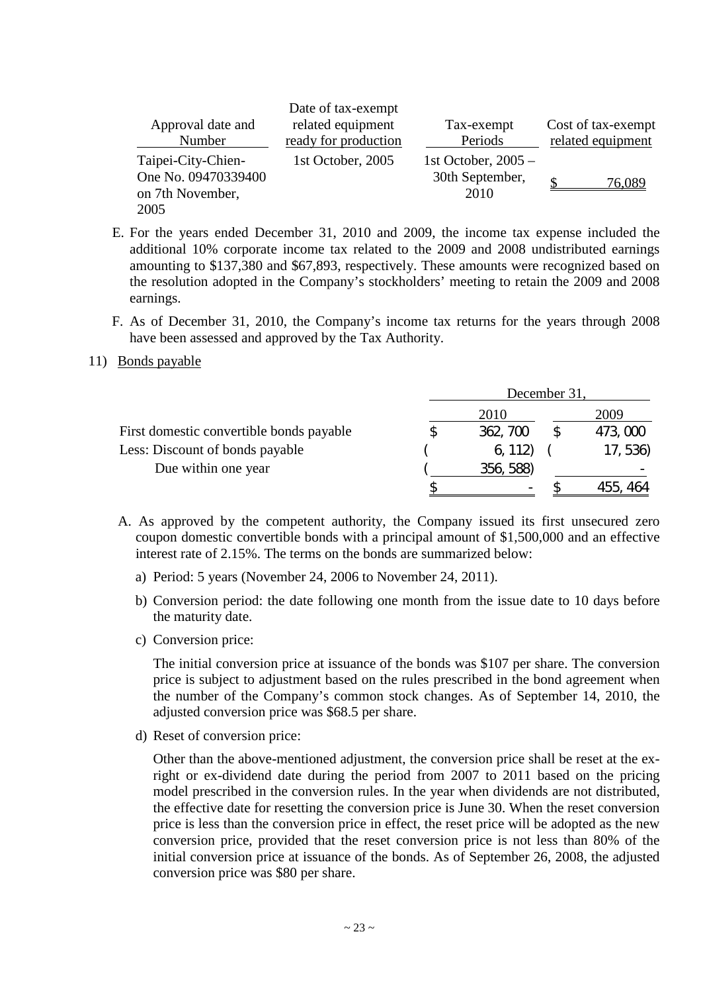|                                                                       | Date of tax-exempt                        |                                                  |                                         |
|-----------------------------------------------------------------------|-------------------------------------------|--------------------------------------------------|-----------------------------------------|
| Approval date and<br>Number                                           | related equipment<br>ready for production | Tax-exempt<br>Periods                            | Cost of tax-exempt<br>related equipment |
| Taipei-City-Chien-<br>One No. 09470339400<br>on 7th November,<br>2005 | 1st October, 2005                         | 1st October, $2005 -$<br>30th September,<br>2010 | 76.089                                  |

- E. For the years ended December 31, 2010 and 2009, the income tax expense included the additional 10% corporate income tax related to the 2009 and 2008 undistributed earnings amounting to \$137,380 and \$67,893, respectively. These amounts were recognized based on the resolution adopted in the Company's stockholders'meeting to retain the 2009 and 2008 earnings.
- F. As of December 31, 2010, the Company's income tax returns for the years through 2008 have been assessed and approved by the Tax Authority.

#### 11) Bonds payable

|                                          | December 31 |           |  |          |
|------------------------------------------|-------------|-----------|--|----------|
|                                          |             | 2010      |  | 2009     |
| First domestic convertible bonds payable |             | 362, 700  |  | 473,000  |
| Less: Discount of bonds payable          |             | 6, 112    |  | 17, 536) |
| Due within one year                      |             | 356, 588) |  |          |
|                                          |             |           |  | 464      |

- A. As approved by the competent authority, the Company issued its first unsecured zero coupon domestic convertible bonds with a principal amount of \$1,500,000 and an effective interest rate of 2.15%. The terms on the bonds are summarized below:
	- a) Period: 5 years (November 24, 2006 to November 24, 2011).
	- b) Conversion period: the date following one month from the issue date to 10 days before the maturity date.
	- c) Conversion price:

The initial conversion price at issuance of the bonds was \$107 per share. The conversion price is subject to adjustment based on the rules prescribed in the bond agreement when the number of the Company's common stock changes. As of September 14, 2010, the adjusted conversion price was \$68.5 per share.

d) Reset of conversion price:

Other than the above-mentioned adjustment, the conversion price shall be reset at the exright or ex-dividend date during the period from 2007 to 2011 based on the pricing model prescribed in the conversion rules. In the year when dividends are not distributed, the effective date for resetting the conversion price is June 30. When the reset conversion price is less than the conversion price in effect, the reset price will be adopted as the new conversion price, provided that the reset conversion price is not less than 80% of the initial conversion price at issuance of the bonds. As of September 26, 2008, the adjusted conversion price was \$80 per share.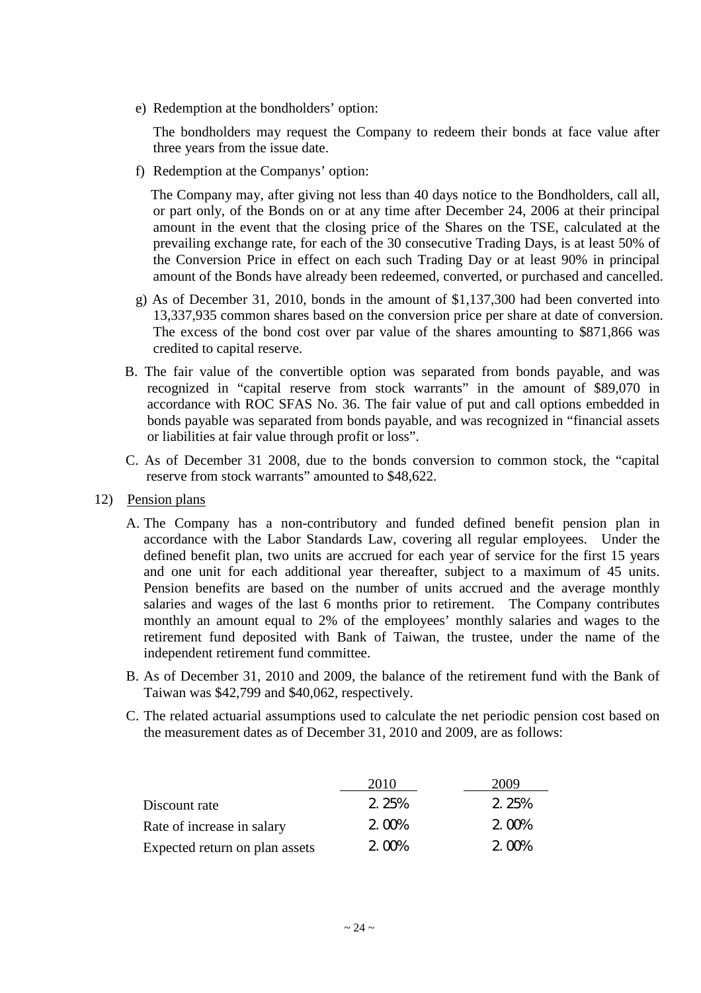e) Redemption at the bondholders'option:

The bondholders may request the Company to redeem their bonds at face value after three years from the issue date.

f) Redemption at the Companys'option:

The Company may, after giving not less than 40 days notice to the Bondholders, call all, or part only, of the Bonds on or at any time after December 24, 2006 at their principal amount in the event that the closing price of the Shares on the TSE, calculated at the prevailing exchange rate, for each of the 30 consecutive Trading Days, is at least 50% of the Conversion Price in effect on each such Trading Day or at least 90% in principal amount of the Bonds have already been redeemed, converted, or purchased and cancelled.

- g) As of December 31, 2010, bonds in the amount of \$1,137,300 had been converted into 13,337,935 common shares based on the conversion price per share at date of conversion. The excess of the bond cost over par value of the shares amounting to \$871,866 was credited to capital reserve.
- B. The fair value of the convertible option was separated from bonds payable, and was recognized in "capital reserve from stock warrants" in the amount of \$89,070 in accordance with ROC SFAS No. 36. The fair value of put and call options embedded in bonds payable was separated from bonds payable, and was recognized in "financial assets or liabilities at fair value through profit or loss".
- C. As of December 31 2008, due to the bonds conversion to common stock, the "capital reserve from stock warrants" amounted to \$48,622.
- 12) Pension plans
	- A. The Company has a non-contributory and funded defined benefit pension plan in accordance with the Labor Standards Law, covering all regular employees. Under the defined benefit plan, two units are accrued for each year of service for the first 15 years and one unit for each additional year thereafter, subject to a maximum of 45 units. Pension benefits are based on the number of units accrued and the average monthly salaries and wages of the last 6 months prior to retirement. The Company contributes monthly an amount equal to 2% of the employees' monthly salaries and wages to the retirement fund deposited with Bank of Taiwan, the trustee, under the name of the independent retirement fund committee.
	- B. As of December 31, 2010 and 2009, the balance of the retirement fund with the Bank of Taiwan was \$42,799 and \$40,062, respectively.
	- C. The related actuarial assumptions used to calculate the net periodic pension cost based on the measurement dates as of December 31, 2010 and 2009, are as follows:

|                                | 2010  | 2009  |
|--------------------------------|-------|-------|
| Discount rate                  | 2.25% | 2.25% |
| Rate of increase in salary     | 2.00% | 2.00% |
| Expected return on plan assets | 2.00% | 2.00% |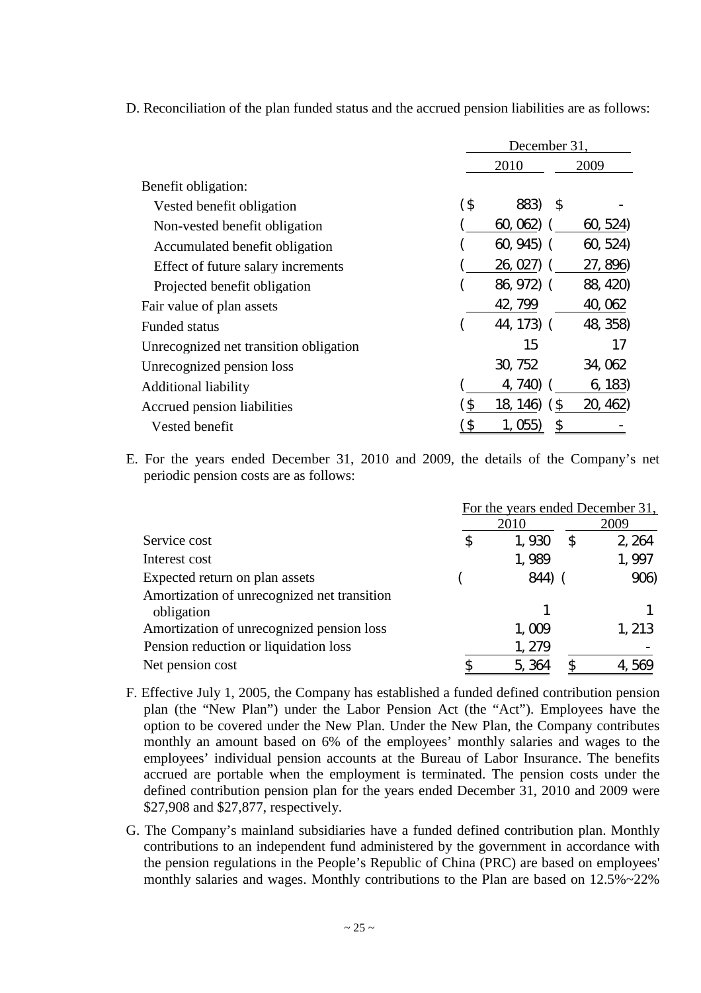|                                        | December 31. |               |          |
|----------------------------------------|--------------|---------------|----------|
|                                        |              | 2010<br>2009  |          |
| Benefit obligation:                    |              |               |          |
| Vested benefit obligation              | (\$          | 883)<br>S     |          |
| Non-vested benefit obligation          |              | 60,062        | 60, 524  |
| Accumulated benefit obligation         |              | 60, 945       | 60, 524  |
| Effect of future salary increments     |              | 26, 027       | 27, 896) |
| Projected benefit obligation           |              | 86, 972) (    | 88, 420) |
| Fair value of plan assets              |              | 42, 799       | 40, 062  |
| <b>Funded status</b>                   |              | 44, 173) (    | 48, 358) |
| Unrecognized net transition obligation |              | 15            | 17       |
| Unrecognized pension loss              |              | 30, 752       | 34, 062  |
| <b>Additional liability</b>            |              | 740)<br>4,    | 6, 183   |
| Accrued pension liabilities            | ์ \$         | 18, 146)<br>S | 20, 462) |
| Vested benefit                         | \$           | \$<br>Ubb     |          |

D. Reconciliation of the plan funded status and the accrued pension liabilities are as follows:

E. For the years ended December 31, 2010 and 2009, the details of the Company's net periodic pension costs are as follows:

|                                                           | For the years ended December 31, |              |        |  |  |  |
|-----------------------------------------------------------|----------------------------------|--------------|--------|--|--|--|
|                                                           |                                  | 2010         | 2009   |  |  |  |
| Service cost                                              | \$                               | 1,930<br>\$  | 2, 264 |  |  |  |
| Interest cost                                             |                                  | 1,989        | 1,997  |  |  |  |
| Expected return on plan assets                            |                                  | 844)         | 906)   |  |  |  |
| Amortization of unrecognized net transition<br>obligation |                                  |              |        |  |  |  |
| Amortization of unrecognized pension loss                 |                                  | 1,009        | 1, 213 |  |  |  |
| Pension reduction or liquidation loss                     |                                  | 1, 279       |        |  |  |  |
| Net pension cost                                          |                                  | 5, 364<br>S. | 569    |  |  |  |

- F. Effective July 1, 2005, the Company has established a funded defined contribution pension plan (the "New Plan") under the Labor Pension Act (the "Act"). Employees have the option to be covered under the New Plan. Under the New Plan, the Company contributes monthly an amount based on 6% of the employees' monthly salaries and wages to the employees' individual pension accounts at the Bureau of Labor Insurance. The benefits accrued are portable when the employment is terminated. The pension costs under the defined contribution pension plan for the years ended December 31, 2010 and 2009 were \$27,908 and \$27,877, respectively.
- G. The Company's mainland subsidiaries have a funded defined contribution plan. Monthly contributions to an independent fund administered by the government in accordance with the pension regulations in the People's Republic of China (PRC) are based on employees' monthly salaries and wages. Monthly contributions to the Plan are based on 12.5%~22%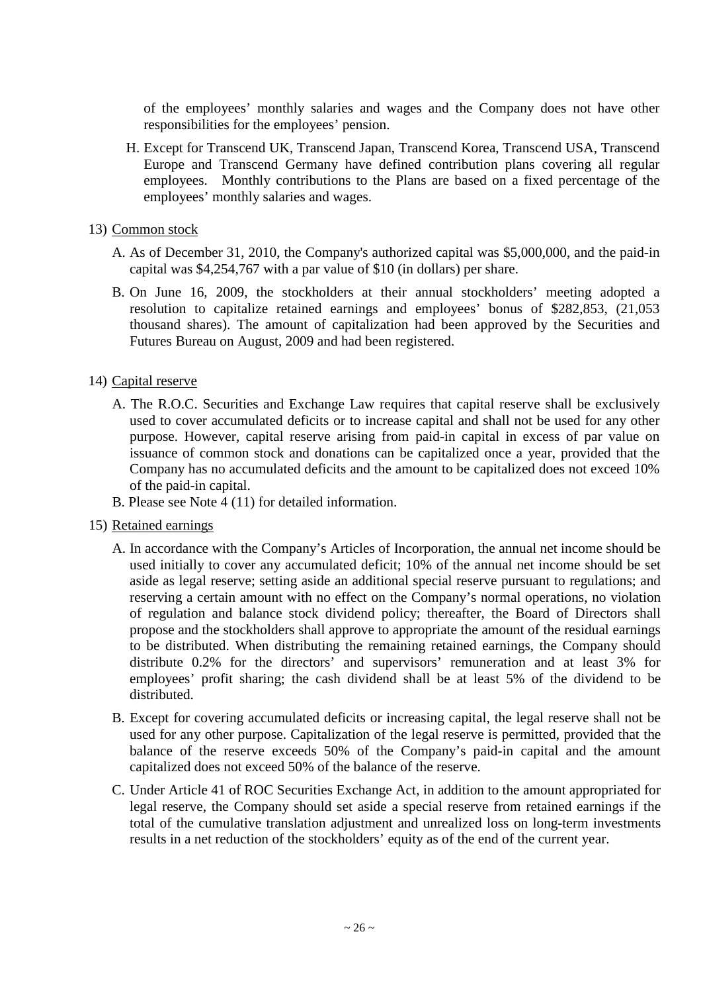of the employees' monthly salaries and wages and the Company does not have other responsibilities for the employees'pension.

- H. Except for Transcend UK, Transcend Japan, Transcend Korea, Transcend USA, Transcend Europe and Transcend Germany have defined contribution plans covering all regular employees. Monthly contributions to the Plans are based on a fixed percentage of the employees'monthly salaries and wages.
- 13) Common stock
	- A. As of December 31, 2010, the Company's authorized capital was \$5,000,000, and the paid-in capital was \$4,254,767 with a par value of \$10 (in dollars) per share.
	- B. On June 16, 2009, the stockholders at their annual stockholders' meeting adopted a resolution to capitalize retained earnings and employees' bonus of \$282,853, (21,053 thousand shares). The amount of capitalization had been approved by the Securities and Futures Bureau on August, 2009 and had been registered.

## 14) Capital reserve

- A. The R.O.C. Securities and Exchange Law requires that capital reserve shall be exclusively used to cover accumulated deficits or to increase capital and shall not be used for any other purpose. However, capital reserve arising from paid-in capital in excess of par value on issuance of common stock and donations can be capitalized once a year, provided that the Company has no accumulated deficits and the amount to be capitalized does not exceed 10% of the paid-in capital.
- B. Please see Note 4 (11) for detailed information.
- 15) Retained earnings
	- A. In accordance with the Company's Articles of Incorporation, the annual net income should be used initially to cover any accumulated deficit; 10% of the annual net income should be set aside as legal reserve; setting aside an additional special reserve pursuant to regulations; and reserving a certain amount with no effect on the Company's normal operations, no violation of regulation and balance stock dividend policy; thereafter, the Board of Directors shall propose and the stockholders shall approve to appropriate the amount of the residual earnings to be distributed. When distributing the remaining retained earnings, the Company should distribute 0.2% for the directors' and supervisors' remuneration and at least 3% for employees' profit sharing; the cash dividend shall be at least 5% of the dividend to be distributed.
	- B. Except for covering accumulated deficits or increasing capital, the legal reserve shall not be used for any other purpose. Capitalization of the legal reserve is permitted, provided that the balance of the reserve exceeds 50% of the Company's paid-in capital and the amount capitalized does not exceed 50% of the balance of the reserve.
	- C. Under Article 41 of ROC Securities Exchange Act, in addition to the amount appropriated for legal reserve, the Company should set aside a special reserve from retained earnings if the total of the cumulative translation adjustment and unrealized loss on long-term investments results in a net reduction of the stockholders'equity as of the end of the current year.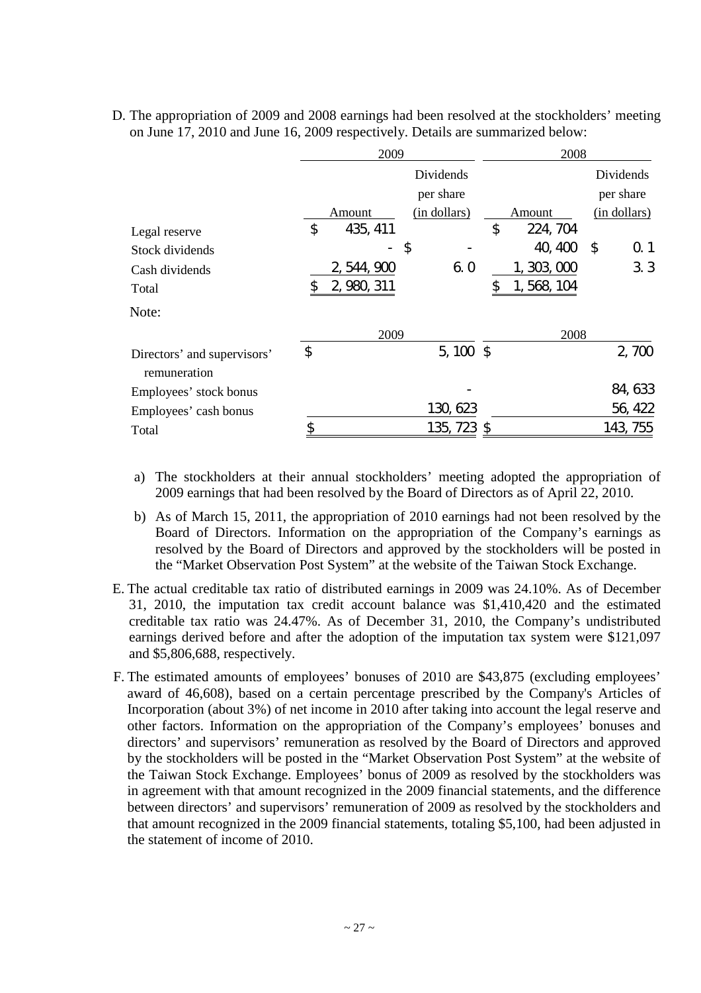|                                             | 2009                     |                            | 2008            |            |              |  |
|---------------------------------------------|--------------------------|----------------------------|-----------------|------------|--------------|--|
|                                             |                          | Dividends                  |                 |            | Dividends    |  |
|                                             |                          | per share                  |                 |            | per share    |  |
|                                             | Amount                   | (in dollars)               | Amount          |            | (in dollars) |  |
| Legal reserve                               | \$<br>435, 411           |                            | \$<br>224, 704  |            |              |  |
| Stock dividends                             | $\overline{\phantom{a}}$ | $\boldsymbol{\mathsf{\$}}$ | 40, 400         | $\sqrt{2}$ | 0.1          |  |
| Cash dividends                              | 2, 544, 900              | 6.0                        | 1, 303, 000     |            | 3.3          |  |
| Total                                       | \$<br>2, 980, 311        |                            | \$<br>1,568,104 |            |              |  |
| Note:                                       |                          |                            |                 |            |              |  |
|                                             | 2009                     |                            | 2008            |            |              |  |
| Directors' and supervisors'<br>remuneration | \$                       | $5,100$ \$                 |                 |            | 2,700        |  |
| Employees' stock bonus                      |                          |                            |                 |            | 84, 633      |  |
| Employees' cash bonus                       |                          | 130, 623                   |                 |            | 56, 422      |  |
| Total                                       | \$                       | 135, 723 \$                |                 |            | 143, 755     |  |

D. The appropriation of 2009 and 2008 earnings had been resolved at the stockholders' meeting on June 17, 2010 and June 16, 2009 respectively. Details are summarized below:

- a) The stockholders at their annual stockholders' meeting adopted the appropriation of 2009 earnings that had been resolved by the Board of Directors as of April 22, 2010.
- b) As of March 15, 2011, the appropriation of 2010 earnings had not been resolved by the Board of Directors. Information on the appropriation of the Company's earnings as resolved by the Board of Directors and approved by the stockholders will be posted in the "Market Observation Post System" at the website of the Taiwan Stock Exchange.
- E. The actual creditable tax ratio of distributed earnings in 2009 was 24.10%. As of December 31, 2010, the imputation tax credit account balance was \$1,410,420 and the estimated creditable tax ratio was 24.47%. As of December 31, 2010, the Company's undistributed earnings derived before and after the adoption of the imputation tax system were \$121,097 and \$5,806,688, respectively.
- F. The estimated amounts of employees' bonuses of 2010 are \$43,875 (excluding employees' award of 46,608), based on a certain percentage prescribed by the Company's Articles of Incorporation (about 3%) of net income in 2010 after taking into account the legal reserve and other factors. Information on the appropriation of the Company's employees' bonuses and directors' and supervisors' remuneration as resolved by the Board of Directors and approved by the stockholders will be posted in the "Market Observation Post System" at the website of the Taiwan Stock Exchange. Employees' bonus of 2009 as resolved by the stockholders was in agreement with that amount recognized in the 2009 financial statements, and the difference between directors' and supervisors' remuneration of 2009 as resolved by the stockholders and that amount recognized in the 2009 financial statements, totaling \$5,100, had been adjusted in the statement of income of 2010.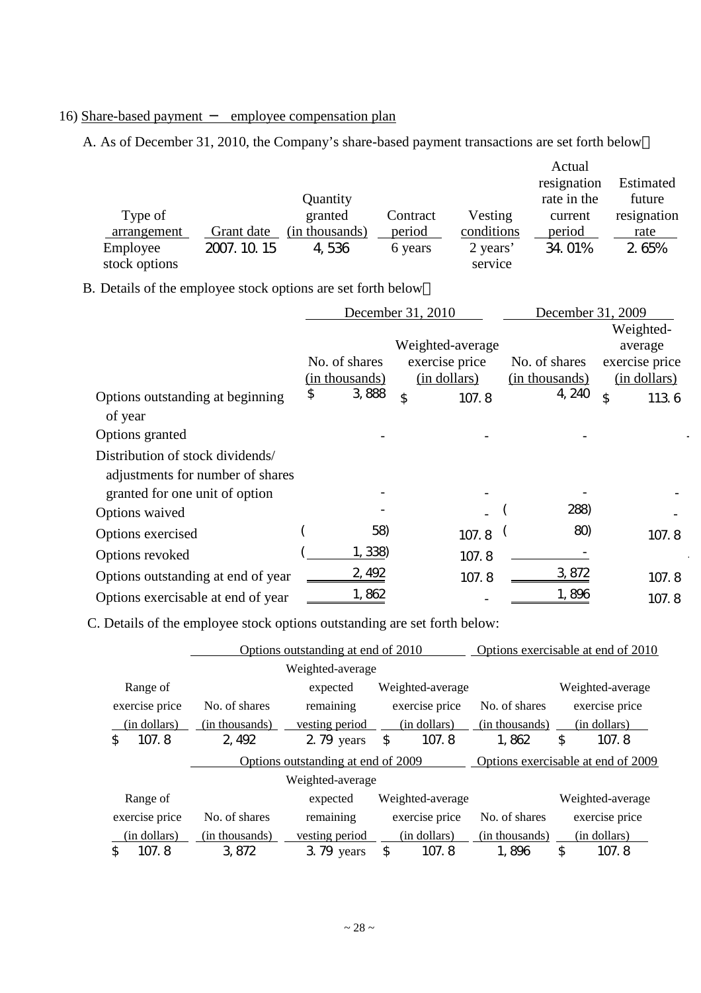# 16) Share-based payment employee compensation plan

A. As of December 31, 2010, the Company's share-based payment transactions are set forth below

|               |              |                |          |            | Actual      |             |
|---------------|--------------|----------------|----------|------------|-------------|-------------|
|               |              |                |          |            | resignation | Estimated   |
|               |              | Quantity       |          |            | rate in the | future      |
| Type of       |              | granted        | Contract | Vesting    | current     | resignation |
| arrangement   | Grant date   | (in thousands) | period   | conditions | period      | rate        |
| Employee      | 2007. 10. 15 | 4,536          | 6 years  | 2 years'   | 34.01%      | 2.65%       |
| stock options |              |                |          | service    |             |             |

B. Details of the employee stock options are set forth below

|                                    |                                                | December 31, 2010                                                             | December 31, 2009                         |                                                                       |  |
|------------------------------------|------------------------------------------------|-------------------------------------------------------------------------------|-------------------------------------------|-----------------------------------------------------------------------|--|
| Options outstanding at beginning   | \$<br>No. of shares<br>(in thousands)<br>3,888 | Weighted-average<br>exercise price<br>(in dollars)<br>$\mathfrak{P}$<br>107.8 | No. of shares<br>(in thousands)<br>4, 240 | Weighted-<br>average<br>exercise price<br>(in dollars)<br>\$<br>113.6 |  |
| of year                            |                                                |                                                                               |                                           |                                                                       |  |
| Options granted                    |                                                |                                                                               |                                           |                                                                       |  |
| Distribution of stock dividends/   |                                                |                                                                               |                                           |                                                                       |  |
| adjustments for number of shares   |                                                |                                                                               |                                           |                                                                       |  |
| granted for one unit of option     |                                                |                                                                               |                                           |                                                                       |  |
| Options waived                     |                                                |                                                                               | 288)                                      |                                                                       |  |
| Options exercised                  | 58)                                            | 107.8                                                                         | 80)                                       | 107.8                                                                 |  |
| Options revoked                    | 1, 338)                                        | 107.8                                                                         |                                           |                                                                       |  |
| Options outstanding at end of year | 2, 492                                         | 107.8                                                                         | 3, 872                                    | 107.8                                                                 |  |
| Options exercisable at end of year | 1,862                                          |                                                                               | 1,896                                     | 107.8                                                                 |  |

C. Details of the employee stock options outstanding are set forth below:

|                |                | Options outstanding at end of 2010 |                  | Options exercisable at end of 2010 |                                    |
|----------------|----------------|------------------------------------|------------------|------------------------------------|------------------------------------|
|                |                | Weighted-average                   |                  |                                    |                                    |
| Range of       |                | expected                           | Weighted-average |                                    | Weighted-average                   |
| exercise price | No. of shares  | remaining                          | exercise price   | No. of shares                      | exercise price                     |
| (in dollars)   | (in thousands) | vesting period                     | (in dollars)     | (in thousands)                     | (in dollars)                       |
| 107.8<br>\$    | 2, 492         | 2.79 years                         | 107.8<br>\$      | 1,862                              | \$<br>107.8                        |
|                |                |                                    |                  |                                    |                                    |
|                |                | Options outstanding at end of 2009 |                  |                                    | Options exercisable at end of 2009 |
|                |                | Weighted-average                   |                  |                                    |                                    |
| Range of       |                | expected                           | Weighted-average |                                    | Weighted-average                   |
| exercise price | No. of shares  | remaining                          | exercise price   | No. of shares                      | exercise price                     |
| (in dollars)   | (in thousands) | vesting period                     | (in dollars)     | (in thousands)                     | (in dollars)                       |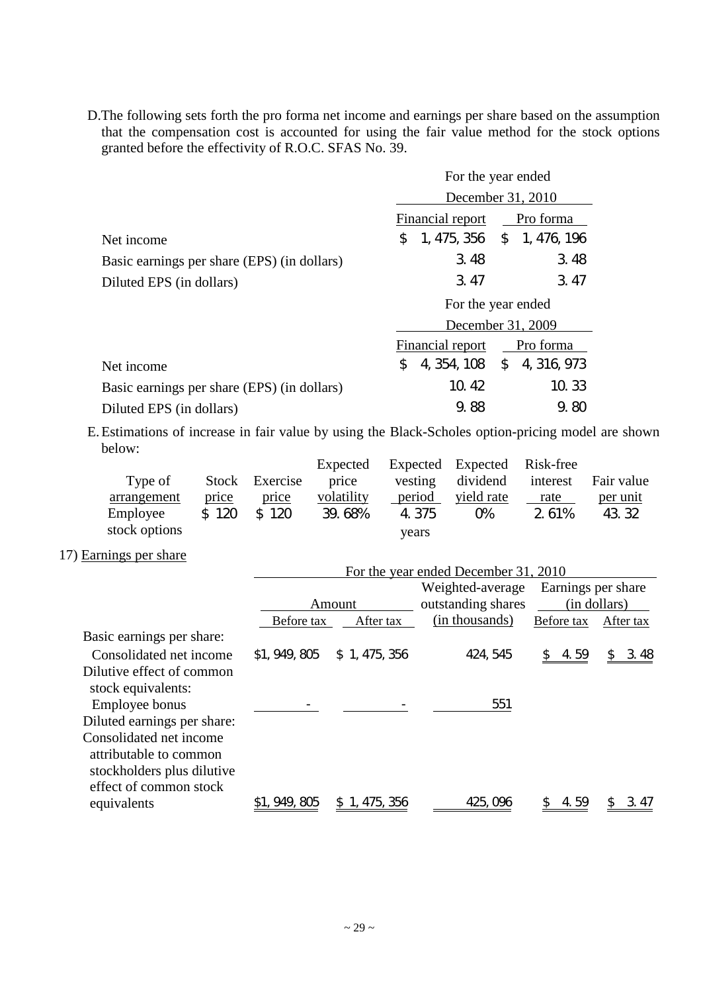D.The following sets forth the pro forma net income and earnings per share based on the assumption that the compensation cost is accounted for using the fair value method for the stock options granted before the effectivity of R.O.C. SFAS No. 39.

|                                             | For the year ended                   |           |  |  |  |
|---------------------------------------------|--------------------------------------|-----------|--|--|--|
|                                             | December 31, 2010                    |           |  |  |  |
|                                             | <b>Financial report</b>              | Pro forma |  |  |  |
| Net income                                  | 1, 475, 356 \$ 1, 476, 196<br>\$.    |           |  |  |  |
| Basic earnings per share (EPS) (in dollars) | 3.48                                 | 3.48      |  |  |  |
| Diluted EPS (in dollars)                    | 3.47                                 | 3.47      |  |  |  |
|                                             | For the year ended                   |           |  |  |  |
|                                             | December 31, 2009                    |           |  |  |  |
|                                             | <b>Financial report</b><br>Pro forma |           |  |  |  |
| Net income                                  | 4, 354, 108 \$ 4, 316, 973<br>\$     |           |  |  |  |
| Basic earnings per share (EPS) (in dollars) | 10.42<br>10.33                       |           |  |  |  |
| Diluted EPS (in dollars)                    | 9.88                                 | 9.80      |  |  |  |

E.Estimations of increase in fair value by using the Black-Scholes option-pricing model are shown below:

|               |       |                | Expected   |         | Expected Expected Risk-free |       |            |
|---------------|-------|----------------|------------|---------|-----------------------------|-------|------------|
| Type of       |       | Stock Exercise | price      | vesting | dividend interest           |       | Fair value |
| arrangement   | price | price          | volatility | period  | yield rate                  | rate  | per unit   |
| Employee      | \$120 | \$120          | 39.68%     | 4.375   | O%                          | 2.61% | 43.32      |
| stock options |       |                |            | vears   |                             |       |            |

# 17) Earnings per share

|                             | For the year ended December 31, 2010 |                   |                                        |                    |                      |  |  |  |  |
|-----------------------------|--------------------------------------|-------------------|----------------------------------------|--------------------|----------------------|--|--|--|--|
|                             |                                      | Amount            | Weighted-average<br>outstanding shares | Earnings per share | (in dollars)         |  |  |  |  |
|                             | Before tax                           | After tax         | (in thousands)                         | Before tax         | After tax            |  |  |  |  |
| Basic earnings per share:   |                                      |                   |                                        |                    |                      |  |  |  |  |
| Consolidated net income     | \$1, 949, 805                        | \$1,475,356       | 424, 545                               | 4.59               | 3.48<br>$\mathbb{S}$ |  |  |  |  |
| Dilutive effect of common   |                                      |                   |                                        |                    |                      |  |  |  |  |
| stock equivalents:          |                                      |                   |                                        |                    |                      |  |  |  |  |
| Employee bonus              |                                      |                   | 551                                    |                    |                      |  |  |  |  |
| Diluted earnings per share: |                                      |                   |                                        |                    |                      |  |  |  |  |
| Consolidated net income     |                                      |                   |                                        |                    |                      |  |  |  |  |
| attributable to common      |                                      |                   |                                        |                    |                      |  |  |  |  |
| stockholders plus dilutive  |                                      |                   |                                        |                    |                      |  |  |  |  |
| effect of common stock      |                                      |                   |                                        |                    |                      |  |  |  |  |
| equivalents                 | 949, 805                             | \$<br>1, 475, 356 | 425, 096                               | 4.59               | 3.41                 |  |  |  |  |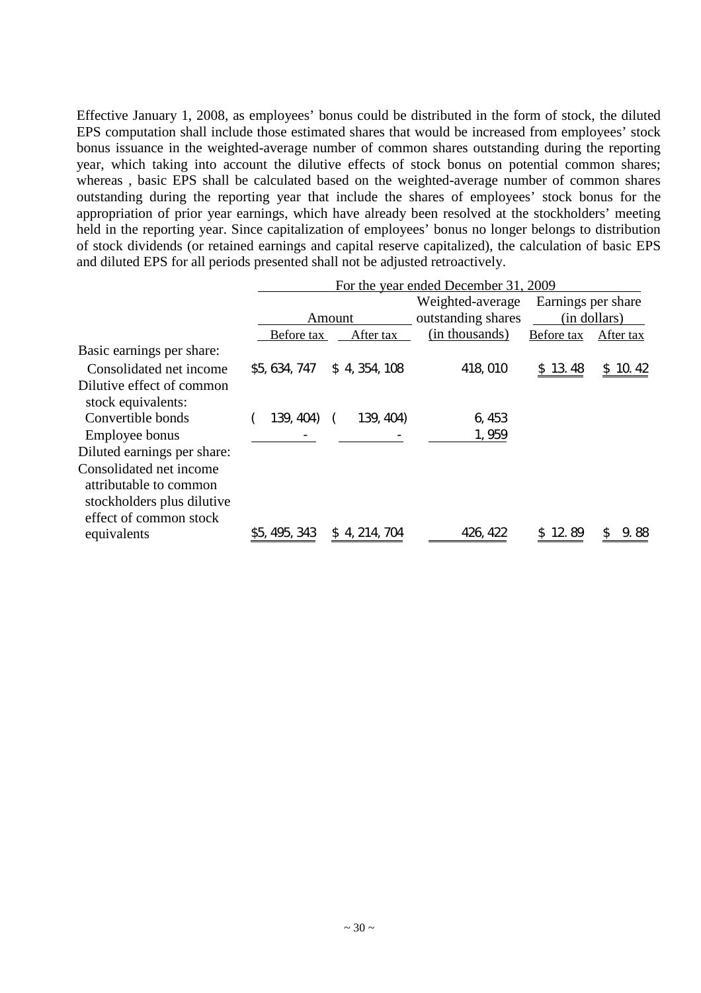Effective January 1, 2008, as employees' bonus could be distributed in the form of stock, the diluted EPS computation shall include those estimated shares that would be increased from employees' stock bonus issuance in the weighted-average number of common shares outstanding during the reporting year, which taking into account the dilutive effects of stock bonus on potential common shares; whereas , basic EPS shall be calculated based on the weighted-average number of common shares outstanding during the reporting year that include the shares of employees' stock bonus for the appropriation of prior year earnings, which have already been resolved at the stockholders' meeting held in the reporting year. Since capitalization of employees' bonus no longer belongs to distribution of stock dividends (or retained earnings and capital reserve capitalized), the calculation of basic EPS and diluted EPS for all periods presented shall not be adjusted retroactively.

|                                                                                                           | For the year ended December 31, 2009 |               |                    |                    |              |  |  |  |
|-----------------------------------------------------------------------------------------------------------|--------------------------------------|---------------|--------------------|--------------------|--------------|--|--|--|
|                                                                                                           |                                      |               | Weighted-average   | Earnings per share |              |  |  |  |
|                                                                                                           |                                      | Amount        | outstanding shares |                    | (in dollars) |  |  |  |
|                                                                                                           | Before tax                           | After tax     | (in thousands)     | Before tax         | After tax    |  |  |  |
| Basic earnings per share:                                                                                 |                                      |               |                    |                    |              |  |  |  |
| Consolidated net income                                                                                   | \$5, 634, 747                        | \$4, 354, 108 | 418,010            | \$13.48            | 10.42<br>S.  |  |  |  |
| Dilutive effect of common<br>stock equivalents:                                                           |                                      |               |                    |                    |              |  |  |  |
| Convertible bonds                                                                                         | 139, 404)                            | 139, 404)     | 6,453              |                    |              |  |  |  |
| Employee bonus                                                                                            |                                      |               | 1,959              |                    |              |  |  |  |
| Diluted earnings per share:                                                                               |                                      |               |                    |                    |              |  |  |  |
| Consolidated net income<br>attributable to common<br>stockholders plus dilutive<br>effect of common stock |                                      |               |                    |                    |              |  |  |  |
| equivalents                                                                                               | 495, 343                             | \$4, 214, 704 | 426, 422           | 89                 | 88           |  |  |  |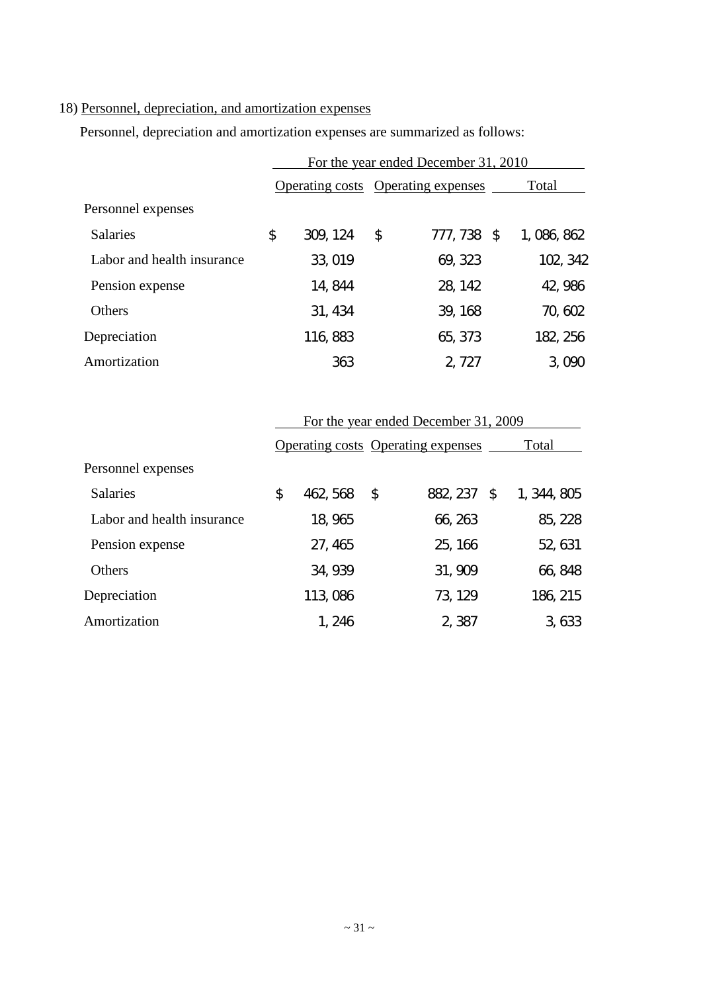# 18) Personnel, depreciation, and amortization expenses

Personnel, depreciation and amortization expenses are summarized as follows:

|                            | For the year ended December 31, 2010 |          |    |             |             |  |  |  |
|----------------------------|--------------------------------------|----------|----|-------------|-------------|--|--|--|
|                            | Operating costs Operating expenses   |          |    |             | Total       |  |  |  |
| Personnel expenses         |                                      |          |    |             |             |  |  |  |
| <b>Salaries</b>            | \$                                   | 309, 124 | \$ | 777, 738 \$ | 1, 086, 862 |  |  |  |
| Labor and health insurance |                                      | 33, 019  |    | 69, 323     | 102, 342    |  |  |  |
| Pension expense            |                                      | 14, 844  |    | 28, 142     | 42, 986     |  |  |  |
| Others                     |                                      | 31, 434  |    | 39, 168     | 70, 602     |  |  |  |
| Depreciation               |                                      | 116, 883 |    | 65, 373     | 182, 256    |  |  |  |
| Amortization               |                                      | 363      |    | 2, 727      | 3,090       |  |  |  |

|                            | For the year ended December 31, 2009 |          |    |                                           |    |             |  |  |  |
|----------------------------|--------------------------------------|----------|----|-------------------------------------------|----|-------------|--|--|--|
|                            |                                      |          |    | <b>Operating costs Operating expenses</b> |    | Total       |  |  |  |
| Personnel expenses         |                                      |          |    |                                           |    |             |  |  |  |
| <b>Salaries</b>            | \$                                   | 462, 568 | \$ | 882, 237                                  | \$ | 1, 344, 805 |  |  |  |
| Labor and health insurance |                                      | 18, 965  |    | 66, 263                                   |    | 85, 228     |  |  |  |
| Pension expense            |                                      | 27, 465  |    | 25, 166                                   |    | 52, 631     |  |  |  |
| Others                     |                                      | 34, 939  |    | 31, 909                                   |    | 66, 848     |  |  |  |
| Depreciation               |                                      | 113,086  |    | 73, 129                                   |    | 186, 215    |  |  |  |
| Amortization               |                                      | 1, 246   |    | 2,387                                     |    | 3,633       |  |  |  |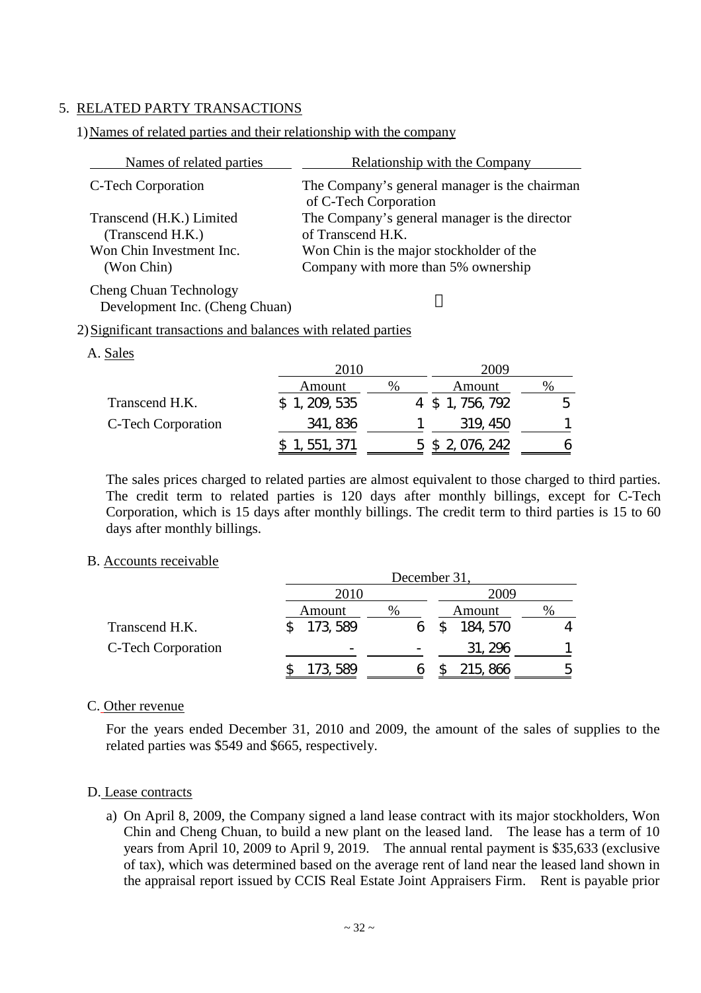## 5. RELATED PARTY TRANSACTIONS

#### Names of related parties Relationship with the Company C-Tech Corporation The Company's general manager is the chairman of C-Tech Corporation Transcend (H.K.) Limited (Transcend H.K.) The Company's general manager is the director of Transcend H.K. Won Chin Investment Inc. (Won Chin) Won Chin is the major stockholder of the Company with more than 5% ownership

#### 1)Names of related parties and their relationship with the company

Cheng Chuan Technology Development Inc. (Cheng Chuan)

#### 2)Significant transactions and balances with related parties

| A. Sales           |               |      |                  |      |
|--------------------|---------------|------|------------------|------|
|                    | 2010          |      | 2009             |      |
|                    | Amount        | $\%$ | Amount           | $\%$ |
| Transcend H.K.     | \$1, 209, 535 |      | 4 \$ 1, 756, 792 | h    |
| C-Tech Corporation | 341, 836      |      | 319, 450         |      |
|                    | 551, 371      |      | 5 \$ 2,076,242   | n    |

The sales prices charged to related parties are almost equivalent to those charged to third parties. The credit term to related parties is 120 days after monthly billings, except for C-Tech Corporation, which is 15 days after monthly billings. The credit term to third parties is 15 to 60 days after monthly billings.

#### B. Accounts receivable

|                    |          | December 31, |          |      |  |  |  |  |  |
|--------------------|----------|--------------|----------|------|--|--|--|--|--|
|                    | 2010     |              | 2009     |      |  |  |  |  |  |
|                    | Amount   | %            | Amount   | $\%$ |  |  |  |  |  |
| Transcend H.K.     | 173, 589 |              | 184, 570 |      |  |  |  |  |  |
| C-Tech Corporation |          |              | 31, 296  |      |  |  |  |  |  |
|                    | 173, 589 |              | 215, 866 | 5    |  |  |  |  |  |

#### C. Other revenue

For the years ended December 31, 2010 and 2009, the amount of the sales of supplies to the related parties was \$549 and \$665, respectively.

#### D. Lease contracts

a) On April 8, 2009, the Company signed a land lease contract with its major stockholders, Won Chin and Cheng Chuan, to build a new plant on the leased land. The lease has a term of 10 years from April 10, 2009 to April 9, 2019. The annual rental payment is \$35,633 (exclusive of tax), which was determined based on the average rent of land near the leased land shown in the appraisal report issued by CCIS Real Estate Joint Appraisers Firm. Rent is payable prior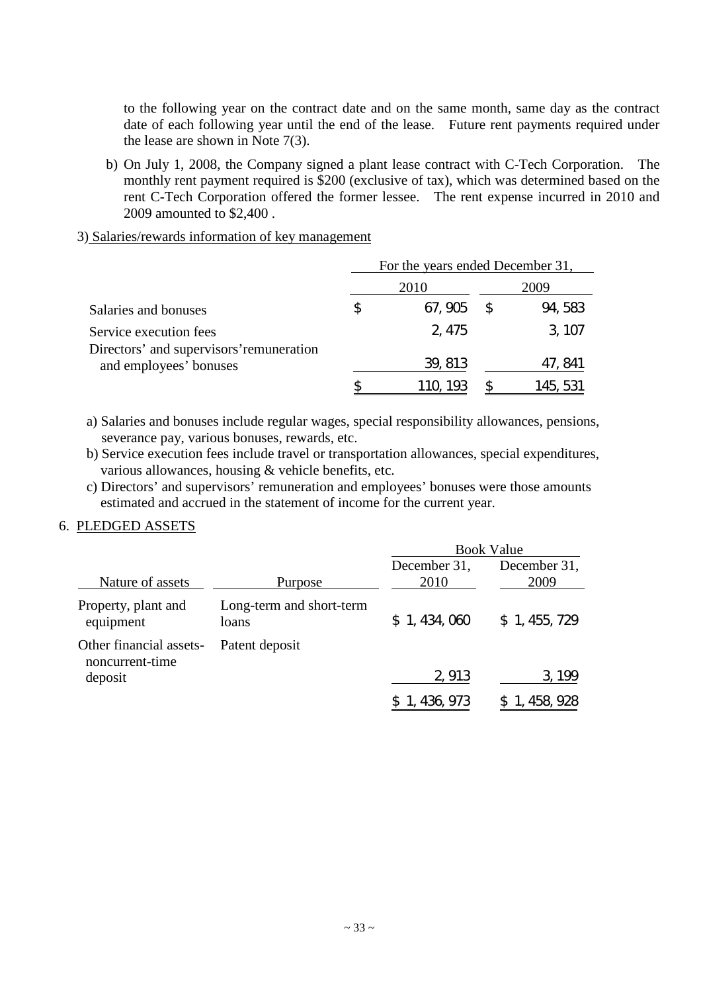to the following year on the contract date and on the same month, same day as the contract date of each following year until the end of the lease. Future rent payments required under the lease are shown in Note 7(3).

- b) On July 1, 2008, the Company signed a plant lease contract with C-Tech Corporation. The monthly rent payment required is \$200 (exclusive of tax), which was determined based on the rent C-Tech Corporation offered the former lessee. The rent expense incurred in 2010 and 2009 amounted to \$2,400 .
- 3) Salaries/rewards information of key management

|                                                                    | For the years ended December 31, |          |  |          |  |
|--------------------------------------------------------------------|----------------------------------|----------|--|----------|--|
|                                                                    |                                  | 2010     |  | 2009     |  |
| Salaries and bonuses                                               | S                                | 67, 905  |  | 94, 583  |  |
| Service execution fees                                             |                                  | 2, 475   |  | 3, 107   |  |
| Directors' and supervisors' remuneration<br>and employees' bonuses |                                  | 39, 813  |  | 47, 841  |  |
|                                                                    |                                  | TTU. 193 |  | 145, 531 |  |

a) Salaries and bonuses include regular wages, special responsibility allowances, pensions, severance pay, various bonuses, rewards, etc.

b) Service execution fees include travel or transportation allowances, special expenditures, various allowances, housing & vehicle benefits, etc.

c) Directors'and supervisors'remuneration and employees'bonuses were those amounts estimated and accrued in the statement of income for the current year.

#### 6. PLEDGED ASSETS

|                                            |                                   | <b>Book Value</b>    |                      |  |  |
|--------------------------------------------|-----------------------------------|----------------------|----------------------|--|--|
| Nature of assets                           | Purpose                           | December 31,<br>2010 | December 31,<br>2009 |  |  |
| Property, plant and<br>equipment           | Long-term and short-term<br>loans | \$1,434,060          | \$1,455,729          |  |  |
| Other financial assets-<br>noncurrent-time | Patent deposit                    |                      |                      |  |  |
| deposit                                    |                                   | 2,913                | 3, 199               |  |  |
|                                            |                                   | 436.973              |                      |  |  |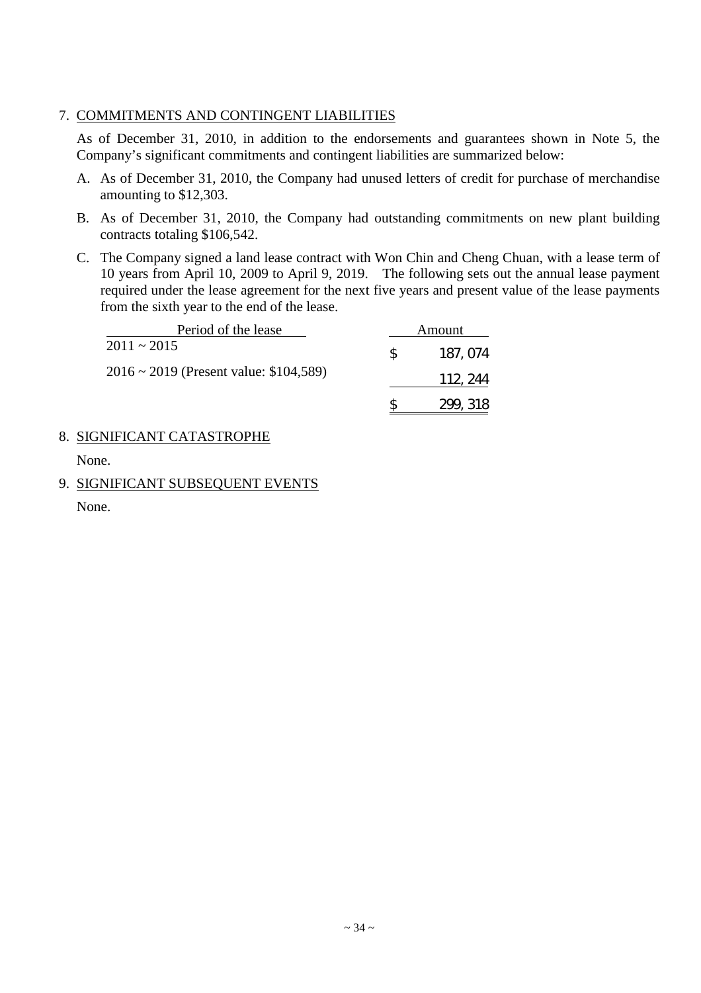## 7. COMMITMENTS AND CONTINGENT LIABILITIES

As of December 31, 2010, in addition to the endorsements and guarantees shown in Note 5, the Company's significant commitments and contingent liabilities are summarized below:

- A. As of December 31, 2010, the Company had unused letters of credit for purchase of merchandise amounting to \$12,303.
- B. As of December 31, 2010, the Company had outstanding commitments on new plant building contracts totaling \$106,542.
- C. The Company signed a land lease contract with Won Chin and Cheng Chuan, with a lease term of 10 years from April 10, 2009 to April 9, 2019. The following sets out the annual lease payment required under the lease agreement for the next five years and present value of the lease payments from the sixth year to the end of the lease.

| Period of the lease                         |               | Amount   |
|---------------------------------------------|---------------|----------|
| $2011 \sim 2015$                            | <sup>SS</sup> | 187, 074 |
| $2016 \sim 2019$ (Present value: \$104,589) |               | 112, 244 |
|                                             |               | 299, 318 |

## 8. SIGNIFICANT CATASTROPHE

None.

9. SIGNIFICANT SUBSEQUENT EVENTS

None.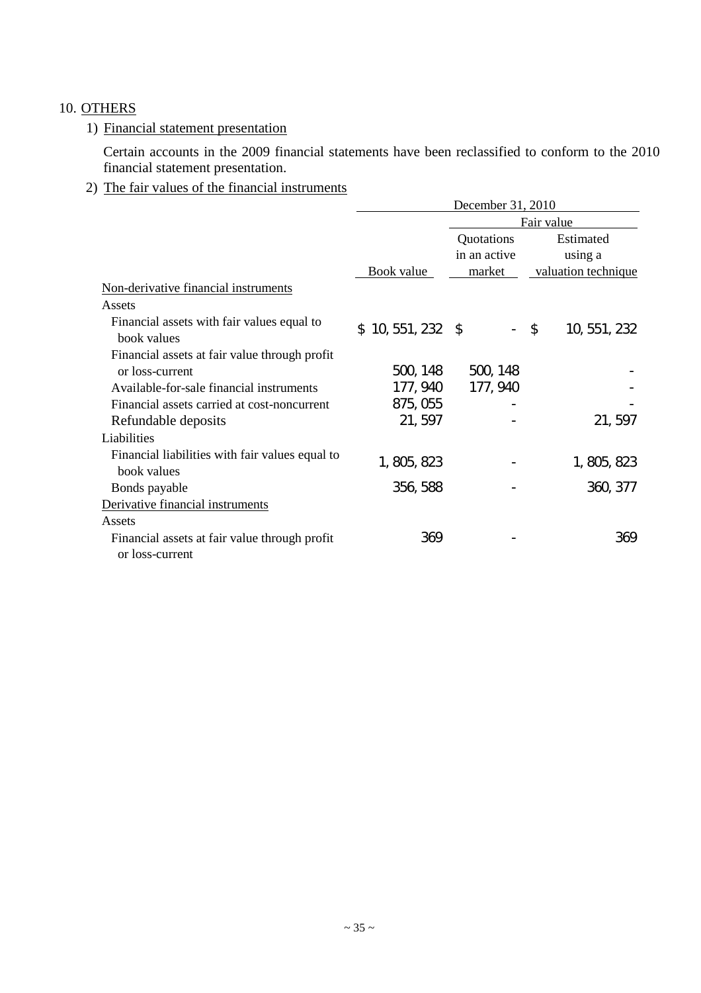# 10. OTHERS

## 1) Financial statement presentation

Certain accounts in the 2009 financial statements have been reclassified to conform to the 2010 financial statement presentation.

# 2) The fair values of the financial instruments

|                                                                  | December 31, 2010                 |                                      |                                             |  |  |
|------------------------------------------------------------------|-----------------------------------|--------------------------------------|---------------------------------------------|--|--|
|                                                                  |                                   |                                      | Fair value                                  |  |  |
|                                                                  | Book value                        | Quotations<br>in an active<br>market | Estimated<br>using a<br>valuation technique |  |  |
| Non-derivative financial instruments                             |                                   |                                      |                                             |  |  |
| Assets                                                           |                                   |                                      |                                             |  |  |
| Financial assets with fair values equal to<br>book values        | 10, 551, 232 \$<br>$\mathbb{S}^-$ |                                      | \$<br>10, 551, 232                          |  |  |
| Financial assets at fair value through profit<br>or loss-current | 500, 148                          | 500, 148                             |                                             |  |  |
| Available-for-sale financial instruments                         | 177, 940                          | 177, 940                             |                                             |  |  |
| Financial assets carried at cost-noncurrent                      | 875, 055                          |                                      |                                             |  |  |
| Refundable deposits                                              | 21,597                            |                                      | 21, 597                                     |  |  |
| Liabilities                                                      |                                   |                                      |                                             |  |  |
| Financial liabilities with fair values equal to<br>book values   | 1, 805, 823                       |                                      | 1, 805, 823                                 |  |  |
| Bonds payable                                                    | 356, 588                          |                                      | 360, 377                                    |  |  |
| Derivative financial instruments                                 |                                   |                                      |                                             |  |  |
| Assets                                                           |                                   |                                      |                                             |  |  |
| Financial assets at fair value through profit                    | 369                               |                                      | 369                                         |  |  |
| or loss-current                                                  |                                   |                                      |                                             |  |  |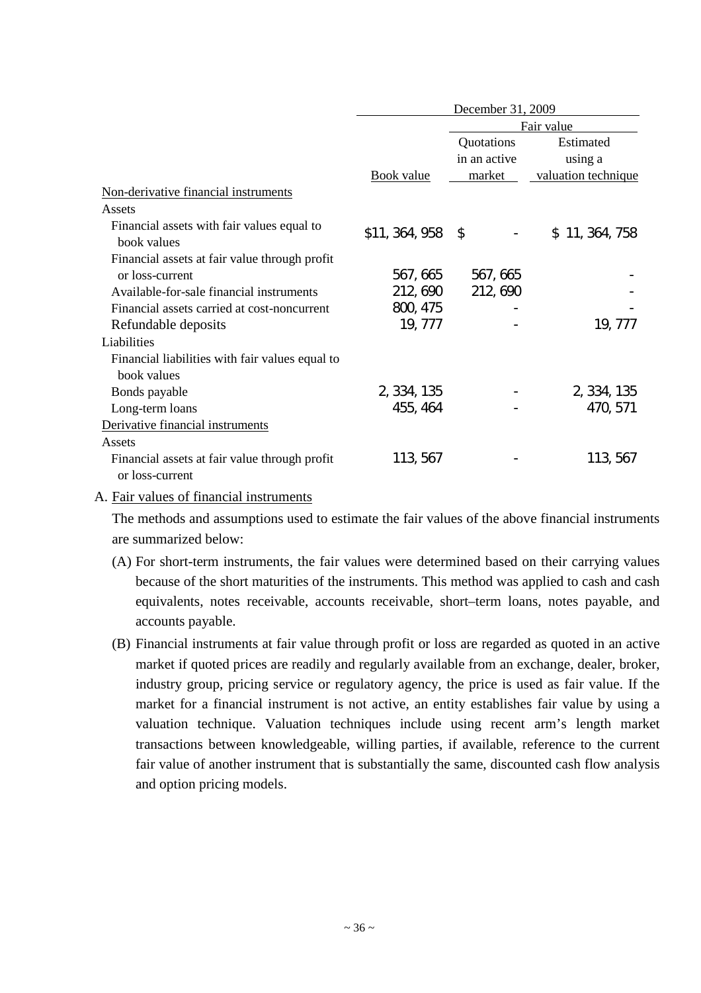|                                                                  | December 31, 2009 |                            |                      |  |  |  |
|------------------------------------------------------------------|-------------------|----------------------------|----------------------|--|--|--|
|                                                                  |                   | Fair value                 |                      |  |  |  |
|                                                                  |                   | Quotations<br>in an active | Estimated<br>using a |  |  |  |
|                                                                  | <b>Book</b> value | market                     | valuation technique  |  |  |  |
| Non-derivative financial instruments                             |                   |                            |                      |  |  |  |
| Assets                                                           |                   |                            |                      |  |  |  |
| Financial assets with fair values equal to<br>book values        | \$11, 364, 958    | $\mathfrak{S}$             | \$11, 364, 758       |  |  |  |
| Financial assets at fair value through profit                    |                   |                            |                      |  |  |  |
| or loss-current                                                  | 567, 665          | 567, 665                   |                      |  |  |  |
| Available-for-sale financial instruments                         | 212, 690          | 212, 690                   |                      |  |  |  |
| Financial assets carried at cost-noncurrent                      | 800, 475          |                            |                      |  |  |  |
| Refundable deposits                                              | 19, 777           |                            | 19, 777              |  |  |  |
| Liabilities                                                      |                   |                            |                      |  |  |  |
| Financial liabilities with fair values equal to<br>book values   |                   |                            |                      |  |  |  |
| Bonds payable                                                    | 2, 334, 135       |                            | 2, 334, 135          |  |  |  |
| Long-term loans                                                  | 455, 464          |                            | 470, 571             |  |  |  |
| Derivative financial instruments                                 |                   |                            |                      |  |  |  |
| Assets                                                           |                   |                            |                      |  |  |  |
| Financial assets at fair value through profit<br>or loss-current | 113, 567          |                            | 113, 567             |  |  |  |

#### A. Fair values of financial instruments

The methods and assumptions used to estimate the fair values of the above financial instruments are summarized below:

- (A) For short-term instruments, the fair values were determined based on their carrying values because of the short maturities of the instruments. This method was applied to cash and cash equivalents, notes receivable, accounts receivable, short–term loans, notes payable, and accounts payable.
- (B) Financial instruments at fair value through profit or loss are regarded as quoted in an active market if quoted prices are readily and regularly available from an exchange, dealer, broker, industry group, pricing service or regulatory agency, the price is used as fair value. If the market for a financial instrument is not active, an entity establishes fair value by using a valuation technique. Valuation techniques include using recent arm's length market transactions between knowledgeable, willing parties, if available, reference to the current fair value of another instrument that is substantially the same, discounted cash flow analysis and option pricing models.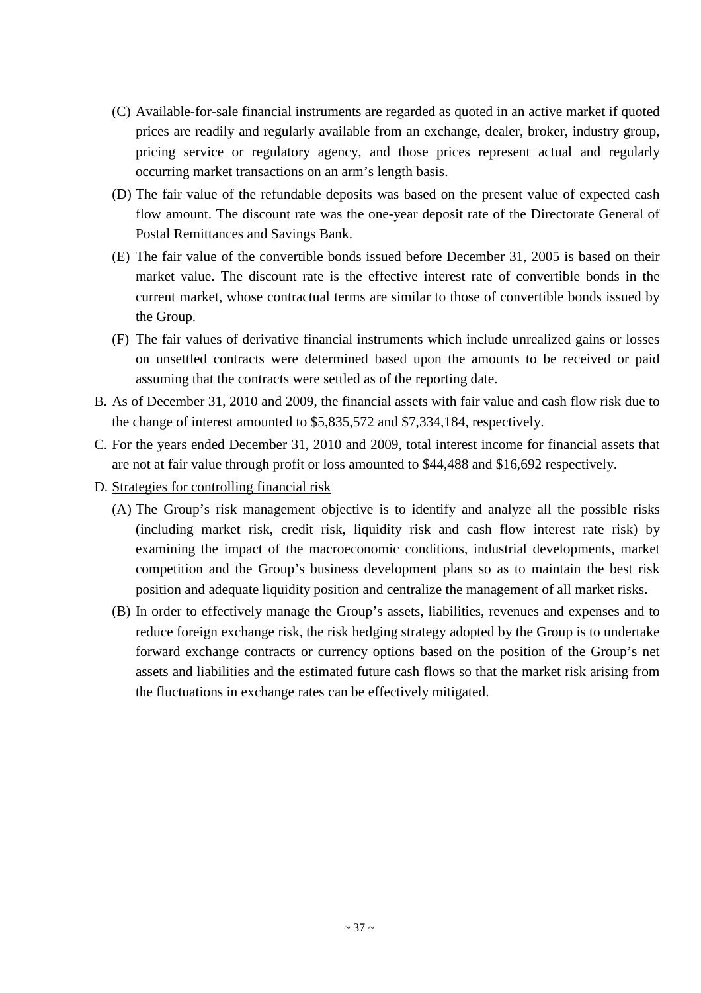- (C) Available-for-sale financial instruments are regarded as quoted in an active market if quoted prices are readily and regularly available from an exchange, dealer, broker, industry group, pricing service or regulatory agency, and those prices represent actual and regularly occurring market transactions on an arm's length basis.
- (D) The fair value of the refundable deposits was based on the present value of expected cash flow amount. The discount rate was the one-year deposit rate of the Directorate General of Postal Remittances and Savings Bank.
- (E) The fair value of the convertible bonds issued before December 31, 2005 is based on their market value. The discount rate is the effective interest rate of convertible bonds in the current market, whose contractual terms are similar to those of convertible bonds issued by the Group.
- (F) The fair values of derivative financial instruments which include unrealized gains or losses on unsettled contracts were determined based upon the amounts to be received or paid assuming that the contracts were settled as of the reporting date.
- B. As of December 31, 2010 and 2009, the financial assets with fair value and cash flow risk due to the change of interest amounted to \$5,835,572 and \$7,334,184, respectively.
- C. For the years ended December 31, 2010 and 2009, total interest income for financial assets that are not at fair value through profit or loss amounted to \$44,488 and \$16,692 respectively.
- D. Strategies for controlling financial risk
	- (A) The Group's risk management objective is to identify and analyze all the possible risks (including market risk, credit risk, liquidity risk and cash flow interest rate risk) by examining the impact of the macroeconomic conditions, industrial developments, market competition and the Group's business development plans so as to maintain the best risk position and adequate liquidity position and centralize the management of all market risks.
	- (B) In order to effectively manage the Group's assets, liabilities, revenues and expenses and to reduce foreign exchange risk, the risk hedging strategy adopted by the Group is to undertake forward exchange contracts or currency options based on the position of the Group's net assets and liabilities and the estimated future cash flows so that the market risk arising from the fluctuations in exchange rates can be effectively mitigated.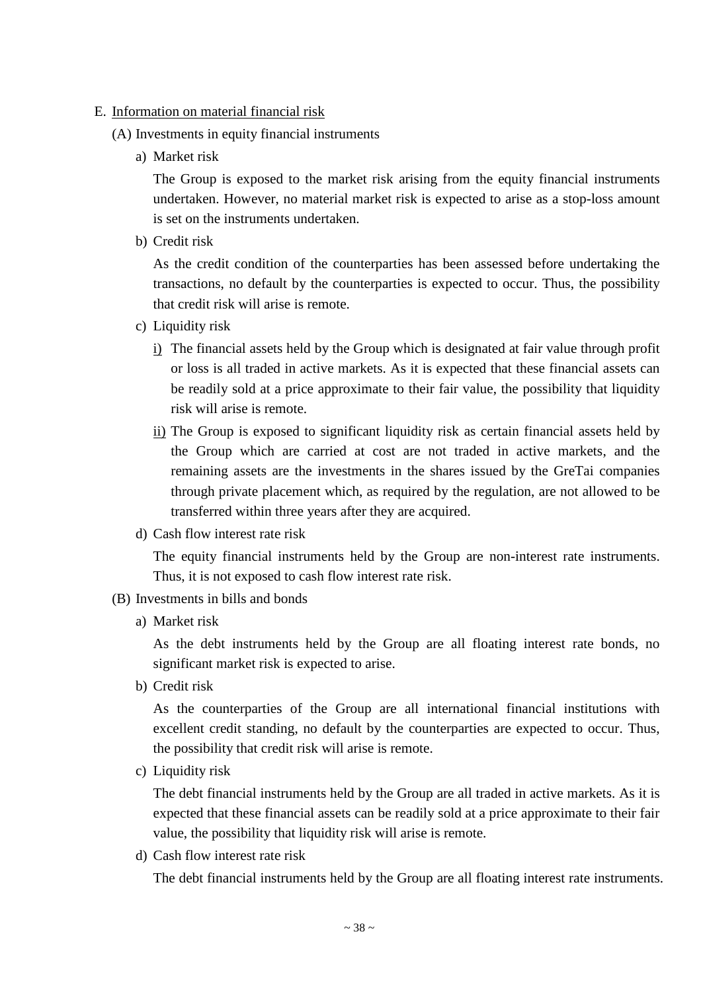#### E. Information on material financial risk

- (A) Investments in equity financial instruments
	- a) Market risk

The Group is exposed to the market risk arising from the equity financial instruments undertaken. However, no material market risk is expected to arise as a stop-loss amount is set on the instruments undertaken.

b) Credit risk

As the credit condition of the counterparties has been assessed before undertaking the transactions, no default by the counterparties is expected to occur. Thus, the possibility that credit risk will arise is remote.

- c) Liquidity risk
	- i) The financial assets held by the Group which is designated at fair value through profit or loss is all traded in active markets. As it is expected that these financial assets can be readily sold at a price approximate to their fair value, the possibility that liquidity risk will arise is remote.
	- ii) The Group is exposed to significant liquidity risk as certain financial assets held by the Group which are carried at cost are not traded in active markets, and the remaining assets are the investments in the shares issued by the GreTai companies through private placement which, as required by the regulation, are not allowed to be transferred within three years after they are acquired.
- d) Cash flow interest rate risk

The equity financial instruments held by the Group are non-interest rate instruments. Thus, it is not exposed to cash flow interest rate risk.

- (B) Investments in bills and bonds
	- a) Market risk

As the debt instruments held by the Group are all floating interest rate bonds, no significant market risk is expected to arise.

b) Credit risk

As the counterparties of the Group are all international financial institutions with excellent credit standing, no default by the counterparties are expected to occur. Thus, the possibility that credit risk will arise is remote.

c) Liquidity risk

The debt financial instruments held by the Group are all traded in active markets. As it is expected that these financial assets can be readily sold at a price approximate to their fair value, the possibility that liquidity risk will arise is remote.

d) Cash flow interest rate risk

The debt financial instruments held by the Group are all floating interest rate instruments.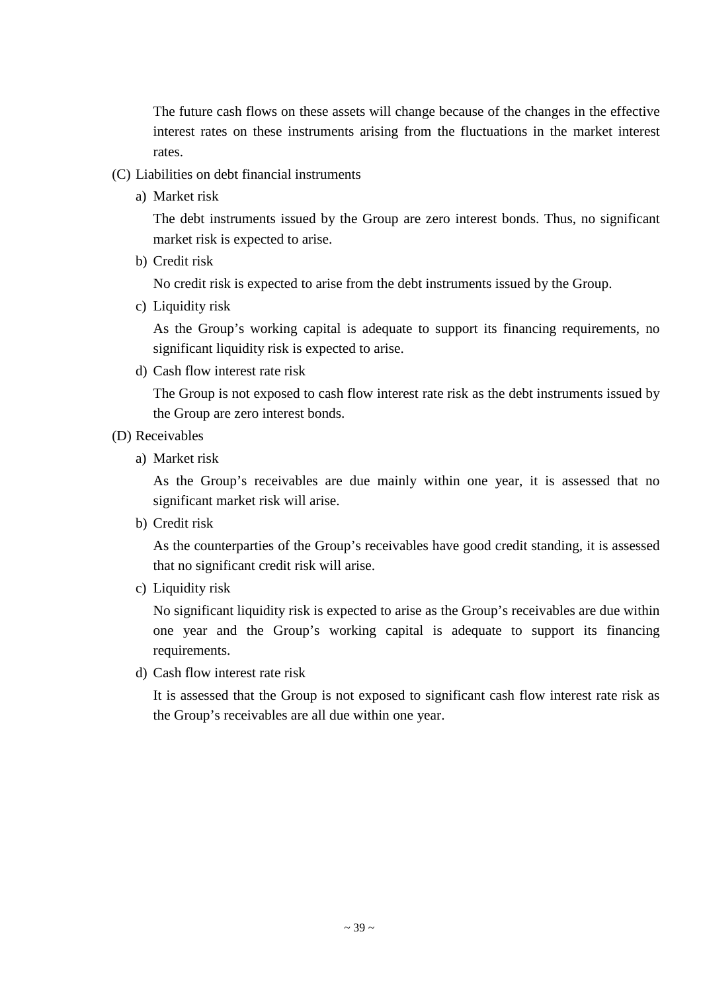The future cash flows on these assets will change because of the changes in the effective interest rates on these instruments arising from the fluctuations in the market interest rates.

- (C) Liabilities on debt financial instruments
	- a) Market risk

The debt instruments issued by the Group are zero interest bonds. Thus, no significant market risk is expected to arise.

b) Credit risk

No credit risk is expected to arise from the debt instruments issued by the Group.

c) Liquidity risk

As the Group's working capital is adequate to support its financing requirements, no significant liquidity risk is expected to arise.

d) Cash flow interest rate risk

The Group is not exposed to cash flow interest rate risk as the debt instruments issued by the Group are zero interest bonds.

- (D) Receivables
	- a) Market risk

As the Group's receivables are due mainly within one year, it is assessed that no significant market risk will arise.

b) Credit risk

As the counterparties of the Group's receivables have good credit standing, it is assessed that no significant credit risk will arise.

c) Liquidity risk

No significant liquidity risk is expected to arise as the Group's receivables are due within one year and the Group's working capital is adequate to support its financing requirements.

d) Cash flow interest rate risk

It is assessed that the Group is not exposed to significant cash flow interest rate risk as the Group's receivables are all due within one year.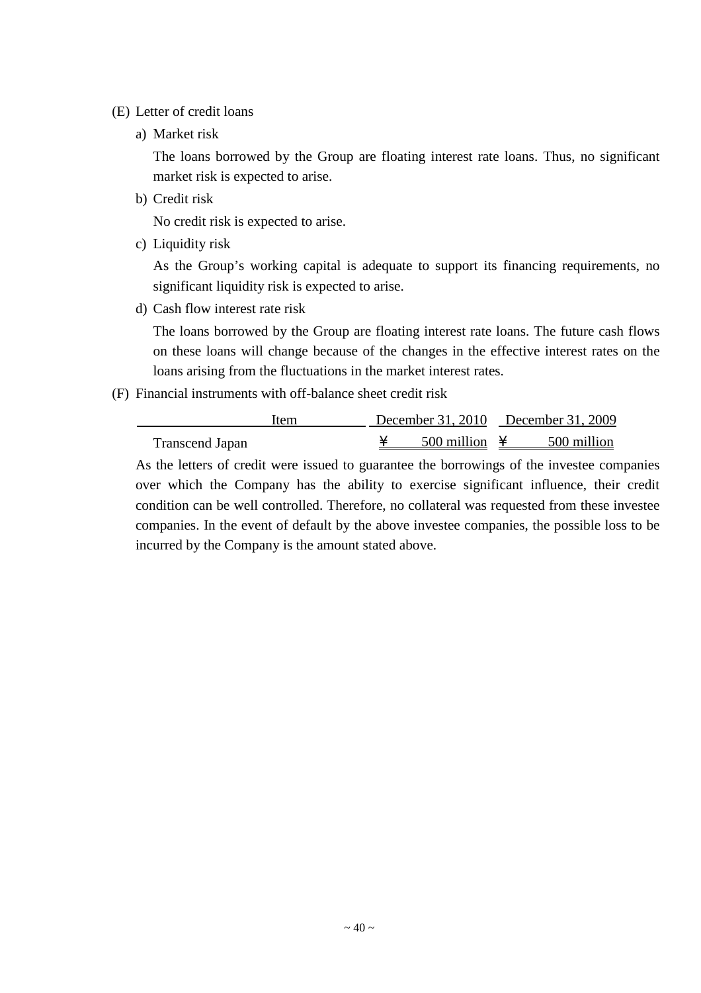- (E) Letter of credit loans
	- a) Market risk

The loans borrowed by the Group are floating interest rate loans. Thus, no significant market risk is expected to arise.

b) Credit risk

No credit risk is expected to arise.

c) Liquidity risk

As the Group's working capital is adequate to support its financing requirements, no significant liquidity risk is expected to arise.

d) Cash flow interest rate risk

The loans borrowed by the Group are floating interest rate loans. The future cash flows on these loans will change because of the changes in the effective interest rates on the loans arising from the fluctuations in the market interest rates.

(F) Financial instruments with off-balance sheet credit risk

| Item            |                           | December 31, 2010 December 31, 2009 |             |  |
|-----------------|---------------------------|-------------------------------------|-------------|--|
| Transcend Japan | 500 million $\frac{1}{2}$ |                                     | 500 million |  |

As the letters of credit were issued to guarantee the borrowings of the investee companies over which the Company has the ability to exercise significant influence, their credit condition can be well controlled. Therefore, no collateral was requested from these investee companies. In the event of default by the above investee companies, the possible loss to be incurred by the Company is the amount stated above.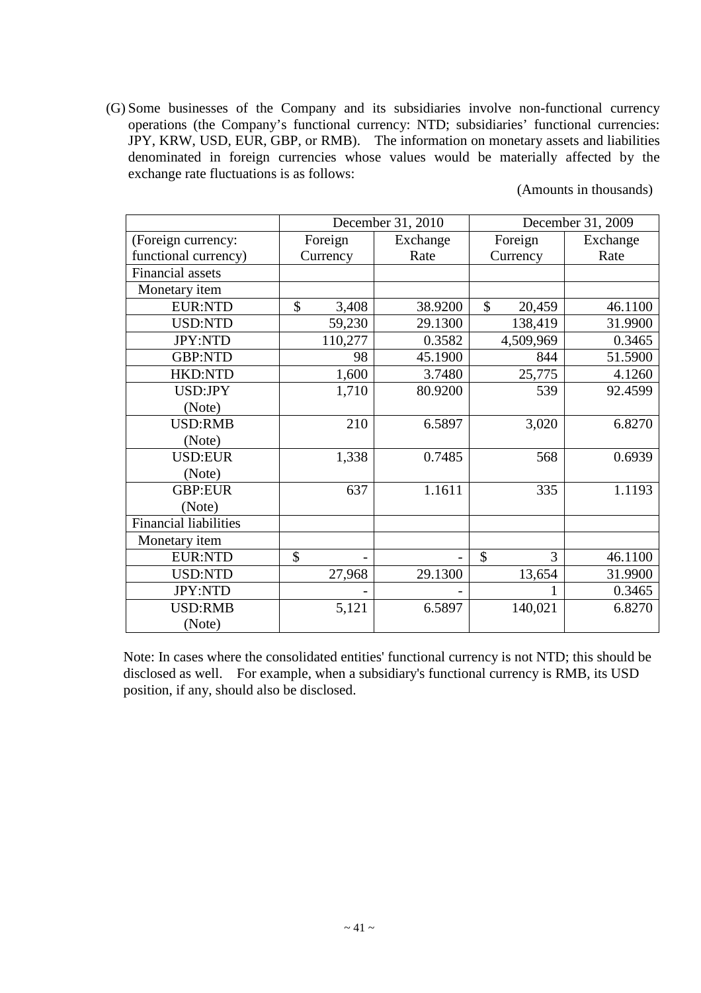(G) Some businesses of the Company and its subsidiaries involve non-functional currency operations (the Company's functional currency: NTD; subsidiaries' functional currencies: JPY, KRW, USD, EUR, GBP, or RMB). The information on monetary assets and liabilities denominated in foreign currencies whose values would be materially affected by the exchange rate fluctuations is as follows:

(Amounts in thousands)

|                              |             | December 31, 2010 | December 31, 2009       |          |  |  |
|------------------------------|-------------|-------------------|-------------------------|----------|--|--|
| (Foreign currency:           | Foreign     | Exchange          | Foreign                 | Exchange |  |  |
| functional currency)         | Currency    | Rate              | Currency                | Rate     |  |  |
| <b>Financial</b> assets      |             |                   |                         |          |  |  |
| Monetary item                |             |                   |                         |          |  |  |
| <b>EUR:NTD</b>               | \$<br>3,408 | 38.9200           | $\mathcal{S}$<br>20,459 | 46.1100  |  |  |
| <b>USD:NTD</b>               | 59,230      | 29.1300           | 138,419                 | 31.9900  |  |  |
| <b>JPY:NTD</b>               | 110,277     | 0.3582            | 4,509,969               | 0.3465   |  |  |
| <b>GBP:NTD</b>               | 98          | 45.1900           | 844                     | 51.5900  |  |  |
| <b>HKD:NTD</b>               | 1,600       | 3.7480            | 25,775                  | 4.1260   |  |  |
| USD:JPY                      | 1,710       | 80.9200           | 539                     | 92.4599  |  |  |
| (Note)                       |             |                   |                         |          |  |  |
| <b>USD:RMB</b>               | 210         | 6.5897            | 3,020                   | 6.8270   |  |  |
| (Note)                       |             |                   |                         |          |  |  |
| <b>USD:EUR</b>               | 1,338       | 0.7485            | 568                     | 0.6939   |  |  |
| (Note)                       |             |                   |                         |          |  |  |
| <b>GBP:EUR</b>               | 637         | 1.1611            | 335                     | 1.1193   |  |  |
| (Note)                       |             |                   |                         |          |  |  |
| <b>Financial liabilities</b> |             |                   |                         |          |  |  |
| Monetary item                |             |                   |                         |          |  |  |
| <b>EUR:NTD</b>               | \$          |                   | \$<br>3                 | 46.1100  |  |  |
| <b>USD:NTD</b>               | 27,968      | 29.1300           | 13,654                  | 31.9900  |  |  |
| JPY:NTD                      |             |                   |                         | 0.3465   |  |  |
| <b>USD:RMB</b>               | 5,121       | 6.5897            | 140,021                 | 6.8270   |  |  |
| (Note)                       |             |                   |                         |          |  |  |

Note: In cases where the consolidated entities' functional currency is not NTD; this should be disclosed as well. For example, when a subsidiary's functional currency is RMB, its USD position, if any, should also be disclosed.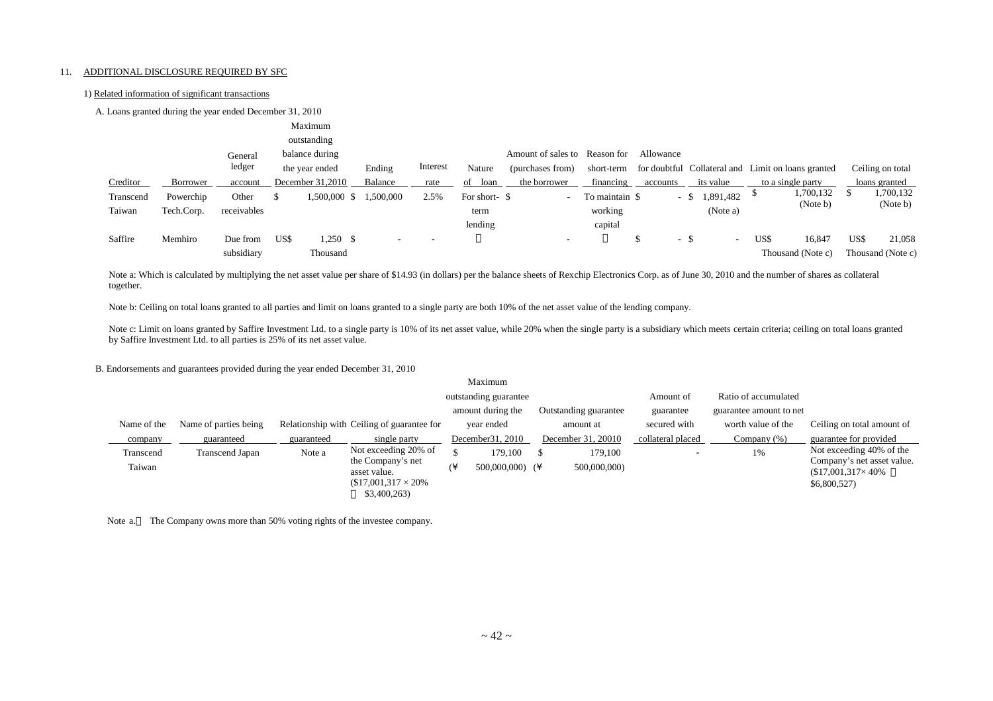#### 11. ADDITIONAL DISCLOSURE REQUIRED BY SFC

#### 1) Related information of significant transactions

| A. Loans granted during the year ended December 31, 2010 |  |  |
|----------------------------------------------------------|--|--|
|----------------------------------------------------------|--|--|

|           |            |             |      | Maximum          |           |          |               |                               |                |             |                                                    |      |                   |      |                   |
|-----------|------------|-------------|------|------------------|-----------|----------|---------------|-------------------------------|----------------|-------------|----------------------------------------------------|------|-------------------|------|-------------------|
|           |            |             |      | outstanding      |           |          |               |                               |                |             |                                                    |      |                   |      |                   |
|           |            | General     |      | balance during   |           |          |               | Amount of sales to Reason for |                | Allowance   |                                                    |      |                   |      |                   |
|           |            | ledger      |      | the year ended   | Ending    | Interest | Nature        | (purchases from)              | short-term     |             | for doubtful Collateral and Limit on loans granted |      |                   |      | Ceiling on total  |
| Creditor  | Borrower   | account     |      | December 31,2010 | Balance   | rate     | of<br>loan    | the borrower                  | financing      | accounts    | its value                                          |      | to a single party |      | loans granted     |
| Transcend | Powerchip  | Other       | ъ    | 1,500,000 \$     | 1,500,000 | 2.5%     | For short- \$ | $\overline{\phantom{a}}$      | To maintain \$ | - \$        | 1,891,482                                          |      | 1,700,132         |      | 1,700,132         |
| Taiwan    | Tech.Corp. | receivables |      |                  |           |          | term          |                               | working        |             | (Note a)                                           |      | (Note b)          |      | (Note b)          |
|           |            |             |      |                  |           |          | lending       |                               | capital        |             |                                                    |      |                   |      |                   |
| Saffire   | Memhiro    | Due from    | US\$ | $1,250$ \$       |           | . .      |               | $\overline{\phantom{a}}$      |                | $\sim$<br>Φ | . ა<br>$\overline{\phantom{a}}$                    | US\$ | 16,847            | US\$ | 21,058            |
|           |            | subsidiary  |      | Thousand         |           |          |               |                               |                |             |                                                    |      | Thousand (Note c) |      | Thousand (Note c) |

Note a: Which is calculated by multiplying the net asset value per share of \$14.93 (in dollars) per the balance sheets of Rexchip Electronics Corp. as of June 30, 2010 and the number of shares as collateral together.

Note b: Ceiling on total loans granted to all parties and limit on loans granted to a single party are both 10% of the net asset value of the lending company.

Note c: Limit on loans granted by Saffire Investment Ltd. to a single party is 10% of its net asset value, while 20% when the single party is a subsidiary which meets certain criteria; ceiling on total loans granted by Saffire Investment Ltd. to all parties is 25% of its net asset value.

B. Endorsements and guarantees provided during the year ended December 31, 2010

|                                            |                        |            |                                            |               | Maximum               |  |                    |                          |                      |                                                       |
|--------------------------------------------|------------------------|------------|--------------------------------------------|---------------|-----------------------|--|--------------------|--------------------------|----------------------|-------------------------------------------------------|
|                                            |                        |            |                                            |               | outstanding guarantee |  |                    | Amount of                | Ratio of accumulated |                                                       |
| amount during the<br>Outstanding guarantee |                        |            |                                            |               |                       |  | guarantee          | guarantee amount to net  |                      |                                                       |
| Name of the                                | Name of parties being  |            | Relationship with Ceiling of guarantee for |               | year ended            |  | amount at          | secured with             | worth value of the   | Ceiling on total amount of                            |
| company                                    | guaranteed             | guaranteed | single party                               |               | December 31, 2010     |  | December 31, 20010 | collateral placed        | Company $(\%)$       | guarantee for provided                                |
| Transcend                                  | <b>Transcend Japan</b> | Note a     | Not exceeding 20% of                       |               | 179.100               |  | 179.100            | $\overline{\phantom{a}}$ | 1%                   | Not exceeding 40% of the                              |
| Taiwan                                     |                        |            | the Company's net<br>asset value.          | $\mathcal{L}$ | $500,000,000$ (¥      |  | 500,000,000)       |                          |                      | Company's net asset value.<br>$$17,001,317\times40\%$ |
|                                            |                        |            | $$17,001,317 \times 20\%$                  |               |                       |  |                    |                          |                      | \$6,800,527)                                          |
|                                            |                        |            | \$3,400,263                                |               |                       |  |                    |                          |                      |                                                       |

Note a. The Company owns more than 50% voting rights of the investee company.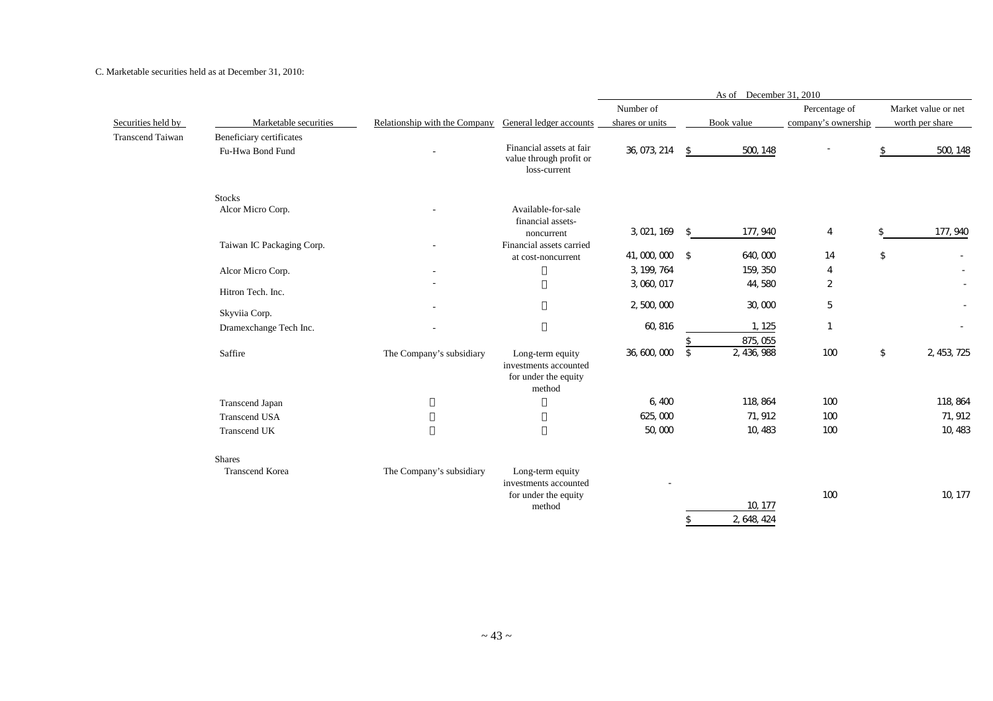#### C. Marketable securities held as at December 31, 2010:

|                         |                                              |                                                       |                                                                             |                 | As of December 31, 2010 |                        |                     |            |                     |
|-------------------------|----------------------------------------------|-------------------------------------------------------|-----------------------------------------------------------------------------|-----------------|-------------------------|------------------------|---------------------|------------|---------------------|
|                         |                                              |                                                       |                                                                             | Number of       |                         |                        | Percentage of       |            | Market value or net |
| Securities held by      | Marketable securities                        | Relationship with the Company General ledger accounts |                                                                             | shares or units |                         | Book value             | company's ownership |            | worth per share     |
| <b>Transcend Taiwan</b> | Beneficiary certificates<br>Fu-Hwa Bond Fund |                                                       | Financial assets at fair<br>value through profit or<br>loss-current         | 36, 073, 214    | \$                      | 500, 148               |                     | \$         | 500, 148            |
|                         | <b>Stocks</b>                                |                                                       |                                                                             |                 |                         |                        |                     |            |                     |
|                         | Alcor Micro Corp.                            |                                                       | Available-for-sale<br>financial assets-<br>noncurrent                       | 3, 021, 169     | $\mathcal{L}$           | 177, 940               | $\overline{4}$      | \$         | 177, 940            |
|                         | Taiwan IC Packaging Corp.                    |                                                       | Financial assets carried                                                    |                 |                         |                        |                     |            |                     |
|                         |                                              |                                                       | at cost-noncurrent                                                          | 41,000,000 \$   |                         | 640,000                | 14                  | $\sqrt{2}$ |                     |
|                         | Alcor Micro Corp.                            |                                                       |                                                                             | 3, 199, 764     |                         | 159, 350               | 4                   |            |                     |
|                         | Hitron Tech. Inc.                            |                                                       |                                                                             | 3,060,017       |                         | 44,580                 | $\overline{2}$      |            |                     |
|                         |                                              |                                                       |                                                                             | 2,500,000       |                         | 30,000                 | 5                   |            |                     |
|                         | Skyviia Corp.                                |                                                       |                                                                             | 60, 816         |                         | 1, 125                 | $\overline{1}$      |            |                     |
|                         | Dramexchange Tech Inc.                       |                                                       |                                                                             |                 | $\mathfrak{L}$          | 875, 055               |                     |            |                     |
|                         | Saffire                                      | The Company's subsidiary                              | Long-term equity<br>investments accounted<br>for under the equity<br>method | 36, 600, 000    | $\sqrt{5}$              | 2, 436, 988            | 100                 | \$         | 2, 453, 725         |
|                         | Transcend Japan                              |                                                       |                                                                             | 6,400           |                         | 118, 864               | 100                 |            | 118, 864            |
|                         | <b>Transcend USA</b>                         |                                                       |                                                                             | 625,000         |                         | 71, 912                | 100                 |            | 71, 912             |
|                         | Transcend UK                                 |                                                       |                                                                             | 50,000          |                         | 10, 483                | 100                 |            | 10, 483             |
|                         | <b>Shares</b>                                |                                                       |                                                                             |                 |                         |                        |                     |            |                     |
|                         | <b>Transcend Korea</b>                       | The Company's subsidiary                              | Long-term equity<br>investments accounted<br>for under the equity<br>method |                 | \$                      | 10, 177<br>2, 648, 424 | 100                 |            | 10, 177             |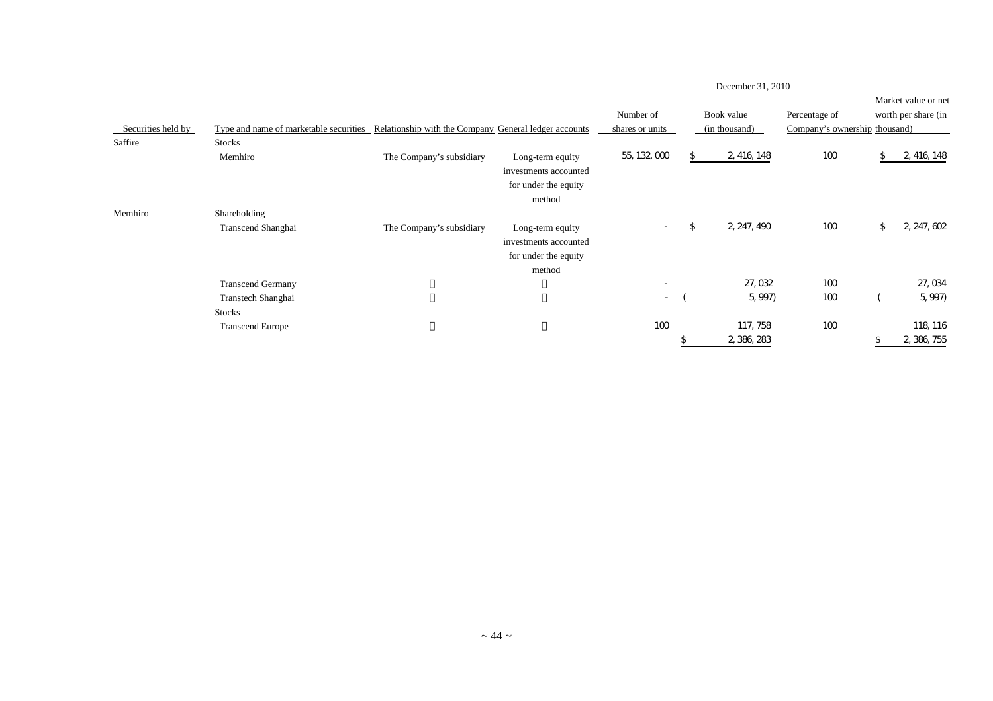|                               |                                                                                              |                          |                                                                             | December 31, 2010            |    |                               |                                                |    |                                            |
|-------------------------------|----------------------------------------------------------------------------------------------|--------------------------|-----------------------------------------------------------------------------|------------------------------|----|-------------------------------|------------------------------------------------|----|--------------------------------------------|
| Securities held by<br>Saffire | Type and name of marketable securities Relationship with the Company General ledger accounts |                          |                                                                             | Number of<br>shares or units |    | Book value<br>(in thousand)   | Percentage of<br>Company's ownership thousand) |    | Market value or net<br>worth per share (in |
|                               | <b>Stocks</b><br>Memhiro                                                                     | The Company's subsidiary | Long-term equity<br>investments accounted<br>for under the equity<br>method | 55, 132, 000                 | \$ | 2, 416, 148                   | 100                                            |    | 2, 416, 148                                |
| Memhiro                       | Shareholding<br>Transcend Shanghai                                                           | The Company's subsidiary | Long-term equity<br>investments accounted<br>for under the equity<br>method | $\sim$                       | \$ | 2, 247, 490                   | 100                                            | \$ | 2, 247, 602                                |
|                               | <b>Transcend Germany</b><br>Transtech Shanghai<br><b>Stocks</b><br><b>Transcend Europe</b>   |                          |                                                                             | $\sim$<br>$\sim$<br>100      |    | 27,032<br>5, 997)<br>117, 758 | 100<br>100<br>100                              |    | 27, 034<br>5, 997)<br>118, 116             |
|                               |                                                                                              |                          |                                                                             |                              | \$ | 2, 386, 283                   |                                                | \$ | 2, 386, 755                                |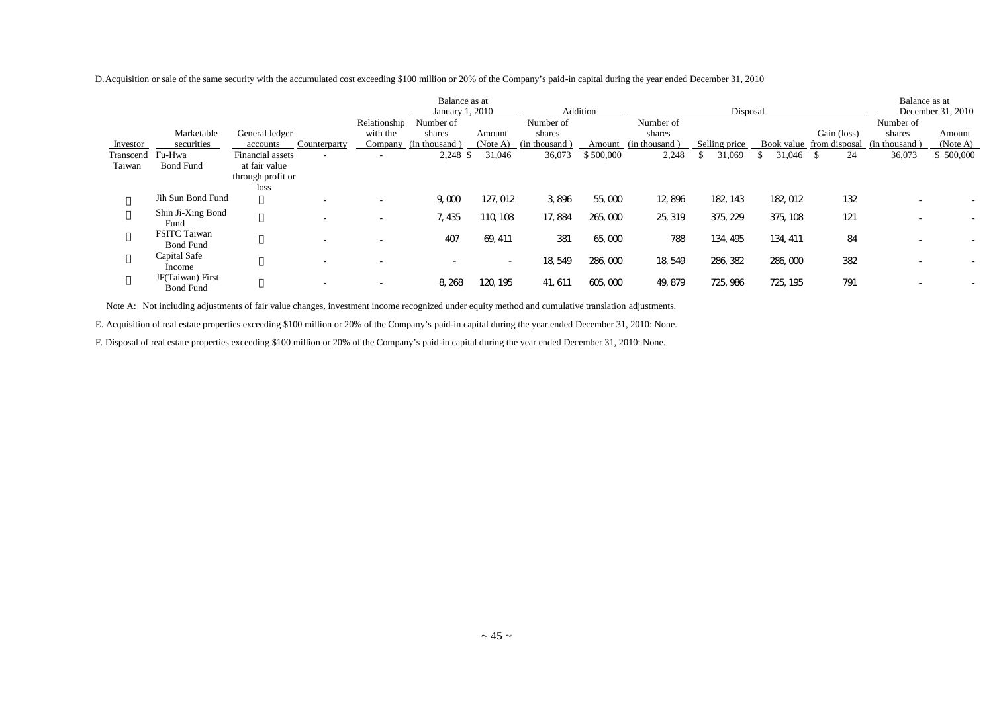D.Acquisition or sale of the same security with the accumulated cost exceeding \$100 million or 20% of the Company's paid-in capital during the year ended December 31, 2010

|           |                     |                                              |              | Balance as at<br>January 1, 2010 |                          |               | Addition  |               | Disposal      |             |                          | Balance as at | December 31, 2010 |
|-----------|---------------------|----------------------------------------------|--------------|----------------------------------|--------------------------|---------------|-----------|---------------|---------------|-------------|--------------------------|---------------|-------------------|
|           |                     |                                              | Relationship | Number of                        |                          | Number of     |           | Number of     |               |             |                          | Number of     |                   |
|           | Marketable          | General ledger                               | with the     | shares                           | Amount                   | shares        |           | shares        |               |             | Gain (loss)              | shares        | Amount            |
| Investor  | securities          | Counterparty<br>accounts                     |              | Company (in thousand)            | (Note A)                 | (in thousand) | Amount    | (in thousand) | Selling price |             | Book value from disposal | (in thousand) | (Note A)          |
| Transcend | 'u-Hwa              | Financial assets<br>$\overline{\phantom{a}}$ |              | 2,248 \$                         | 31,046                   | 36,073        | \$500,000 | 2,248         | 31,069        | $31,046$ \$ | 24                       | 36,073        | \$500,000         |
| Taiwan    | <b>Bond Fund</b>    | at fair value                                |              |                                  |                          |               |           |               |               |             |                          |               |                   |
|           |                     | through profit or                            |              |                                  |                          |               |           |               |               |             |                          |               |                   |
|           |                     | loss                                         |              |                                  |                          |               |           |               |               |             |                          |               |                   |
|           | Jih Sun Bond Fund   | $\overline{\phantom{a}}$                     | ٠            | 9,000                            | 127, 012                 | 3,896         | 55,000    | 12,896        | 182, 143      | 182, 012    | 132                      |               |                   |
|           | Shin Ji-Xing Bond   |                                              |              |                                  | 110, 108                 | 17,884        | 265,000   |               | 375, 229      | 375, 108    | 121                      |               |                   |
|           | Fund                | $\overline{\phantom{a}}$                     |              | 7, 435                           |                          |               |           | 25, 319       |               |             |                          |               |                   |
|           | <b>FSITC Taiwan</b> |                                              |              | 407                              | 69, 411                  | 381           | 65,000    | 788           | 134, 495      | 134, 411    | 84                       |               |                   |
|           | <b>Bond Fund</b>    | $\overline{\phantom{a}}$                     |              |                                  |                          |               |           |               |               |             |                          |               |                   |
|           | Capital Safe        | $\overline{\phantom{a}}$                     |              | $\overline{\phantom{a}}$         | $\overline{\phantom{a}}$ | 18, 549       | 286,000   | 18, 549       | 286, 382      | 286,000     | 382                      |               |                   |
|           | Income              |                                              |              |                                  |                          |               |           |               |               |             |                          |               |                   |
|           | JF(Taiwan) First    | ۰                                            |              | 8, 268                           | 120.<br>195              | 41, 611       | 605,000   | 49, 879       | 725, 986      | 725, 195    | 791                      |               |                   |
|           | <b>Bond Fund</b>    |                                              |              |                                  |                          |               |           |               |               |             |                          |               |                   |

Note A: Not including adjustments of fair value changes, investment income recognized under equity method and cumulative translation adjustments.

E. Acquisition of real estate properties exceeding \$100 million or 20% of the Company's paid-in capital during the year ended December 31, 2010: None.

F. Disposal of real estate properties exceeding \$100 million or 20% of the Company's paid-in capital during the year ended December 31, 2010: None.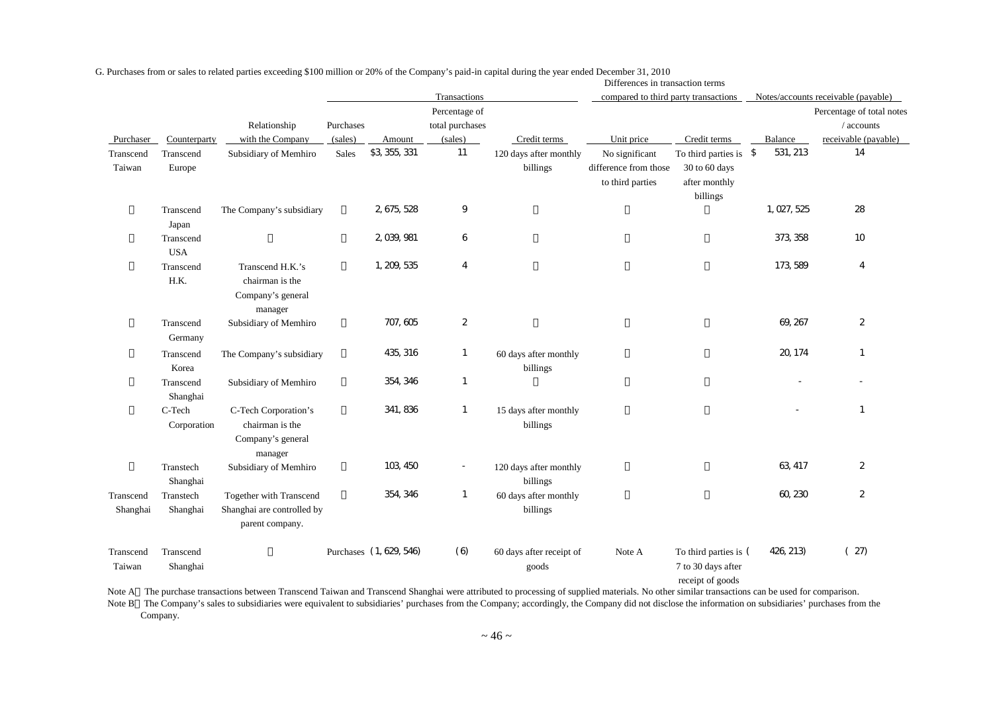|                       |                         |                                                                          |                      |                         |                                             |                                    | Differences in transaction terms                            |                                                                   |                |                                                                 |
|-----------------------|-------------------------|--------------------------------------------------------------------------|----------------------|-------------------------|---------------------------------------------|------------------------------------|-------------------------------------------------------------|-------------------------------------------------------------------|----------------|-----------------------------------------------------------------|
|                       |                         |                                                                          |                      |                         | Transactions                                |                                    | compared to third party transactions                        |                                                                   |                | Notes/accounts receivable (payable)                             |
| Purchaser             | Counterparty            | Relationship<br>with the Company                                         | Purchases<br>(sales) | Amount                  | Percentage of<br>total purchases<br>(sales) | Credit terms                       | Unit price                                                  | Credit terms                                                      | Balance        | Percentage of total notes<br>/ accounts<br>receivable (payable) |
| Transcend<br>Taiwan   | Transcend<br>Europe     | Subsidiary of Memhiro                                                    | Sales                | \$3, 355, 331           | 11                                          | 120 days after monthly<br>billings | No significant<br>difference from those<br>to third parties | To third parties is<br>30 to 60 days<br>after monthly<br>billings | 531, 213<br>\$ | 14                                                              |
|                       | Transcend<br>Japan      | The Company's subsidiary                                                 |                      | 2, 675, 528             | 9                                           |                                    |                                                             |                                                                   | 1, 027, 525    | 28                                                              |
|                       | Transcend<br><b>USA</b> |                                                                          |                      | 2, 039, 981             | 6                                           |                                    |                                                             |                                                                   | 373, 358       | 10                                                              |
|                       | Transcend<br>H.K.       | Transcend H.K.'s<br>chairman is the<br>Company's general<br>manager      |                      | 1, 209, 535             | $\overline{4}$                              |                                    |                                                             |                                                                   | 173, 589       | $\overline{4}$                                                  |
|                       | Transcend<br>Germany    | Subsidiary of Memhiro                                                    |                      | 707, 605                | $\overline{c}$                              |                                    |                                                             |                                                                   | 69, 267        | $\overline{2}$                                                  |
|                       | Transcend<br>Korea      | The Company's subsidiary                                                 |                      | 435, 316                | $\mathbf{1}$                                | 60 days after monthly<br>billings  |                                                             |                                                                   | 20, 174        | $\mathbf{1}$                                                    |
|                       | Transcend<br>Shanghai   | Subsidiary of Memhiro                                                    |                      | 354, 346                | $\overline{1}$                              |                                    |                                                             |                                                                   |                |                                                                 |
|                       | C-Tech<br>Corporation   | C-Tech Corporation's<br>chairman is the<br>Company's general<br>manager  |                      | 341, 836                | $\overline{1}$                              | 15 days after monthly<br>billings  |                                                             |                                                                   |                | $\mathbf{1}$                                                    |
|                       | Transtech<br>Shanghai   | Subsidiary of Memhiro                                                    |                      | 103, 450                | $\overline{\phantom{a}}$                    | 120 days after monthly<br>billings |                                                             |                                                                   | 63, 417        | $\overline{2}$                                                  |
| Transcend<br>Shanghai | Transtech<br>Shanghai   | Together with Transcend<br>Shanghai are controlled by<br>parent company. |                      | 354, 346                | $\overline{1}$                              | 60 days after monthly<br>billings  |                                                             |                                                                   | 60, 230        | $\overline{2}$                                                  |
| Transcend<br>Taiwan   | Transcend<br>Shanghai   |                                                                          |                      | Purchases (1, 629, 546) | (6)                                         | 60 days after receipt of<br>goods  | Note A                                                      | To third parties is (<br>7 to 30 days after<br>receipt of goods   | 426, 213)      | (27)                                                            |

G. Purchases from or sales to related parties exceeding \$100 million or 20% of the Company's paid-in capital during the year ended December 31, 2010

Note A The purchase transactions between Transcend Taiwan and Transcend Shanghai were attributed to processing of supplied materials. No other similar transactions can be used for comparison.

Note B The Company's sales to subsidiaries were equivalent to subsidiaries' purchases from the Company; accordingly, the Company did not disclose the information on subsidiaries' purchases from the Company.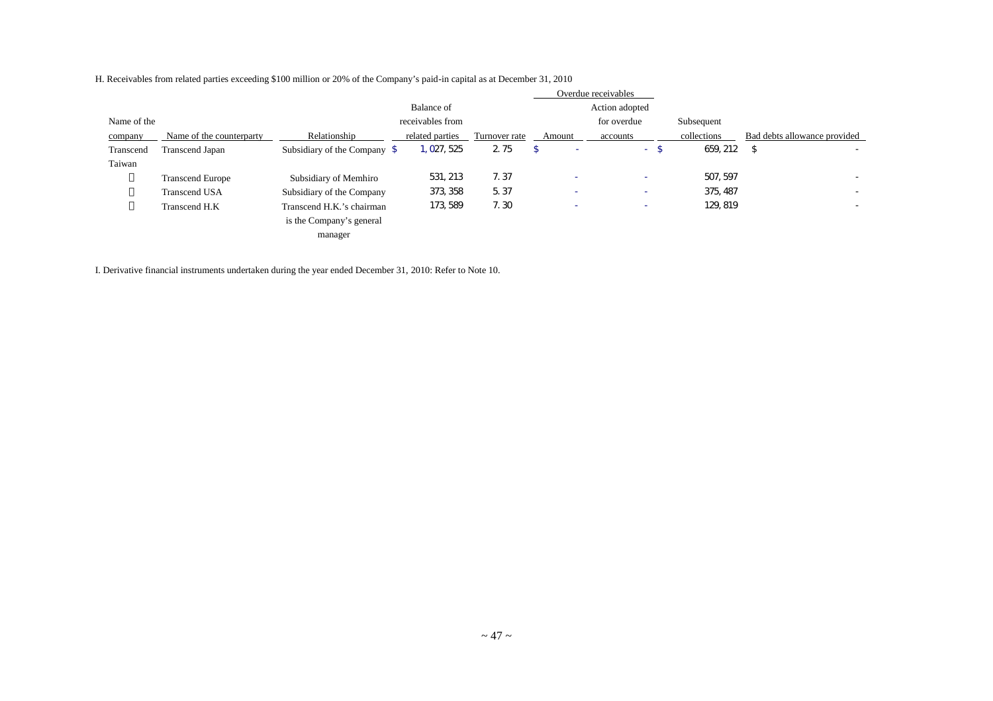|             |                          |                                         |                  |               |        | Overdue receivables      |             |                              |
|-------------|--------------------------|-----------------------------------------|------------------|---------------|--------|--------------------------|-------------|------------------------------|
|             |                          |                                         | Balance of       |               |        | Action adopted           |             |                              |
| Name of the |                          |                                         | receivables from |               |        | for overdue              | Subsequent  |                              |
| company     | Name of the counterparty | Relationship                            | related parties  | Turnover rate | Amount | accounts                 | collections | Bad debts allowance provided |
| Transcend   | Transcend Japan          | Subsidiary of the Company $\frac{1}{2}$ | 1, 027, 525      | 2.75          |        | -\$<br>$\sim 100$        | 659, 212    | \$<br>$\sim$                 |
| Taiwan      |                          |                                         |                  |               |        |                          |             |                              |
|             | <b>Transcend Europe</b>  | Subsidiary of Memhiro                   | 531, 213         | 7.37          |        | $\overline{\phantom{a}}$ | 507, 597    | $\overline{\phantom{0}}$     |
|             | Transcend USA            | Subsidiary of the Company               | 373, 358         | 5.37          | ٠      | $\overline{\phantom{a}}$ | 375, 487    | $\overline{\phantom{0}}$     |
|             | Transcend H.K            | Transcend H.K.'s chairman               | 173, 589         | 7.30          | -      | $\overline{\phantom{a}}$ | 129, 819    | $\overline{\phantom{0}}$     |
|             |                          | is the Company's general                |                  |               |        |                          |             |                              |
|             |                          | manager                                 |                  |               |        |                          |             |                              |

H. Receivables from related parties exceeding \$100 million or 20% of the Company's paid-in capital as at December 31, 2010

I. Derivative financial instruments undertaken during the year ended December 31, 2010: Refer to Note 10.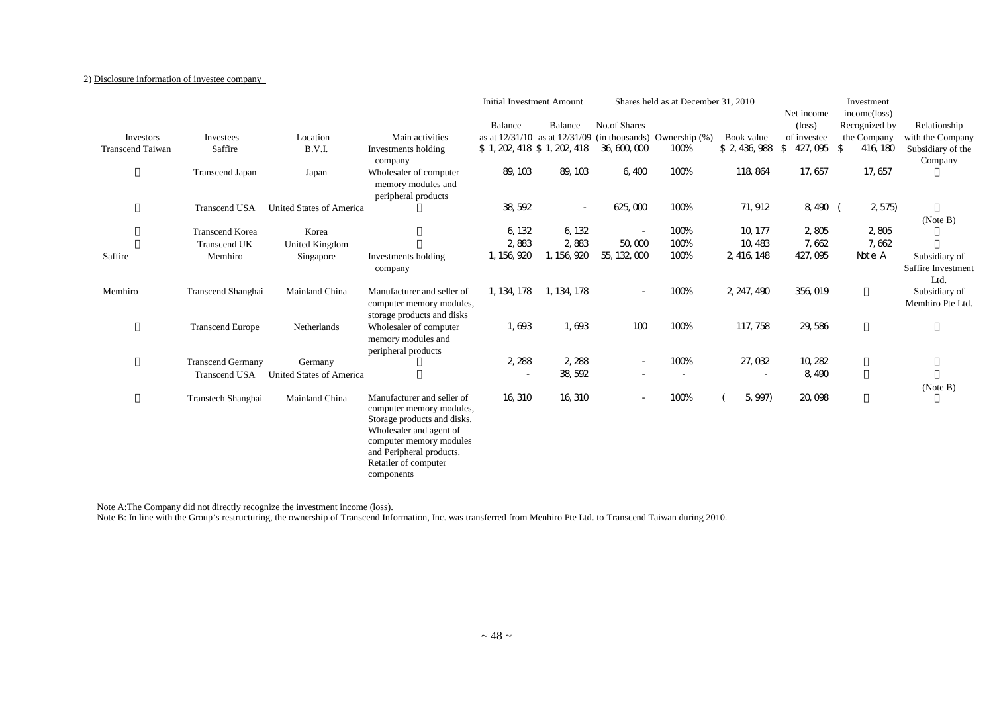#### 2) Disclosure information of investee company

|                         |                          |                                 |                                                                                                                                                                                                               | <b>Initial Investment Amount</b> |             |                          | Shares held as at December 31, 2010                               |                          |                          | Investment    |                                   |
|-------------------------|--------------------------|---------------------------------|---------------------------------------------------------------------------------------------------------------------------------------------------------------------------------------------------------------|----------------------------------|-------------|--------------------------|-------------------------------------------------------------------|--------------------------|--------------------------|---------------|-----------------------------------|
|                         |                          |                                 |                                                                                                                                                                                                               |                                  |             |                          |                                                                   |                          | Net income               | income(loss)  |                                   |
|                         |                          |                                 |                                                                                                                                                                                                               | Balance                          | Balance     | No.of Shares             |                                                                   |                          | $(\text{loss})$          | Recognized by | Relationship                      |
| <b>Investors</b>        | Investees                | Location                        | Main activities                                                                                                                                                                                               |                                  |             |                          | as at $12/31/10$ as at $12/31/09$ (in thousands) Ownership $(\%)$ | Book value               | of investee              | the Company   | with the Company                  |
| <b>Transcend Taiwan</b> | Saffire                  | B.V.I.                          | Investments holding<br>company                                                                                                                                                                                | \$1, 202, 418 \$1, 202, 418      |             | 36, 600, 000             | 100%                                                              | \$ 2, 436, 988           | $\sqrt{2}$<br>427,095 \$ | 416, 180      | Subsidiary of the<br>Company      |
|                         | <b>Transcend Japan</b>   | Japan                           | Wholesaler of computer<br>memory modules and<br>peripheral products                                                                                                                                           | 89, 103                          | 89, 103     | 6,400                    | 100%                                                              | 118, 864                 | 17, 657                  | 17, 657       |                                   |
|                         | <b>Transcend USA</b>     | United States of America        |                                                                                                                                                                                                               | 38, 592                          |             | 625,000                  | 100%                                                              | 71, 912                  | 8,490 (                  | 2, 575        |                                   |
|                         |                          |                                 |                                                                                                                                                                                                               |                                  |             |                          |                                                                   |                          |                          |               | (Note B)                          |
|                         | <b>Transcend Korea</b>   | Korea                           |                                                                                                                                                                                                               | 6, 132                           | 6, 132      |                          | 100%                                                              | 10, 177                  | 2,805                    | 2,805         |                                   |
|                         | <b>Transcend UK</b>      | United Kingdom                  |                                                                                                                                                                                                               | 2.883                            | 2.883       | 50,000                   | 100%                                                              | 10.483                   | 7,662                    | 7,662         |                                   |
| Saffire                 | Memhiro                  | Singapore                       | Investments holding                                                                                                                                                                                           | 1, 156, 920                      | 1, 156, 920 | 55, 132, 000             | 100%                                                              | 2, 416, 148              | 427, 095                 | Note A        | Subsidiary of                     |
|                         |                          |                                 | company                                                                                                                                                                                                       |                                  |             |                          |                                                                   |                          |                          |               | Saffire Investment<br>Ltd.        |
| Memhiro                 | Transcend Shanghai       | Mainland China                  | Manufacturer and seller of<br>computer memory modules,<br>storage products and disks                                                                                                                          | 1, 134, 178                      | 1, 134, 178 | $\overline{\phantom{a}}$ | 100%                                                              | 2, 247, 490              | 356, 019                 |               | Subsidiary of<br>Memhiro Pte Ltd. |
|                         | <b>Transcend Europe</b>  | Netherlands                     | Wholesaler of computer<br>memory modules and<br>peripheral products                                                                                                                                           | 1,693                            | 1,693       | 100                      | 100%                                                              | 117, 758                 | 29,586                   |               |                                   |
|                         | <b>Transcend Germany</b> | Germany                         |                                                                                                                                                                                                               | 2, 288                           | 2, 288      | $\overline{\phantom{a}}$ | 100%                                                              | 27,032                   | 10, 282                  |               |                                   |
|                         | <b>Transcend USA</b>     | <b>United States of America</b> |                                                                                                                                                                                                               | $\overline{\phantom{a}}$         | 38, 592     | $\overline{\phantom{a}}$ | $\sim$                                                            | $\overline{\phantom{a}}$ | 8, 490                   |               |                                   |
|                         | Transtech Shanghai       | Mainland China                  | Manufacturer and seller of<br>computer memory modules,<br>Storage products and disks.<br>Wholesaler and agent of<br>computer memory modules<br>and Peripheral products.<br>Retailer of computer<br>components | 16, 310                          | 16, 310     | $\overline{\phantom{a}}$ | 100%                                                              | 5, 997)                  | 20,098                   |               | (Note B)                          |

Note A:The Company did not directly recognize the investment income (loss).

Note B: In line with the Group's restructuring, the ownership of Transcend Information, Inc. was transferred from Menhiro Pte Ltd. to Transcend Taiwan during 2010.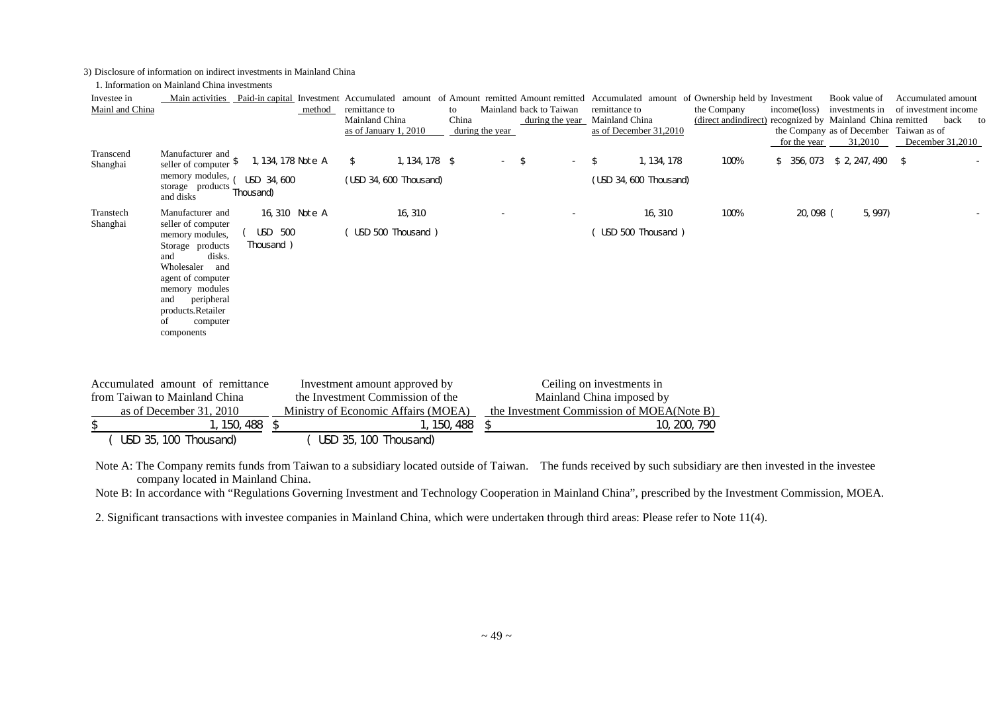3) Disclosure of information on indirect investments in Mainland China

1. Information on Mainland China investments

| Investee in           |                                                                                                                                                                                                               |                         | Main activities Paid-in capital Investment Accumulated amount |             |                 |                         | of Amount remitted Amount remitted Accumulated amount of Ownership held by Investment |                                                             |              | Book value of                           | Accumulated amount   |  |
|-----------------------|---------------------------------------------------------------------------------------------------------------------------------------------------------------------------------------------------------------|-------------------------|---------------------------------------------------------------|-------------|-----------------|-------------------------|---------------------------------------------------------------------------------------|-------------------------------------------------------------|--------------|-----------------------------------------|----------------------|--|
| Mainl and China       |                                                                                                                                                                                                               | method                  | remittance to                                                 | to          |                 | Mainland back to Taiwan | remittance to                                                                         | the Company                                                 | income(loss) | investments in                          | of investment income |  |
|                       |                                                                                                                                                                                                               |                         | Mainland China<br>as of January 1, 2010                       | China       | during the year |                         | during the year Mainland China<br>as of December 31,2010                              | (direct and indirect) recognized by Mainland China remitted |              | the Company as of December Taiwan as of | back to              |  |
|                       |                                                                                                                                                                                                               |                         |                                                               |             |                 |                         |                                                                                       |                                                             | for the year | 31,2010                                 | December 31,2010     |  |
| Transcend<br>Shanghai | Manufacturer and<br>seller of computer $\delta$                                                                                                                                                               | 1, 134, 178 Note A      | 1, 134, 178 \$<br>\$                                          |             |                 | -\$                     | 1, 134, 178<br>\$                                                                     | 100%                                                        |              | $$356,073$$ \$ 2, 247, 490 \$           |                      |  |
|                       | memory modules,<br>storage products<br>and disks                                                                                                                                                              | USD 34,600<br>Thousand) | (USD 34, 600 Thousand)                                        |             |                 |                         | (USD 34, 600 Thousand)                                                                |                                                             |              |                                         |                      |  |
| Transtech             | Manufacturer and                                                                                                                                                                                              | 16, 310 Note A          | 16, 310                                                       |             |                 |                         | 16, 310                                                                               | 100%                                                        | 20,098 (     | 5, 997)                                 |                      |  |
| Shanghai              | seller of computer<br>memory modules,<br>Storage products<br>disks.<br>and<br>Wholesaler and<br>agent of computer<br>memory modules<br>peripheral<br>and<br>products.Retailer<br>οf<br>computer<br>components | USD 500<br>Thousand)    | USD 500 Thousand)                                             |             |                 |                         | USD 500 Thousand)                                                                     |                                                             |              |                                         |                      |  |
|                       | Accumulated amount of remittance                                                                                                                                                                              |                         | Investment amount approved by                                 |             |                 |                         | Ceiling on investments in                                                             |                                                             |              |                                         |                      |  |
|                       | from Taiwan to Mainland China                                                                                                                                                                                 |                         | the Investment Commission of the                              |             |                 |                         | Mainland China imposed by                                                             |                                                             |              |                                         |                      |  |
|                       | as of December 31, 2010                                                                                                                                                                                       |                         | Ministry of Economic Affairs (MOEA)                           |             |                 |                         | the Investment Commission of MOEA(Note B)                                             |                                                             |              |                                         |                      |  |
| $\mathcal{L}$         |                                                                                                                                                                                                               | 1, 150, 488 \$          |                                                               | 1, 150, 488 | <sup>\$</sup>   |                         |                                                                                       | 10, 200, 790                                                |              |                                         |                      |  |
|                       | USD 35, 100 Thousand)                                                                                                                                                                                         |                         | USD 35, 100 Thousand)                                         |             |                 |                         |                                                                                       |                                                             |              |                                         |                      |  |

Note A: The Company remits funds from Taiwan to a subsidiary located outside of Taiwan. The funds received by such subsidiary are then invested in the investee company located in Mainland China.

Note B: In accordance with "Regulations Governing Investment and Technology Cooperation in Mainland China", prescribed by the Investment Commission, MOEA.

2. Significant transactions with investee companies in Mainland China, which were undertaken through third areas: Please refer to Note 11(4).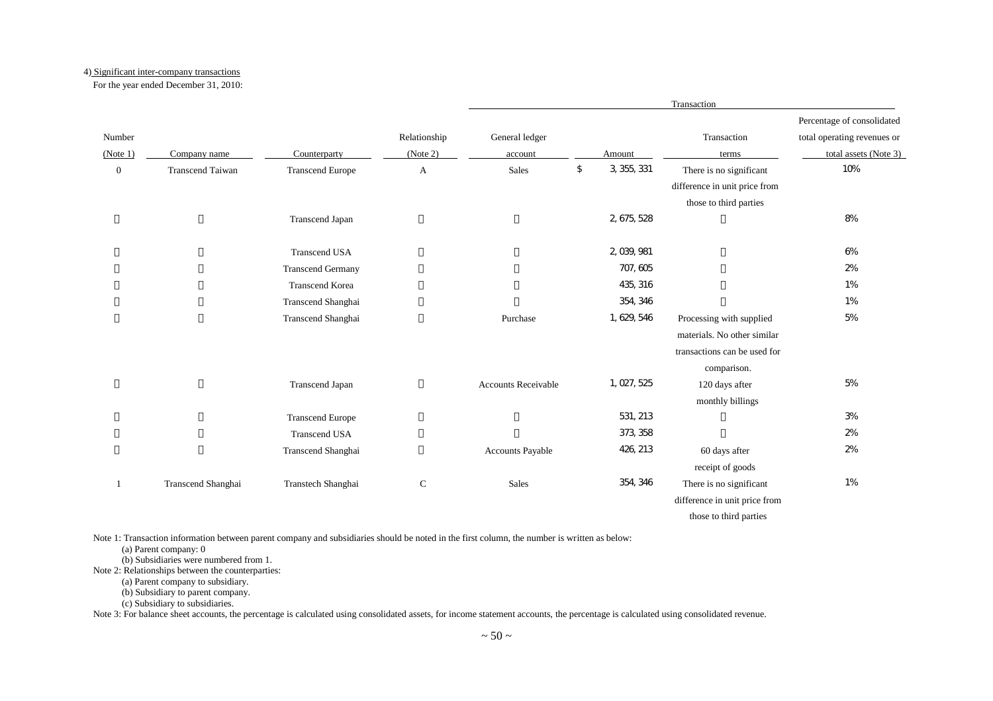#### 4) Significant inter-company transactions

For the year ended December 31, 2010:

|                  |                         |                          |              |                            |                   | Transaction                   |                             |
|------------------|-------------------------|--------------------------|--------------|----------------------------|-------------------|-------------------------------|-----------------------------|
|                  |                         |                          |              |                            |                   |                               | Percentage of consolidated  |
| Number           |                         |                          | Relationship | General ledger             |                   | Transaction                   | total operating revenues or |
| (Note 1)         | Company name            | Counterparty             | (Note 2)     | account                    | Amount            | terms                         | total assets (Note 3)       |
| $\boldsymbol{0}$ | <b>Transcend Taiwan</b> | <b>Transcend Europe</b>  | A            | Sales                      | \$<br>3, 355, 331 | There is no significant       | 10%                         |
|                  |                         |                          |              |                            |                   | difference in unit price from |                             |
|                  |                         |                          |              |                            |                   | those to third parties        |                             |
|                  |                         | Transcend Japan          |              |                            | 2, 675, 528       |                               | 8%                          |
|                  |                         | <b>Transcend USA</b>     |              |                            | 2, 039, 981       |                               | 6%                          |
|                  |                         | <b>Transcend Germany</b> |              |                            | 707, 605          |                               | 2%                          |
|                  |                         | <b>Transcend Korea</b>   |              |                            | 435, 316          |                               | 1%                          |
|                  |                         | Transcend Shanghai       |              |                            | 354, 346          |                               | 1%                          |
|                  |                         | Transcend Shanghai       |              | Purchase                   | 1, 629, 546       | Processing with supplied      | 5%                          |
|                  |                         |                          |              |                            |                   | materials. No other similar   |                             |
|                  |                         |                          |              |                            |                   | transactions can be used for  |                             |
|                  |                         |                          |              |                            |                   | comparison.                   |                             |
|                  |                         | Transcend Japan          |              | <b>Accounts Receivable</b> | 1, 027, 525       | 120 days after                | 5%                          |
|                  |                         |                          |              |                            |                   | monthly billings              |                             |
|                  |                         | <b>Transcend Europe</b>  |              |                            | 531, 213          |                               | 3%                          |
|                  |                         | <b>Transcend USA</b>     |              |                            | 373, 358          |                               | 2%                          |
|                  |                         | Transcend Shanghai       |              | Accounts Payable           | 426, 213          | 60 days after                 | 2%                          |
|                  |                         |                          |              |                            |                   | receipt of goods              |                             |
| $\mathbf{1}$     | Transcend Shanghai      | Transtech Shanghai       | $\mathsf{C}$ | Sales                      | 354, 346          | There is no significant       | 1%                          |
|                  |                         |                          |              |                            |                   | difference in unit price from |                             |
|                  |                         |                          |              |                            |                   | those to third parties        |                             |

Note 1: Transaction information between parent company and subsidiaries should be noted in the first column, the number is written as below:

(a) Parent company: 0

(b) Subsidiaries were numbered from 1.

Note 2: Relationships between the counterparties:

(a) Parent company to subsidiary.

(b) Subsidiary to parent company.

(c) Subsidiary to subsidiaries.

Note 3: For balance sheet accounts, the percentage is calculated using consolidated assets, for income statement accounts, the percentage is calculated using consolidated revenue.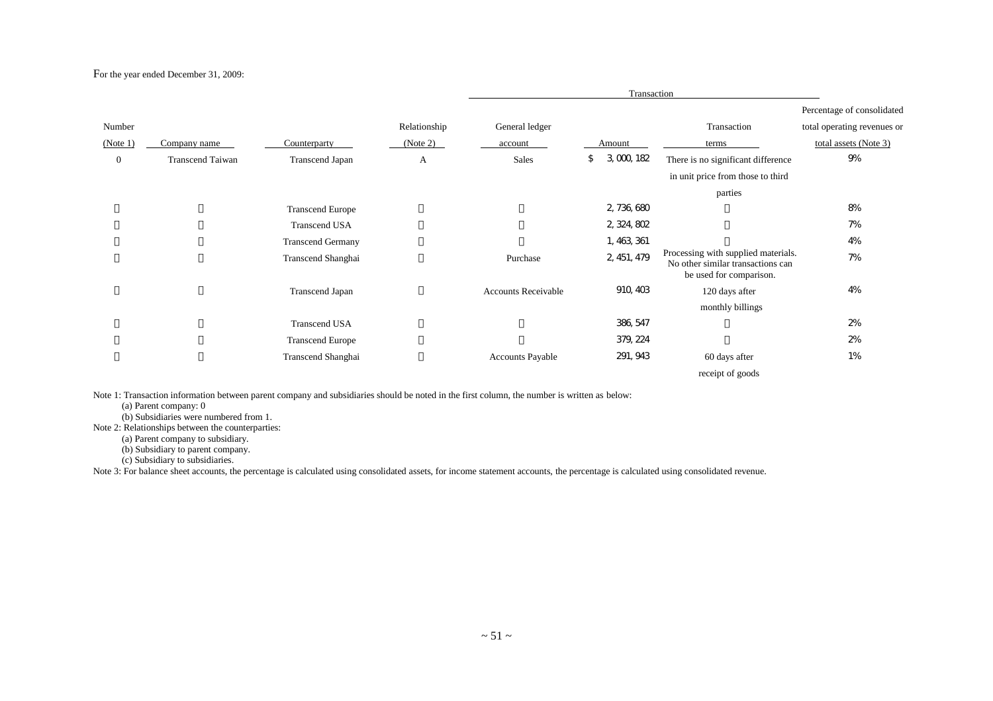#### For the year ended December 31, 2009:

|              |                  |                          |              |                            | Transaction     |                                                                                                     |                             |
|--------------|------------------|--------------------------|--------------|----------------------------|-----------------|-----------------------------------------------------------------------------------------------------|-----------------------------|
|              |                  |                          |              |                            |                 |                                                                                                     | Percentage of consolidated  |
| Number       |                  |                          | Relationship | General ledger             |                 | Transaction                                                                                         | total operating revenues or |
| (Note 1)     | Company name     | Counterparty             | (Note 2)     | account                    | Amount          | terms                                                                                               | total assets (Note 3)       |
| $\mathbf{0}$ | Transcend Taiwan | Transcend Japan          | А            | <b>Sales</b>               | 3,000,182<br>\$ | There is no significant difference                                                                  | 9%                          |
|              |                  |                          |              |                            |                 | in unit price from those to third                                                                   |                             |
|              |                  |                          |              |                            |                 | parties                                                                                             |                             |
|              |                  | <b>Transcend Europe</b>  |              |                            | 2, 736, 680     |                                                                                                     | 8%                          |
|              |                  | <b>Transcend USA</b>     |              |                            | 2, 324, 802     |                                                                                                     | 7%                          |
|              |                  | <b>Transcend Germany</b> |              |                            | 1, 463, 361     |                                                                                                     | 4%                          |
|              |                  | Transcend Shanghai       |              | Purchase                   | 2, 451, 479     | Processing with supplied materials.<br>No other similar transactions can<br>be used for comparison. | 7%                          |
|              |                  | <b>Transcend Japan</b>   |              | <b>Accounts Receivable</b> | 910, 403        | 120 days after                                                                                      | 4%                          |
|              |                  |                          |              |                            |                 | monthly billings                                                                                    |                             |
|              |                  | <b>Transcend USA</b>     |              |                            | 386, 547        |                                                                                                     | 2%                          |
|              |                  | <b>Transcend Europe</b>  |              |                            | 379, 224        |                                                                                                     | 2%                          |
|              |                  | Transcend Shanghai       |              | <b>Accounts Payable</b>    | 291, 943        | 60 days after                                                                                       | 1%                          |
|              |                  |                          |              |                            |                 | receipt of goods                                                                                    |                             |

Note 1: Transaction information between parent company and subsidiaries should be noted in the first column, the number is written as below:

(a) Parent company: 0

(b) Subsidiaries were numbered from 1.

Note 2: Relationships between the counterparties:

(a) Parent company to subsidiary.

(b) Subsidiary to parent company.

(c) Subsidiary to subsidiaries.

Note 3: For balance sheet accounts, the percentage is calculated using consolidated assets, for income statement accounts, the percentage is calculated using consolidated revenue.